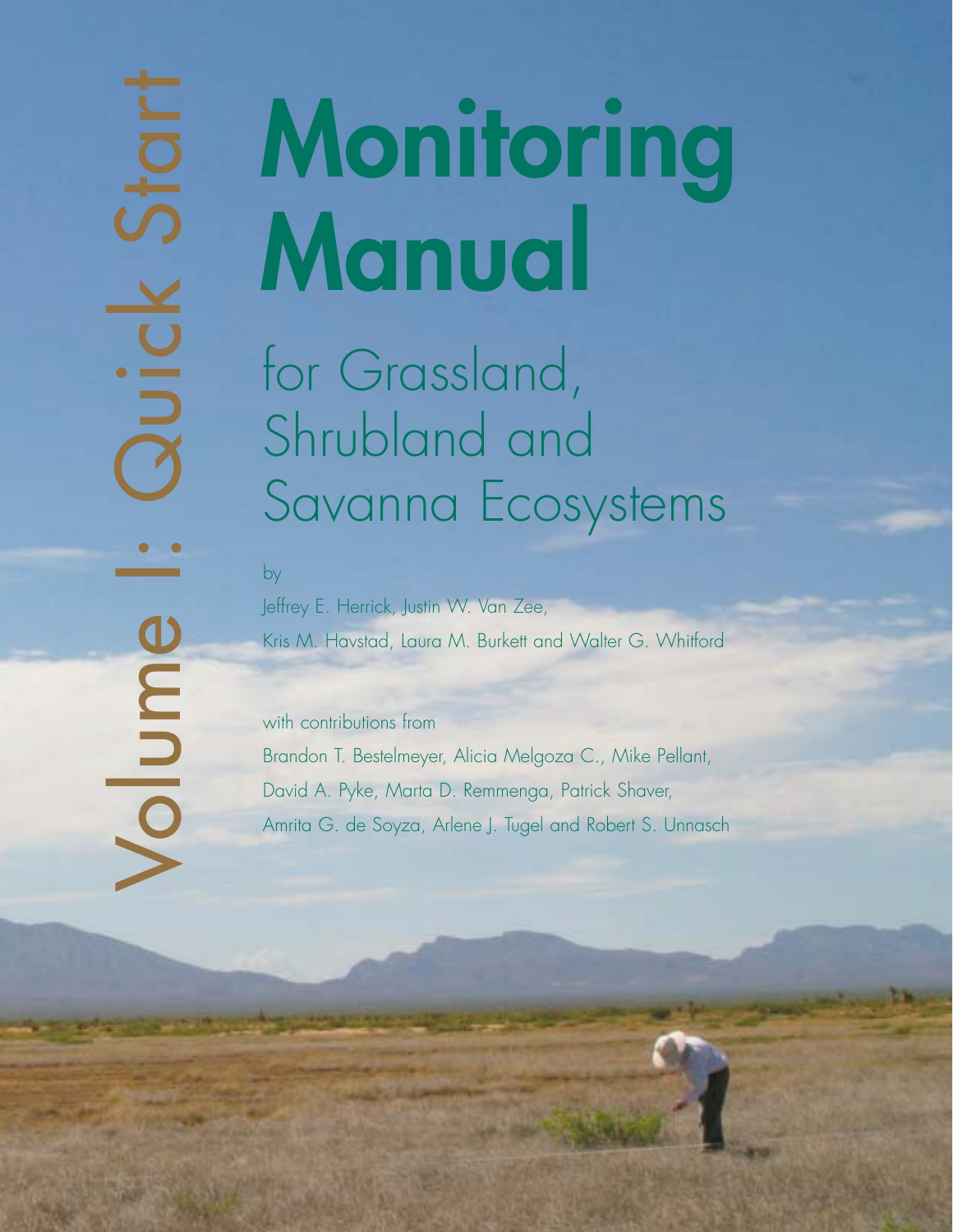by

# Volume I: Aris M. Herick, Justin W. Van Zee,<br>
Volume I: Grassland,<br>
Shrubland and<br>
Savanna Ecos<br>
Nelfley E. Herick, Justin W. Van Zee,<br>
Kris M. Havstad, Laura M. Burkett and V.<br>
Sandon T. Bestelmeyer, Alicia Melgoza (Ameri Shrubland and Savanna Ecosystems **Monitoring Manual**

Jeffrey E. Herrick, Justin W. Van Zee, Kris M. Havstad, Laura M. Burkett and Walter G. Whitford

with contributions from Brandon T. Bestelmeyer, Alicia Melgoza C., Mike Pellant, David A. Pyke, Marta D. Remmenga, Patrick Shaver, Amrita G. de Soyza, Arlene J. Tugel and Robert S. Unnasch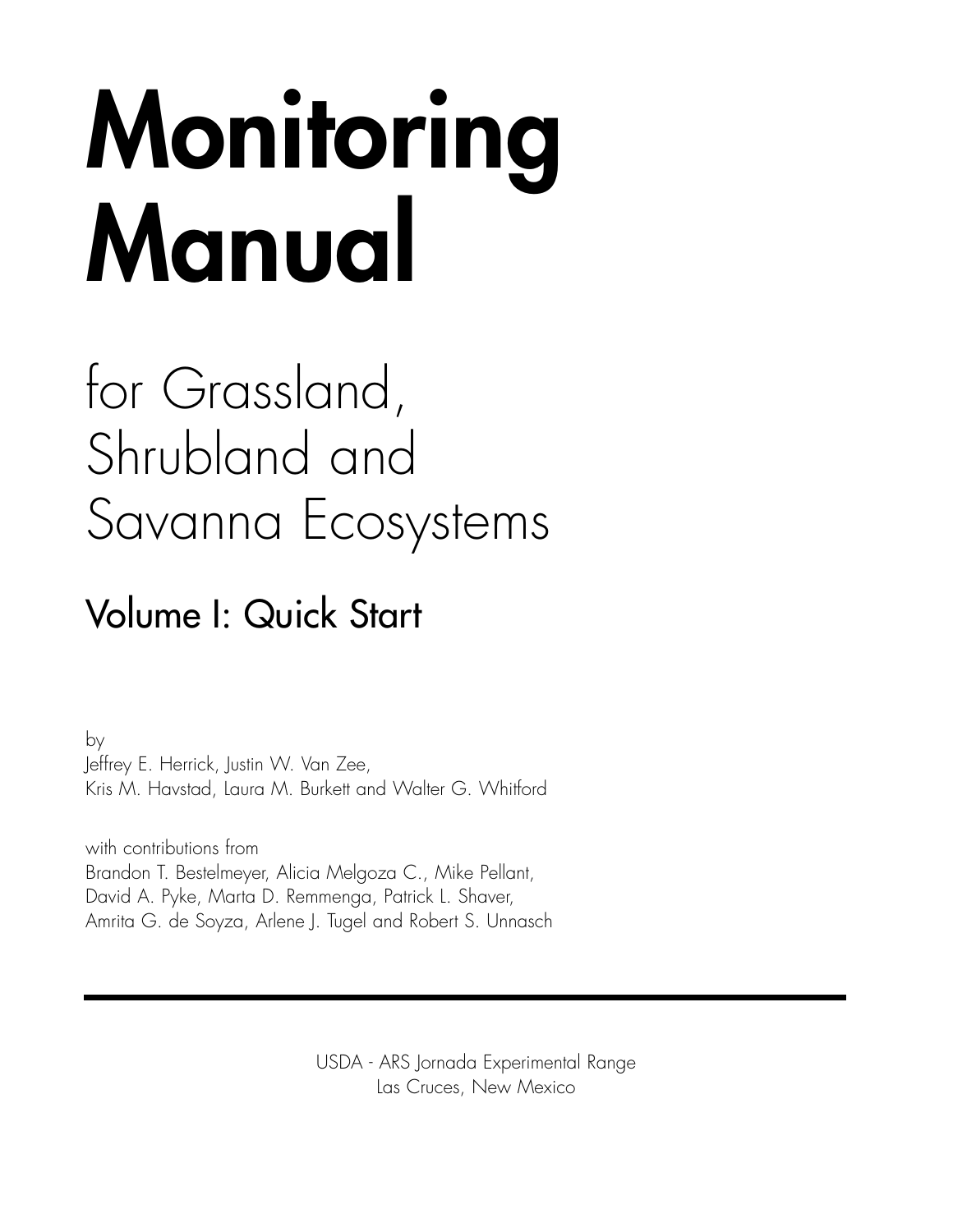# **Monitoring Manual**

# for Grassland, Shrubland and Savanna Ecosystems

## Volume I: Quick Start

by Jeffrey E. Herrick, Justin W. Van Zee, Kris M. Havstad, Laura M. Burkett and Walter G. Whitford

with contributions from Brandon T. Bestelmeyer, Alicia Melgoza C., Mike Pellant, David A. Pyke, Marta D. Remmenga, Patrick L. Shaver, Amrita G. de Soyza, Arlene J. Tugel and Robert S. Unnasch

> USDA - ARS Jornada Experimental Range Las Cruces, New Mexico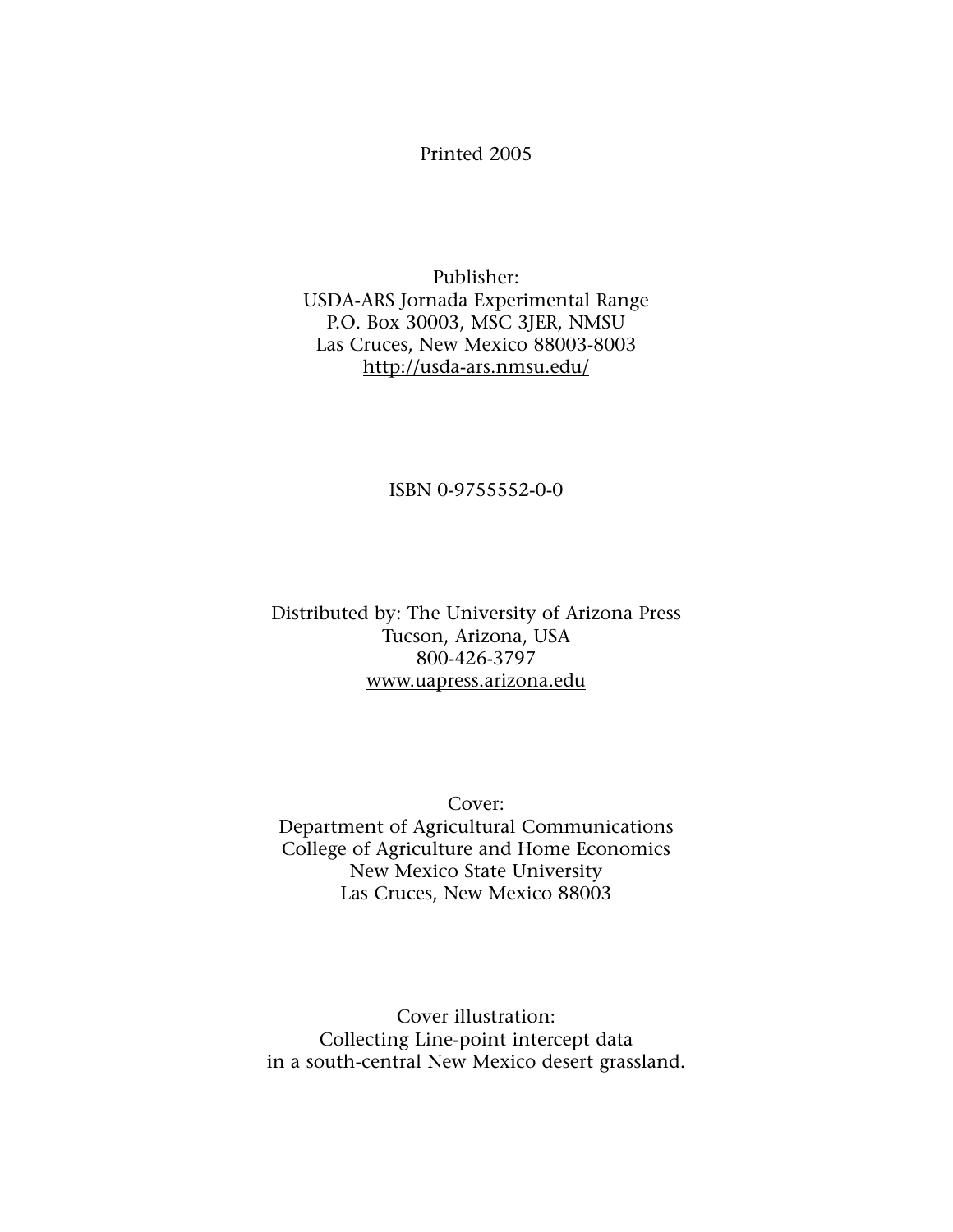#### Printed 2005

Publisher: USDA-ARS Jornada Experimental Range P.O. Box 30003, MSC 3JER, NMSU Las Cruces, New Mexico 88003-8003 http://usda-ars.nmsu.edu/

ISBN 0-9755552-0-0

Distributed by: The University of Arizona Press Tucson, Arizona, USA 800-426-3797 www.uapress.arizona.edu

Cover: Department of Agricultural Communications College of Agriculture and Home Economics New Mexico State University Las Cruces, New Mexico 88003

Cover illustration: Collecting Line-point intercept data in a south-central New Mexico desert grassland.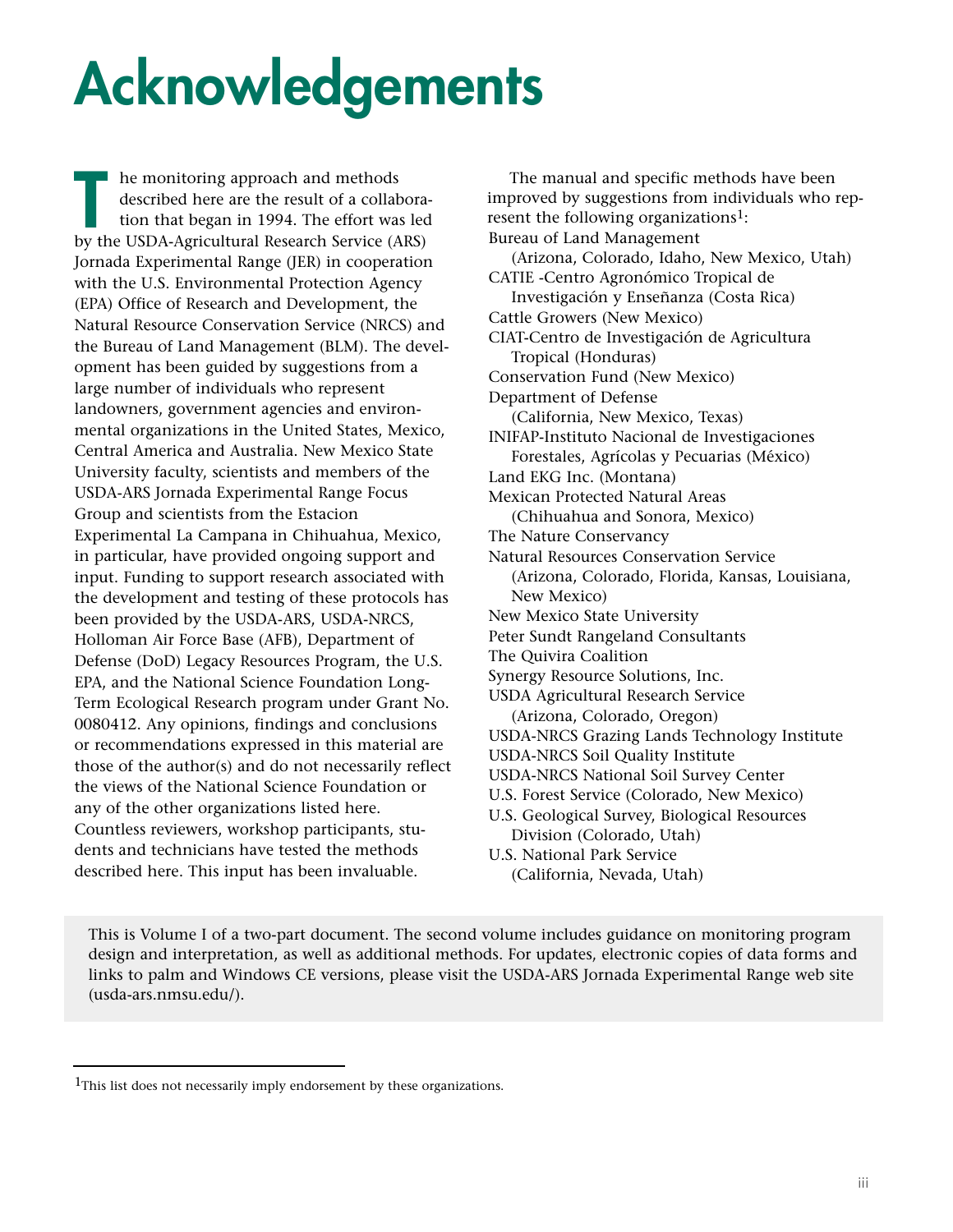# **Acknowledgements**

he monitoring approach and methods described here are the result of a collaboration that began in 1994. The effort was led International approach and methods<br>described here are the result of a collabora<br>tion that began in 1994. The effort was lea<br>by the USDA-Agricultural Research Service (ARS) Jornada Experimental Range (JER) in cooperation with the U.S. Environmental Protection Agency (EPA) Office of Research and Development, the Natural Resource Conservation Service (NRCS) and the Bureau of Land Management (BLM). The development has been guided by suggestions from a large number of individuals who represent landowners, government agencies and environmental organizations in the United States, Mexico, Central America and Australia. New Mexico State University faculty, scientists and members of the USDA-ARS Jornada Experimental Range Focus Group and scientists from the Estacion Experimental La Campana in Chihuahua, Mexico, in particular, have provided ongoing support and input. Funding to support research associated with the development and testing of these protocols has been provided by the USDA-ARS, USDA-NRCS, Holloman Air Force Base (AFB), Department of Defense (DoD) Legacy Resources Program, the U.S. EPA, and the National Science Foundation Long-Term Ecological Research program under Grant No. 0080412. Any opinions, findings and conclusions or recommendations expressed in this material are those of the author(s) and do not necessarily reflect the views of the National Science Foundation or any of the other organizations listed here. Countless reviewers, workshop participants, students and technicians have tested the methods described here. This input has been invaluable.

The manual and specific methods have been improved by suggestions from individuals who represent the following organizations<sup>1</sup>: Bureau of Land Management (Arizona, Colorado, Idaho, New Mexico, Utah) CATIE -Centro Agronómico Tropical de Investigación y Enseñanza (Costa Rica) Cattle Growers (New Mexico) CIAT-Centro de Investigación de Agricultura Tropical (Honduras) Conservation Fund (New Mexico) Department of Defense (California, New Mexico, Texas) INIFAP-Instituto Nacional de Investigaciones Forestales, Agrícolas y Pecuarias (México) Land EKG Inc. (Montana) Mexican Protected Natural Areas (Chihuahua and Sonora, Mexico) The Nature Conservancy Natural Resources Conservation Service (Arizona, Colorado, Florida, Kansas, Louisiana, New Mexico) New Mexico State University Peter Sundt Rangeland Consultants The Quivira Coalition Synergy Resource Solutions, Inc. USDA Agricultural Research Service (Arizona, Colorado, Oregon) USDA-NRCS Grazing Lands Technology Institute USDA-NRCS Soil Quality Institute USDA-NRCS National Soil Survey Center U.S. Forest Service (Colorado, New Mexico) U.S. Geological Survey, Biological Resources Division (Colorado, Utah) U.S. National Park Service (California, Nevada, Utah)

This is Volume I of a two-part document. The second volume includes guidance on monitoring program design and interpretation, as well as additional methods. For updates, electronic copies of data forms and links to palm and Windows CE versions, please visit the USDA-ARS Jornada Experimental Range web site (usda-ars.nmsu.edu/).

<sup>&</sup>lt;sup>1</sup>This list does not necessarily imply endorsement by these organizations.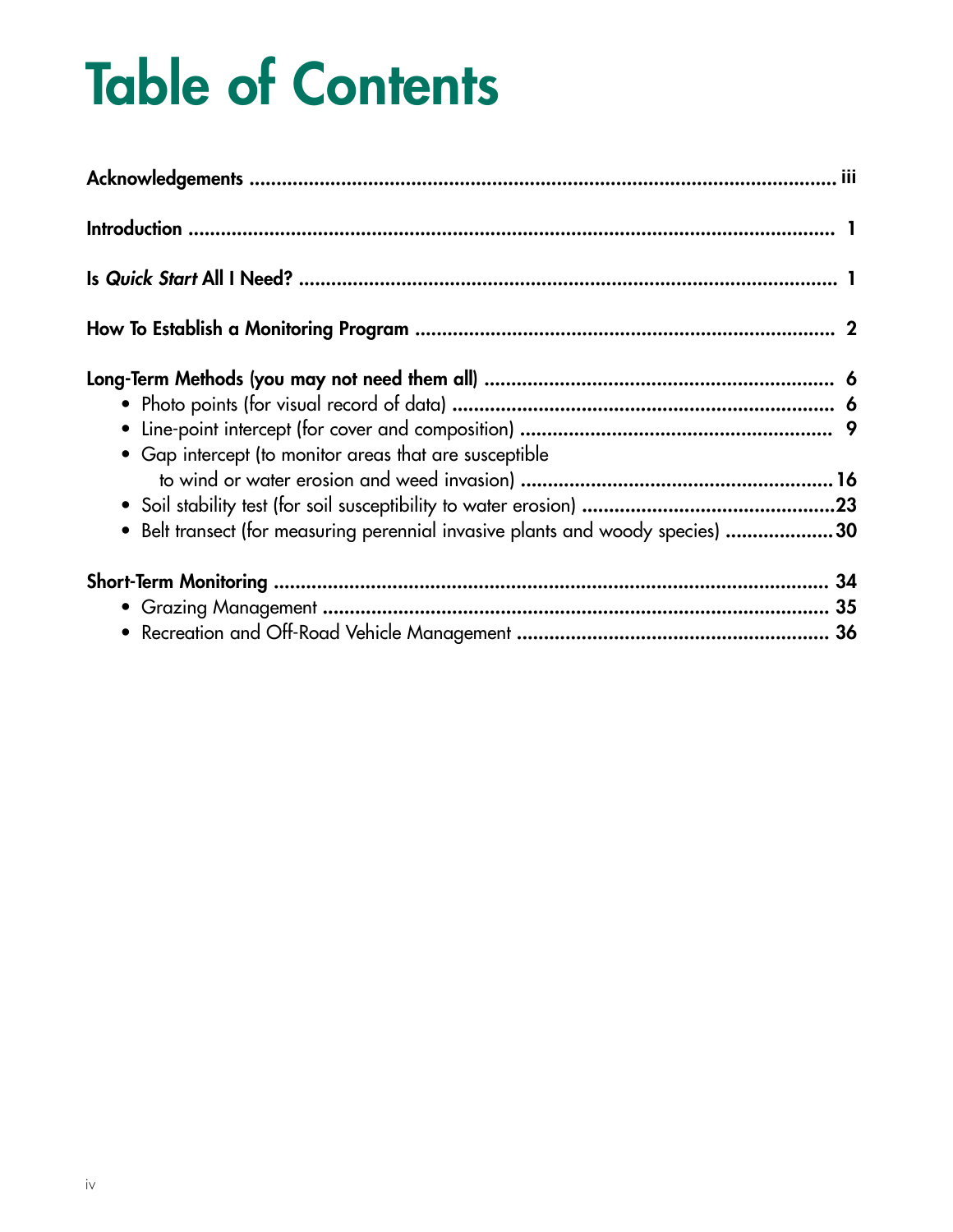# **Table of Contents**

| • Gap intercept (to monitor areas that are susceptible                         |  |
|--------------------------------------------------------------------------------|--|
|                                                                                |  |
|                                                                                |  |
| • Belt transect (for measuring perennial invasive plants and woody species) 30 |  |
|                                                                                |  |
|                                                                                |  |
|                                                                                |  |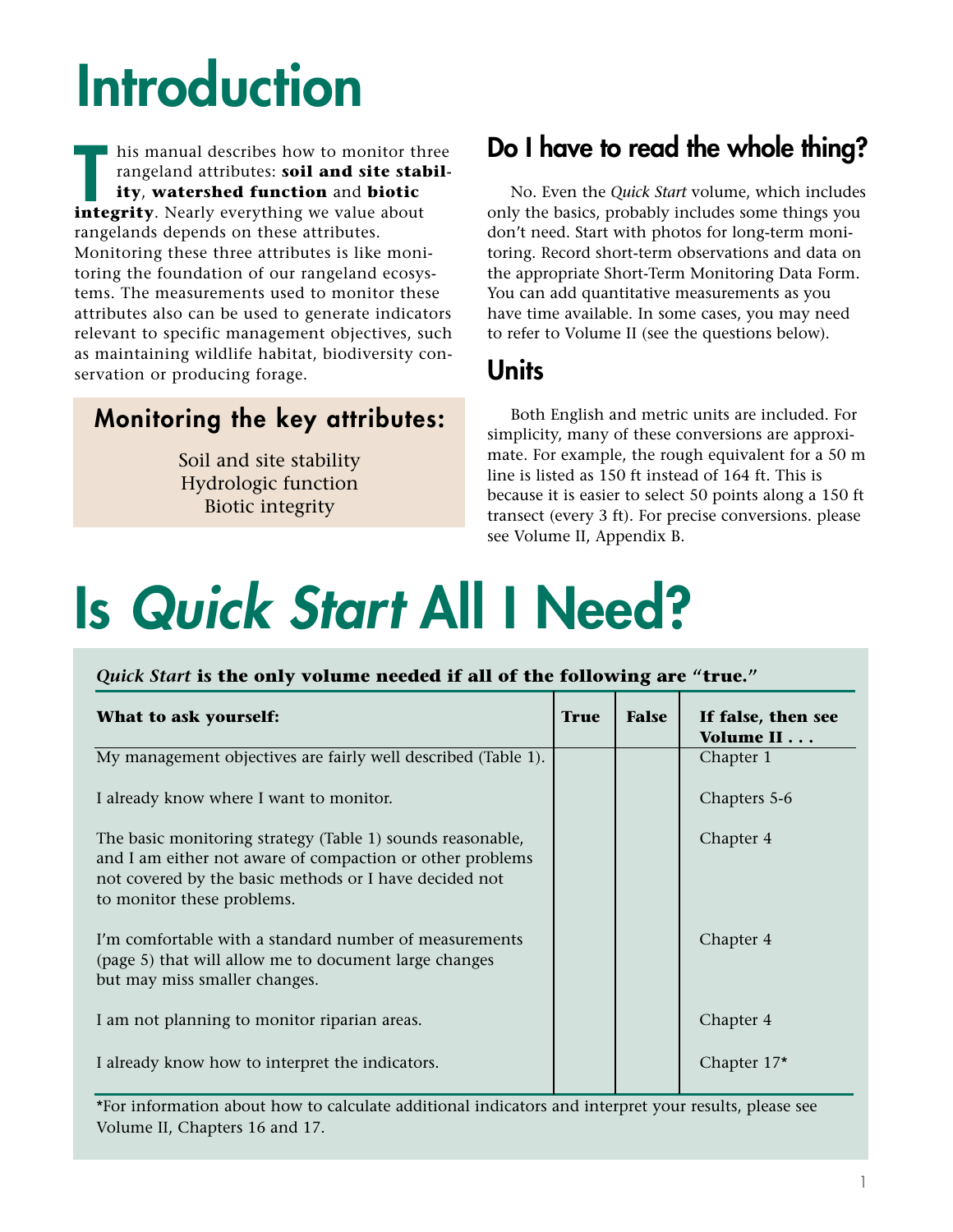# **Introduction**

his manual describes how to monitor three rangeland attributes: **soil and site stability**, **watershed function** and **biotic integrity**. Nearly everything we value about<br> **Integrity**. Nearly everything we value about rangelands depends on these attributes. Monitoring these three attributes is like monitoring the foundation of our rangeland ecosystems. The measurements used to monitor these attributes also can be used to generate indicators relevant to specific management objectives, such as maintaining wildlife habitat, biodiversity conservation or producing forage.

### **Monitoring the key attributes:**

Soil and site stability Hydrologic function Biotic integrity

## **Do I have to read the whole thing?**

No. Even the *Quick Start* volume, which includes only the basics, probably includes some things you don't need. Start with photos for long-term monitoring. Record short-term observations and data on the appropriate Short-Term Monitoring Data Form. You can add quantitative measurements as you have time available. In some cases, you may need to refer to Volume II (see the questions below).

### **Units**

Both English and metric units are included. For simplicity, many of these conversions are approximate. For example, the rough equivalent for a 50 m line is listed as 150 ft instead of 164 ft. This is because it is easier to select 50 points along a 150 ft transect (every 3 ft). For precise conversions. please see Volume II, Appendix B.

# **Is** *Quick Start* **All I Need?**

#### *Quick Start* **is the only volume needed if all of the following are "true."**

| What to ask yourself:                                                                                                                                                                                           | <b>True</b> | <b>False</b> | If false, then see<br>Volume II |
|-----------------------------------------------------------------------------------------------------------------------------------------------------------------------------------------------------------------|-------------|--------------|---------------------------------|
| My management objectives are fairly well described (Table 1).                                                                                                                                                   |             |              | Chapter 1                       |
| I already know where I want to monitor.                                                                                                                                                                         |             |              | Chapters 5-6                    |
| The basic monitoring strategy (Table 1) sounds reasonable,<br>and I am either not aware of compaction or other problems<br>not covered by the basic methods or I have decided not<br>to monitor these problems. |             |              | Chapter 4                       |
| I'm comfortable with a standard number of measurements<br>(page 5) that will allow me to document large changes<br>but may miss smaller changes.                                                                |             |              | Chapter 4                       |
| I am not planning to monitor riparian areas.                                                                                                                                                                    |             |              | Chapter 4                       |
| I already know how to interpret the indicators.                                                                                                                                                                 |             |              | Chapter 17*                     |

\*For information about how to calculate additional indicators and interpret your results, please see Volume II, Chapters 16 and 17.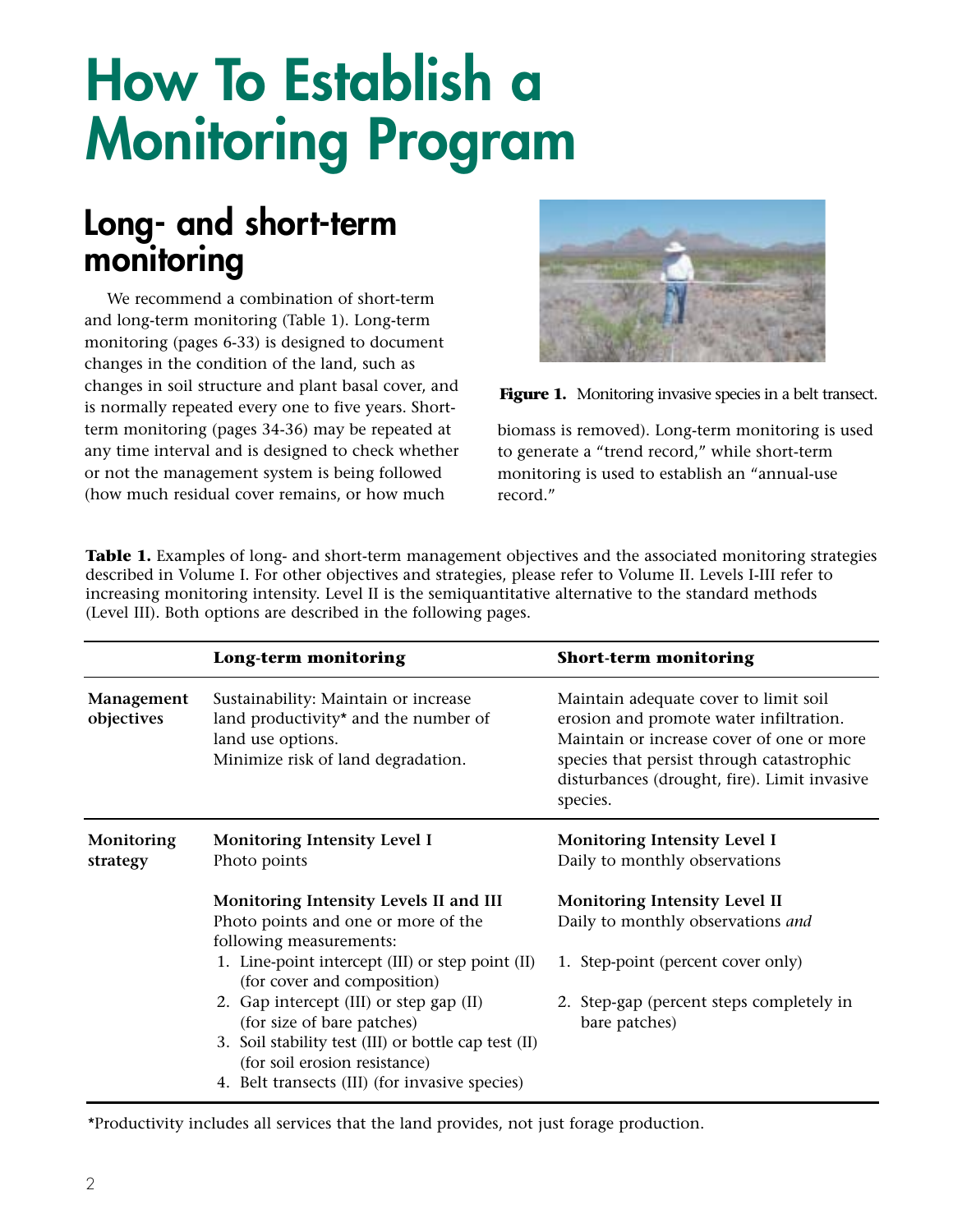## **How To Establish a Monitoring Program**

## **Long- and short-term monitoring**

We recommend a combination of short-term and long-term monitoring (Table 1). Long-term monitoring (pages 6-33) is designed to document changes in the condition of the land, such as changes in soil structure and plant basal cover, and is normally repeated every one to five years. Shortterm monitoring (pages 34-36) may be repeated at any time interval and is designed to check whether or not the management system is being followed (how much residual cover remains, or how much





biomass is removed). Long-term monitoring is used to generate a "trend record," while short-term monitoring is used to establish an "annual-use record."

Table 1. Examples of long- and short-term management objectives and the associated monitoring strategies described in Volume I. For other objectives and strategies, please refer to Volume II. Levels I-III refer to increasing monitoring intensity. Level II is the semiquantitative alternative to the standard methods (Level III). Both options are described in the following pages.

|                          | Long-term monitoring                                                                                                                    | <b>Short-term monitoring</b>                                                                                                                                                                                                           |
|--------------------------|-----------------------------------------------------------------------------------------------------------------------------------------|----------------------------------------------------------------------------------------------------------------------------------------------------------------------------------------------------------------------------------------|
| Management<br>objectives | Sustainability: Maintain or increase<br>land productivity* and the number of<br>land use options.<br>Minimize risk of land degradation. | Maintain adequate cover to limit soil<br>erosion and promote water infiltration.<br>Maintain or increase cover of one or more<br>species that persist through catastrophic<br>disturbances (drought, fire). Limit invasive<br>species. |
| Monitoring<br>strategy   | Monitoring Intensity Level I<br>Photo points                                                                                            | Monitoring Intensity Level I<br>Daily to monthly observations                                                                                                                                                                          |
|                          | Monitoring Intensity Levels II and III<br>Photo points and one or more of the<br>following measurements:                                | <b>Monitoring Intensity Level II</b><br>Daily to monthly observations and                                                                                                                                                              |
|                          | 1. Line-point intercept (III) or step point (II)<br>(for cover and composition)                                                         | 1. Step-point (percent cover only)                                                                                                                                                                                                     |
|                          | 2. Gap intercept (III) or step gap (II)<br>(for size of bare patches)                                                                   | 2. Step-gap (percent steps completely in<br>bare patches)                                                                                                                                                                              |
|                          | 3. Soil stability test (III) or bottle cap test (II)<br>(for soil erosion resistance)                                                   |                                                                                                                                                                                                                                        |
|                          | 4. Belt transects (III) (for invasive species)                                                                                          |                                                                                                                                                                                                                                        |

\*Productivity includes all services that the land provides, not just forage production.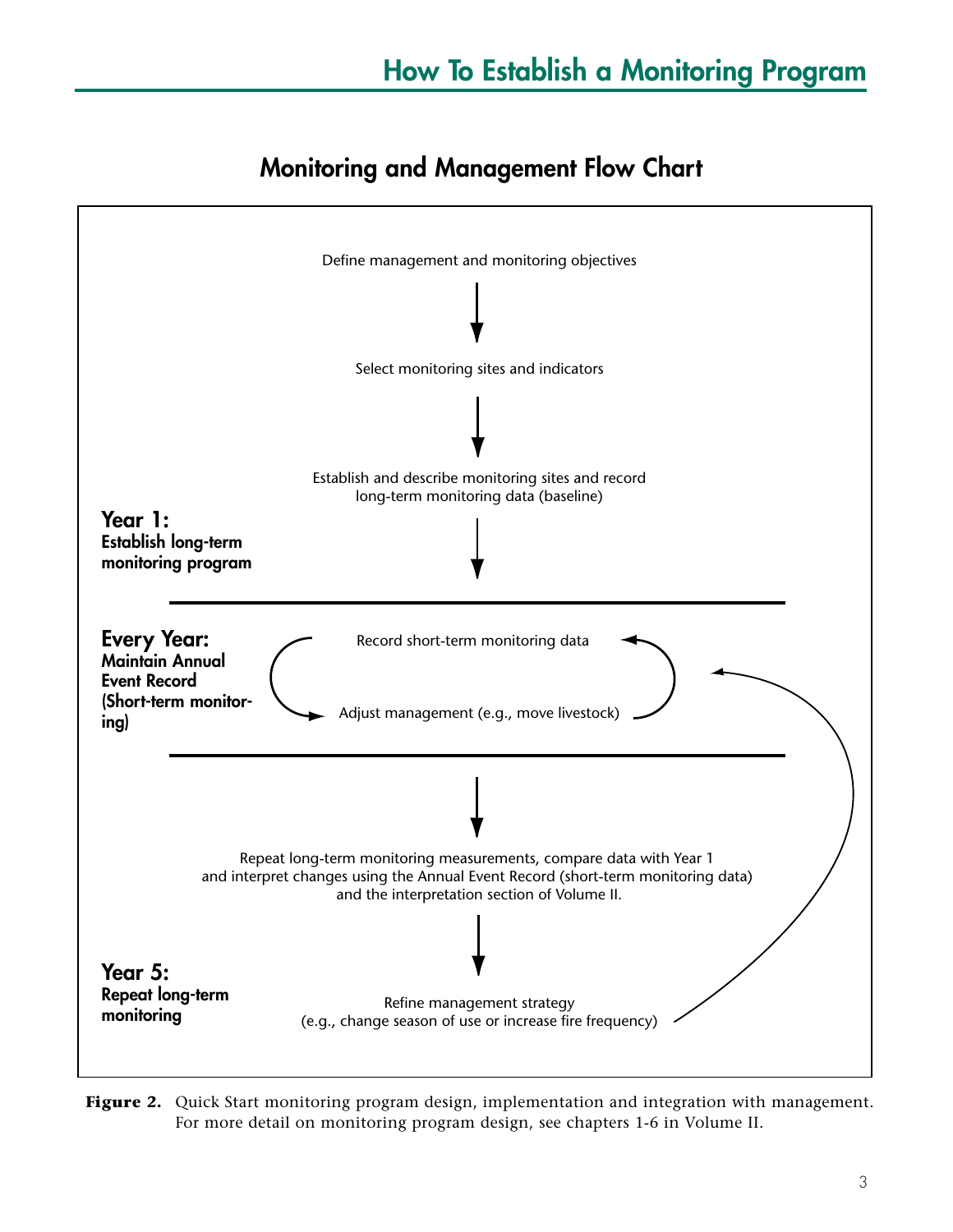## **Monitoring and Management Flow Chart**



Figure 2. Quick Start monitoring program design, implementation and integration with management. For more detail on monitoring program design, see chapters 1-6 in Volume II.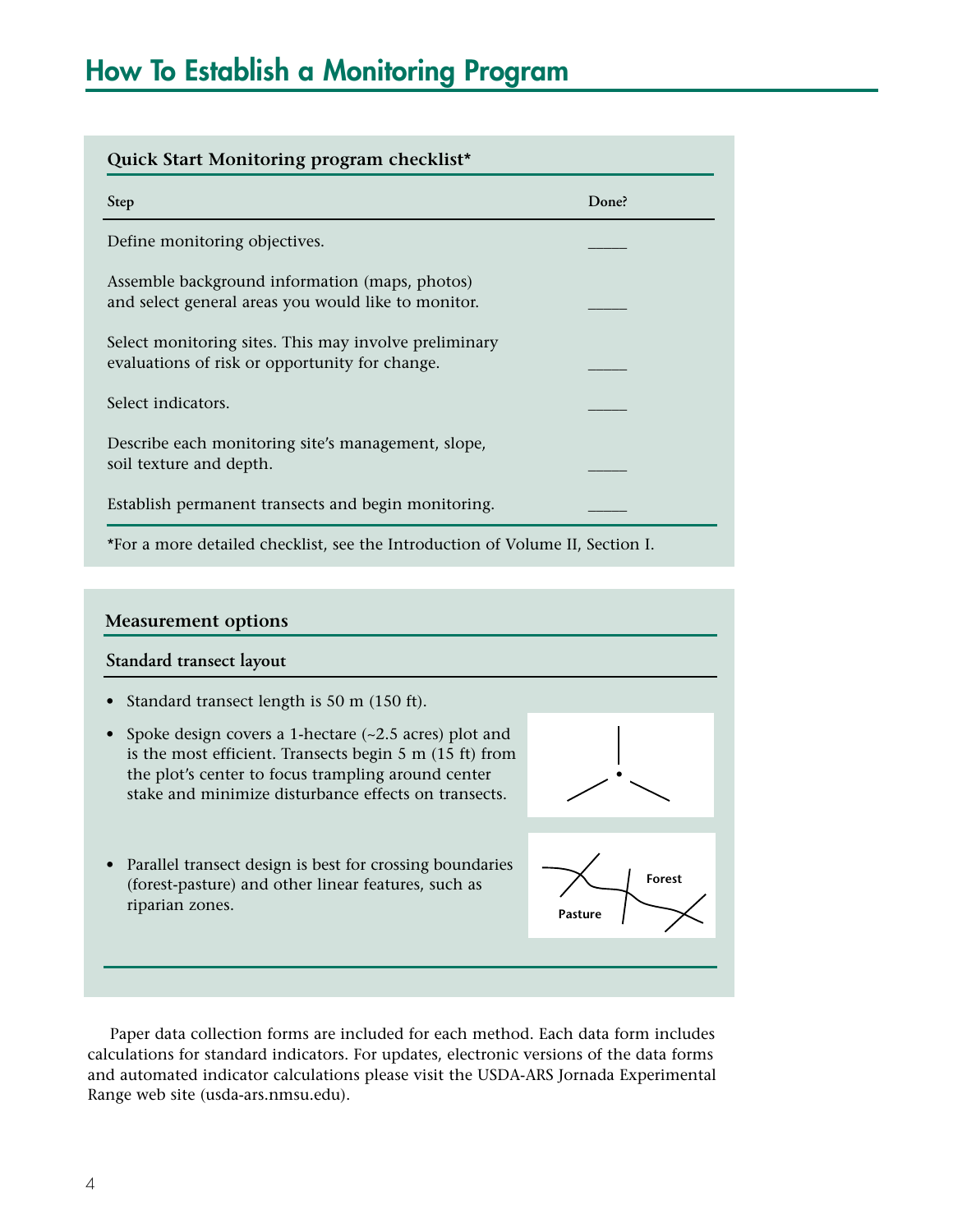| Quick Start Monitoring program checklist*                                                               |       |  |  |  |
|---------------------------------------------------------------------------------------------------------|-------|--|--|--|
| <b>Step</b>                                                                                             | Done? |  |  |  |
| Define monitoring objectives.                                                                           |       |  |  |  |
| Assemble background information (maps, photos)<br>and select general areas you would like to monitor.   |       |  |  |  |
| Select monitoring sites. This may involve preliminary<br>evaluations of risk or opportunity for change. |       |  |  |  |
| Select indicators.                                                                                      |       |  |  |  |
| Describe each monitoring site's management, slope,<br>soil texture and depth.                           |       |  |  |  |
| Establish permanent transects and begin monitoring.                                                     |       |  |  |  |
| *For a more detailed checklist, see the Introduction of Volume II, Section I.                           |       |  |  |  |

#### **Measurement options**

#### **Standard transect layout**

- Standard transect length is 50 m (150 ft).
- Spoke design covers a 1-hectare (~2.5 acres) plot and is the most efficient. Transects begin 5 m (15 ft) from the plot's center to focus trampling around center stake and minimize disturbance effects on transects.



• Parallel transect design is best for crossing boundaries (forest-pasture) and other linear features, such as riparian zones.



Paper data collection forms are included for each method. Each data form includes calculations for standard indicators. For updates, electronic versions of the data forms and automated indicator calculations please visit the USDA-ARS Jornada Experimental Range web site (usda-ars.nmsu.edu).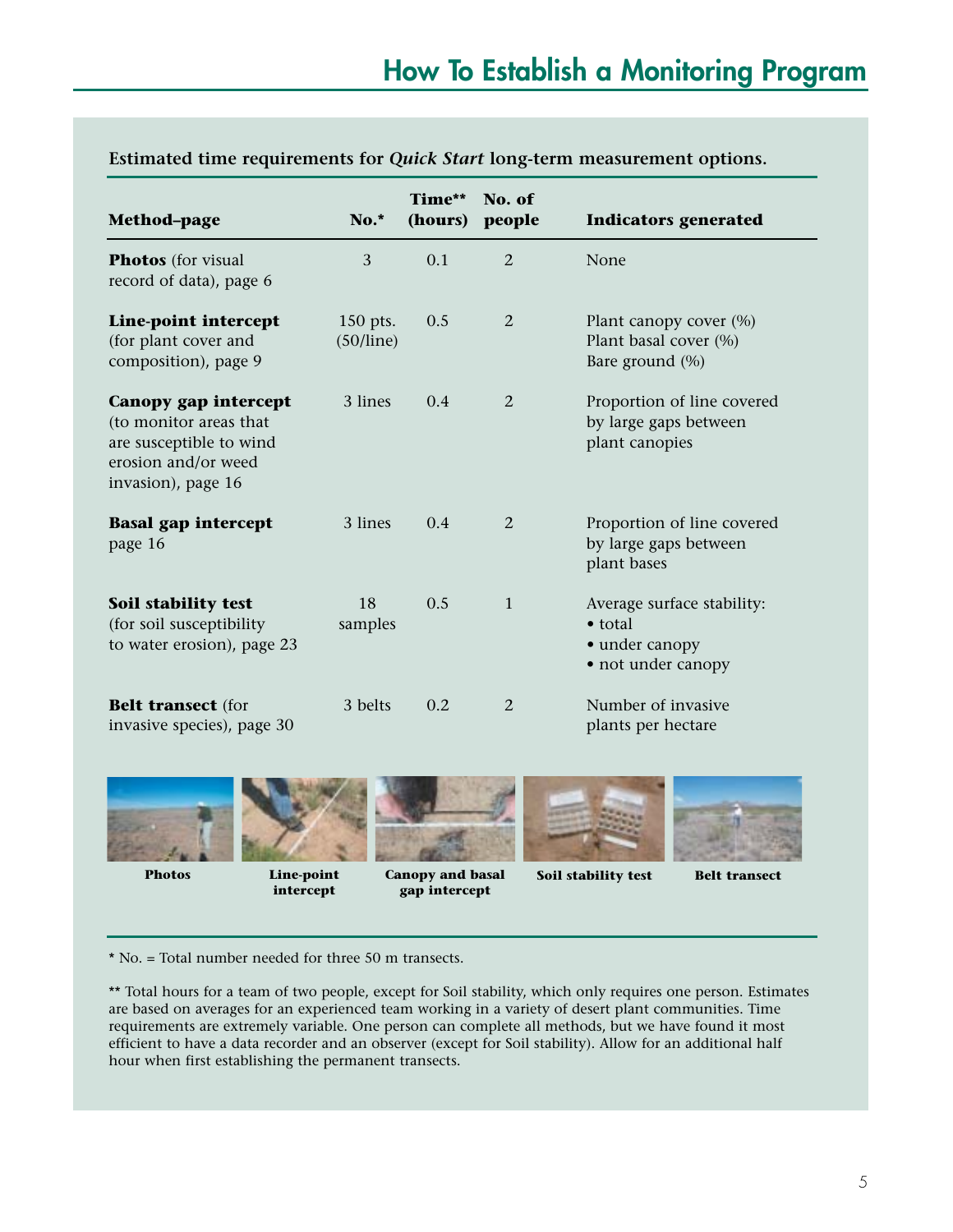| <b>Method-page</b>                                                                                                     | No.*                  | Time**<br>(hours) | No. of<br>people | <b>Indicators generated</b>                                                           |
|------------------------------------------------------------------------------------------------------------------------|-----------------------|-------------------|------------------|---------------------------------------------------------------------------------------|
| <b>Photos</b> (for visual<br>record of data), page 6                                                                   | 3                     | 0.1               | $\overline{2}$   | None                                                                                  |
| Line-point intercept<br>(for plant cover and<br>composition), page 9                                                   | 150 pts.<br>(50/line) | 0.5               | 2                | Plant canopy cover (%)<br>Plant basal cover (%)<br>Bare ground (%)                    |
| Canopy gap intercept<br>(to monitor areas that<br>are susceptible to wind<br>erosion and/or weed<br>invasion), page 16 | 3 lines               | 0.4               | 2                | Proportion of line covered<br>by large gaps between<br>plant canopies                 |
| <b>Basal gap intercept</b><br>page 16                                                                                  | 3 lines               | 0.4               | 2                | Proportion of line covered<br>by large gaps between<br>plant bases                    |
| Soil stability test<br>(for soil susceptibility<br>to water erosion), page 23                                          | 18<br>samples         | 0.5               | $\mathbf{1}$     | Average surface stability:<br>$\bullet$ total<br>• under canopy<br>• not under canopy |
| <b>Belt transect (for</b><br>invasive species), page 30                                                                | 3 belts               | 0.2               | 2                | Number of invasive<br>plants per hectare                                              |

#### **Estimated time requirements for** *Quick Start* **long-term measurement options.**





**Line-point intercept** 

**Photos Canopy and basal gap intercept**



**Soil stability test** Belt transect



\* No. = Total number needed for three 50 m transects.

\*\* Total hours for a team of two people, except for Soil stability, which only requires one person. Estimates are based on averages for an experienced team working in a variety of desert plant communities. Time requirements are extremely variable. One person can complete all methods, but we have found it most efficient to have a data recorder and an observer (except for Soil stability). Allow for an additional half hour when first establishing the permanent transects.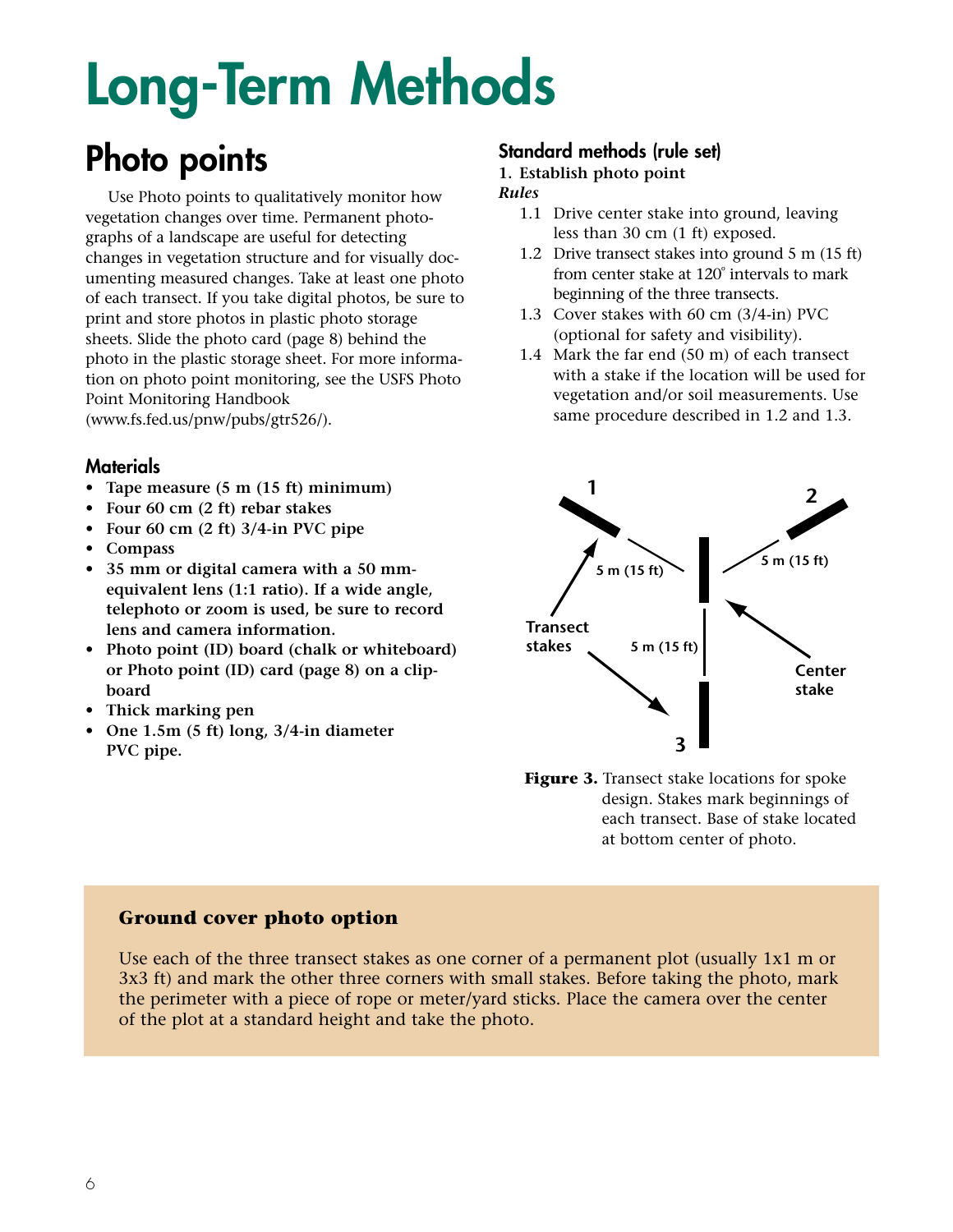# **Long-Term Methods**

## **Photo points**

Use Photo points to qualitatively monitor how vegetation changes over time. Permanent photographs of a landscape are useful for detecting changes in vegetation structure and for visually documenting measured changes. Take at least one photo of each transect. If you take digital photos, be sure to print and store photos in plastic photo storage sheets. Slide the photo card (page 8) behind the photo in the plastic storage sheet. For more information on photo point monitoring, see the USFS Photo Point Monitoring Handbook (www.fs.fed.us/pnw/pubs/gtr526/).

#### **Materials**

- **Tape measure (5 m (15 ft) minimum)**
- **Four 60 cm (2 ft) rebar stakes**
- **Four 60 cm (2 ft) 3/4-in PVC pipe**
- **Compass**
- **35 mm or digital camera with a 50 mmequivalent lens (1:1 ratio). If a wide angle, telephoto or zoom is used, be sure to record lens and camera information.**
- **Photo point (ID) board (chalk or whiteboard) or Photo point (ID) card (page 8) on a clipboard**
- **Thick marking pen**
- **One 1.5m (5 ft) long, 3/4-in diameter PVC pipe.**

#### **Standard methods (rule set)**

#### **1. Establish photo point**

#### *Rules*

- 1.1 Drive center stake into ground, leaving less than 30 cm (1 ft) exposed.
- 1.2 Drive transect stakes into ground 5 m (15 ft) from center stake at 120º intervals to mark beginning of the three transects.
- 1.3 Cover stakes with 60 cm (3/4-in) PVC (optional for safety and visibility).
- 1.4 Mark the far end (50 m) of each transect with a stake if the location will be used for vegetation and/or soil measurements. Use same procedure described in 1.2 and 1.3.



**Figure 3.** Transect stake locations for spoke design. Stakes mark beginnings of each transect. Base of stake located at bottom center of photo.

#### **Ground cover photo option**

Use each of the three transect stakes as one corner of a permanent plot (usually 1x1 m or 3x3 ft) and mark the other three corners with small stakes. Before taking the photo, mark the perimeter with a piece of rope or meter/yard sticks. Place the camera over the center of the plot at a standard height and take the photo.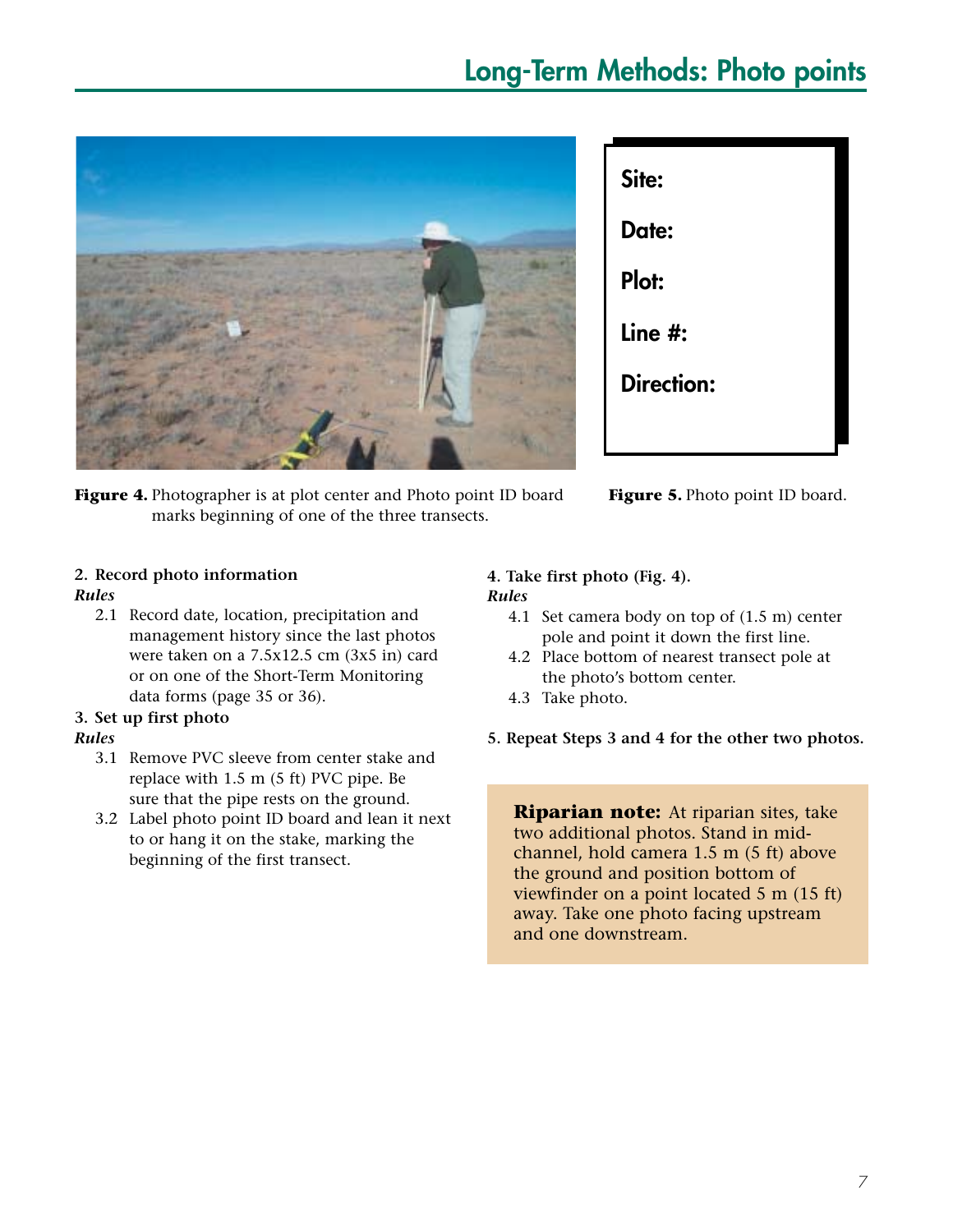## **Long-Term Methods: Photo points**



**Figure 4.** Photographer is at plot center and Photo point ID board marks beginning of one of the three transects.

| Site:             |
|-------------------|
| Date:             |
| Plot:             |
| Line #:           |
| <b>Direction:</b> |
|                   |



### **2. Record photo information**

#### *Rules*

2.1 Record date, location, precipitation and management history since the last photos were taken on a 7.5x12.5 cm (3x5 in) card or on one of the Short-Term Monitoring data forms (page 35 or 36).

#### **3. Set up first photo**

#### *Rules*

- 3.1 Remove PVC sleeve from center stake and replace with 1.5 m (5 ft) PVC pipe. Be sure that the pipe rests on the ground.
- 3.2 Label photo point ID board and lean it next to or hang it on the stake, marking the beginning of the first transect.

#### **4. Take first photo (Fig. 4).** *Rules*

- 4.1 Set camera body on top of (1.5 m) center pole and point it down the first line.
- 4.2 Place bottom of nearest transect pole at the photo's bottom center.
- 4.3 Take photo.
- **5. Repeat Steps 3 and 4 for the other two photos.**

**Riparian note:** At riparian sites, take two additional photos. Stand in midchannel, hold camera 1.5 m (5 ft) above the ground and position bottom of viewfinder on a point located 5 m (15 ft) away. Take one photo facing upstream and one downstream.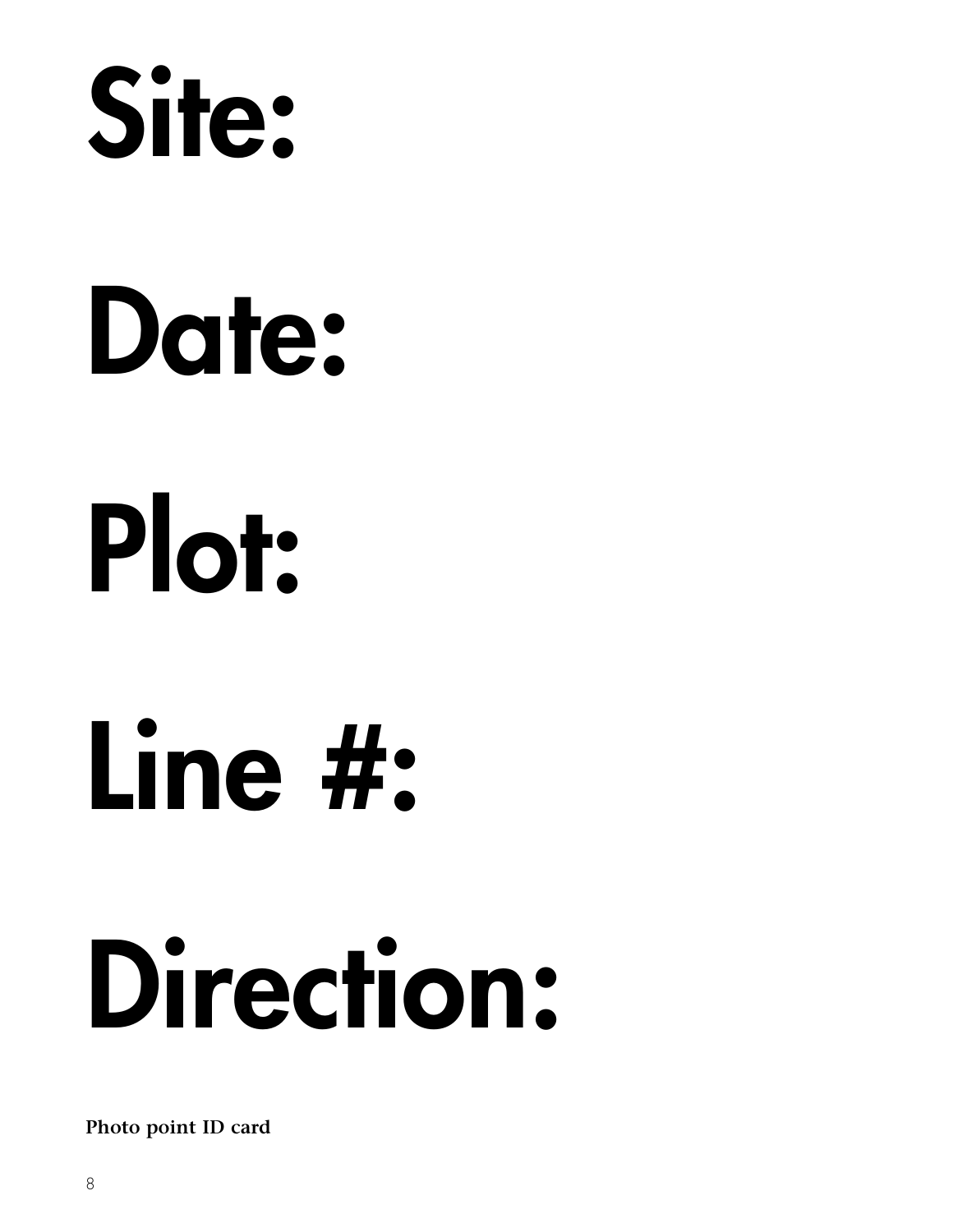

# **Date: Plot:**

**Line #:**

# **Direction:**

**Photo point ID card**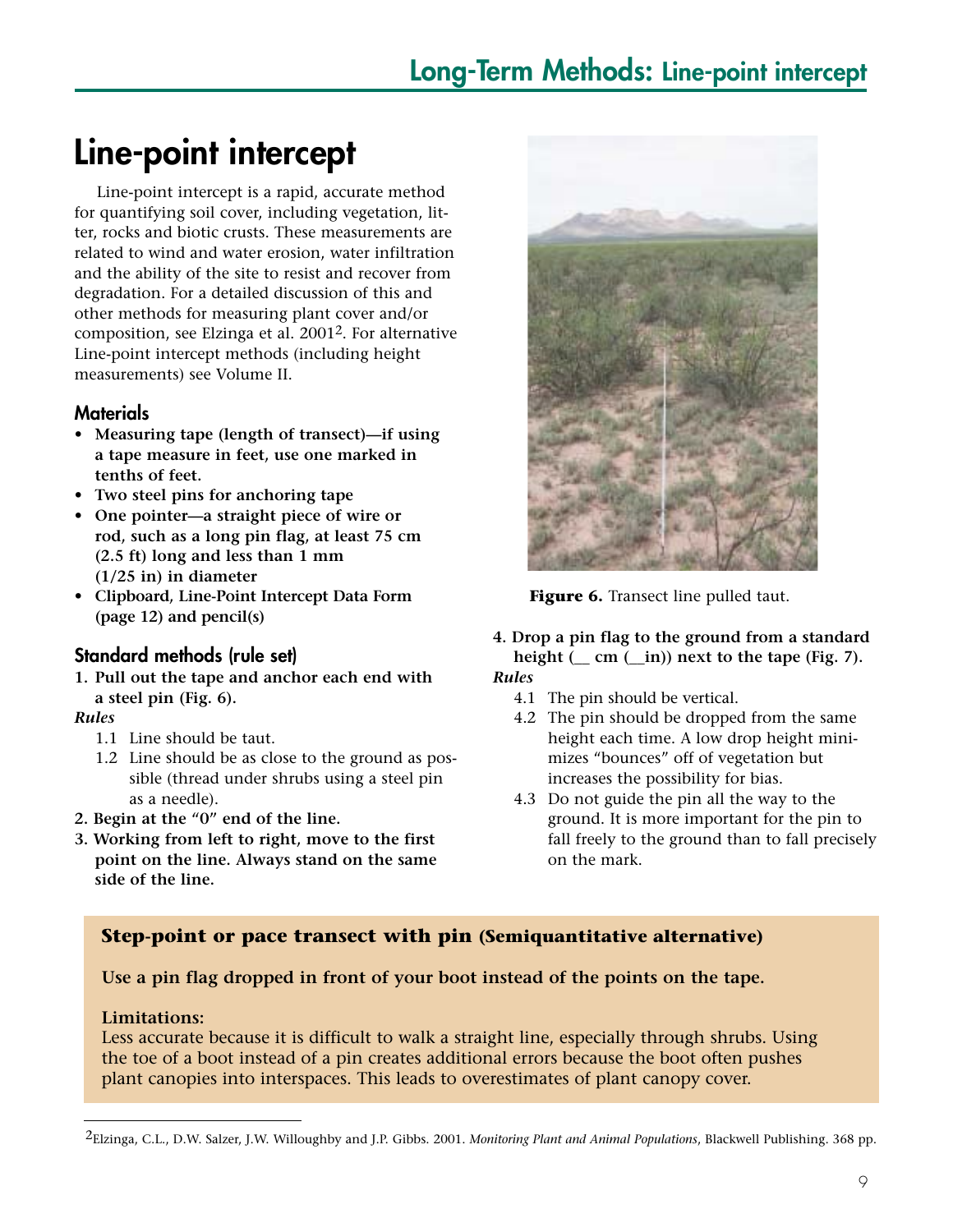## **Line-point intercept**

Line-point intercept is a rapid, accurate method for quantifying soil cover, including vegetation, litter, rocks and biotic crusts. These measurements are related to wind and water erosion, water infiltration and the ability of the site to resist and recover from degradation. For a detailed discussion of this and other methods for measuring plant cover and/or composition, see Elzinga et al. 20012. For alternative Line-point intercept methods (including height measurements) see Volume II.

#### **Materials**

- **Measuring tape (length of transect)—if using a tape measure in feet, use one marked in tenths of feet.**
- **Two steel pins for anchoring tape**
- **One pointer—a straight piece of wire or rod, such as a long pin flag, at least 75 cm (2.5 ft) long and less than 1 mm (1/25 in) in diameter**
- **Clipboard, Line-Point Intercept Data Form (page 12) and pencil(s)**

#### **Standard methods (rule set)**

**1. Pull out the tape and anchor each end with a steel pin (Fig. 6).**

#### *Rules*

- 1.1 Line should be taut.
- 1.2 Line should be as close to the ground as possible (thread under shrubs using a steel pin as a needle).
- **2. Begin at the "0" end of the line.**
- **3. Working from left to right, move to the first point on the line. Always stand on the same side of the line.**



**Figure 6.** Transect line pulled taut.

- **4. Drop a pin flag to the ground from a standard** height  $(\underline{\hspace{0.5cm}} cm (\underline{\hspace{0.5cm}} in))$  next to the tape (Fig. 7). *Rules*
	- 4.1 The pin should be vertical.
	- 4.2 The pin should be dropped from the same height each time. A low drop height minimizes "bounces" off of vegetation but increases the possibility for bias.
	- 4.3 Do not guide the pin all the way to the ground. It is more important for the pin to fall freely to the ground than to fall precisely on the mark.

#### **Step-point or pace transect with pin (Semiquantitative alternative)**

#### **Use a pin flag dropped in front of your boot instead of the points on the tape.**

#### **Limitations:**

Less accurate because it is difficult to walk a straight line, especially through shrubs. Using the toe of a boot instead of a pin creates additional errors because the boot often pushes plant canopies into interspaces. This leads to overestimates of plant canopy cover.

<sup>2</sup>Elzinga, C.L., D.W. Salzer, J.W. Willoughby and J.P. Gibbs. 2001. *Monitoring Plant and Animal Populations*, Blackwell Publishing. 368 pp.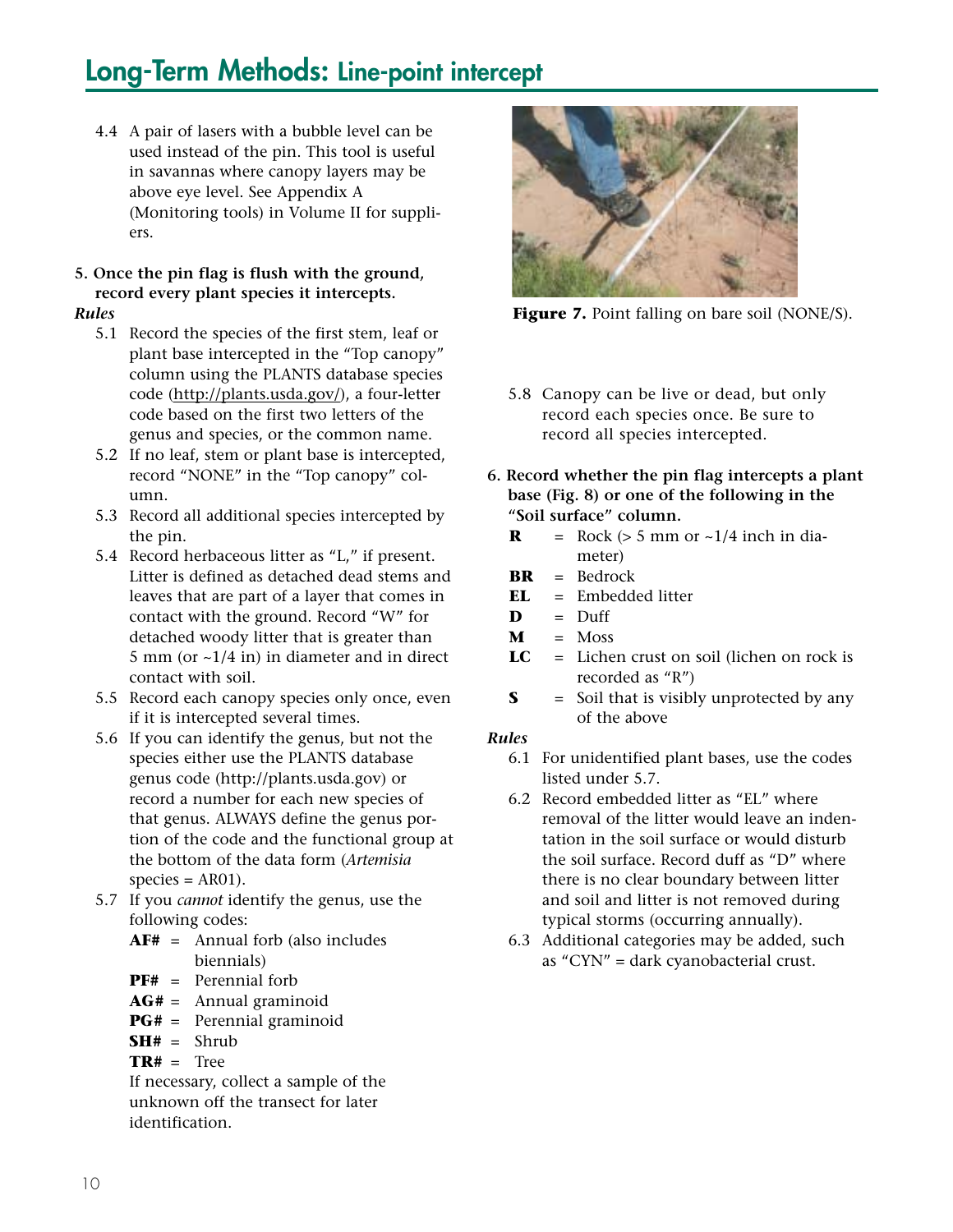## **Long-Term Methods: Line-point intercept**

4.4 A pair of lasers with a bubble level can be used instead of the pin. This tool is useful in savannas where canopy layers may be above eye level. See Appendix A (Monitoring tools) in Volume II for suppliers.

#### **5. Once the pin flag is flush with the ground, record every plant species it intercepts.**

#### *Rules*

- 5.1 Record the species of the first stem, leaf or plant base intercepted in the "Top canopy" column using the PLANTS database species code (http://plants.usda.gov/), a four-letter code based on the first two letters of the genus and species, or the common name.
- 5.2 If no leaf, stem or plant base is intercepted, record "NONE" in the "Top canopy" column.
- 5.3 Record all additional species intercepted by the pin.
- 5.4 Record herbaceous litter as "L," if present. Litter is defined as detached dead stems and leaves that are part of a layer that comes in contact with the ground. Record "W" for detached woody litter that is greater than 5 mm (or  $\sim$ 1/4 in) in diameter and in direct contact with soil.
- 5.5 Record each canopy species only once, even if it is intercepted several times.
- 5.6 If you can identify the genus, but not the species either use the PLANTS database genus code (http://plants.usda.gov) or record a number for each new species of that genus. ALWAYS define the genus portion of the code and the functional group at the bottom of the data form (*Artemisia*  $species = AR01$ ).
- 5.7 If you *cannot* identify the genus, use the following codes:
	- **AF#** = Annual forb (also includes biennials)
	- **PF#** = Perennial forb
	- **AG#** = Annual graminoid
	- **PG#** = Perennial graminoid
	- $SH# = Shrub$
	- **TR#** = Tree

If necessary, collect a sample of the unknown off the transect for later identification.



**Figure 7.** Point falling on bare soil (NONE/S).

- 5.8 Canopy can be live or dead, but only record each species once. Be sure to record all species intercepted.
- **6. Record whether the pin flag intercepts a plant base (Fig. 8) or one of the following in the "Soil surface" column.**
	- $\mathbf{R}$  = Rock ( $> 5$  mm or  $\sim 1/4$  inch in diameter)
	- **BR** = Bedrock
	- **EL** = Embedded litter
	- $D = Duff$
	- $M = M$ oss
	- **LC** = Lichen crust on soil (lichen on rock is recorded as "R")
	- **S** = Soil that is visibly unprotected by any of the above

#### *Rules*

- 6.1 For unidentified plant bases, use the codes listed under 5.7.
- 6.2 Record embedded litter as "EL" where removal of the litter would leave an indentation in the soil surface or would disturb the soil surface. Record duff as "D" where there is no clear boundary between litter and soil and litter is not removed during typical storms (occurring annually).
- 6.3 Additional categories may be added, such as "CYN" = dark cyanobacterial crust.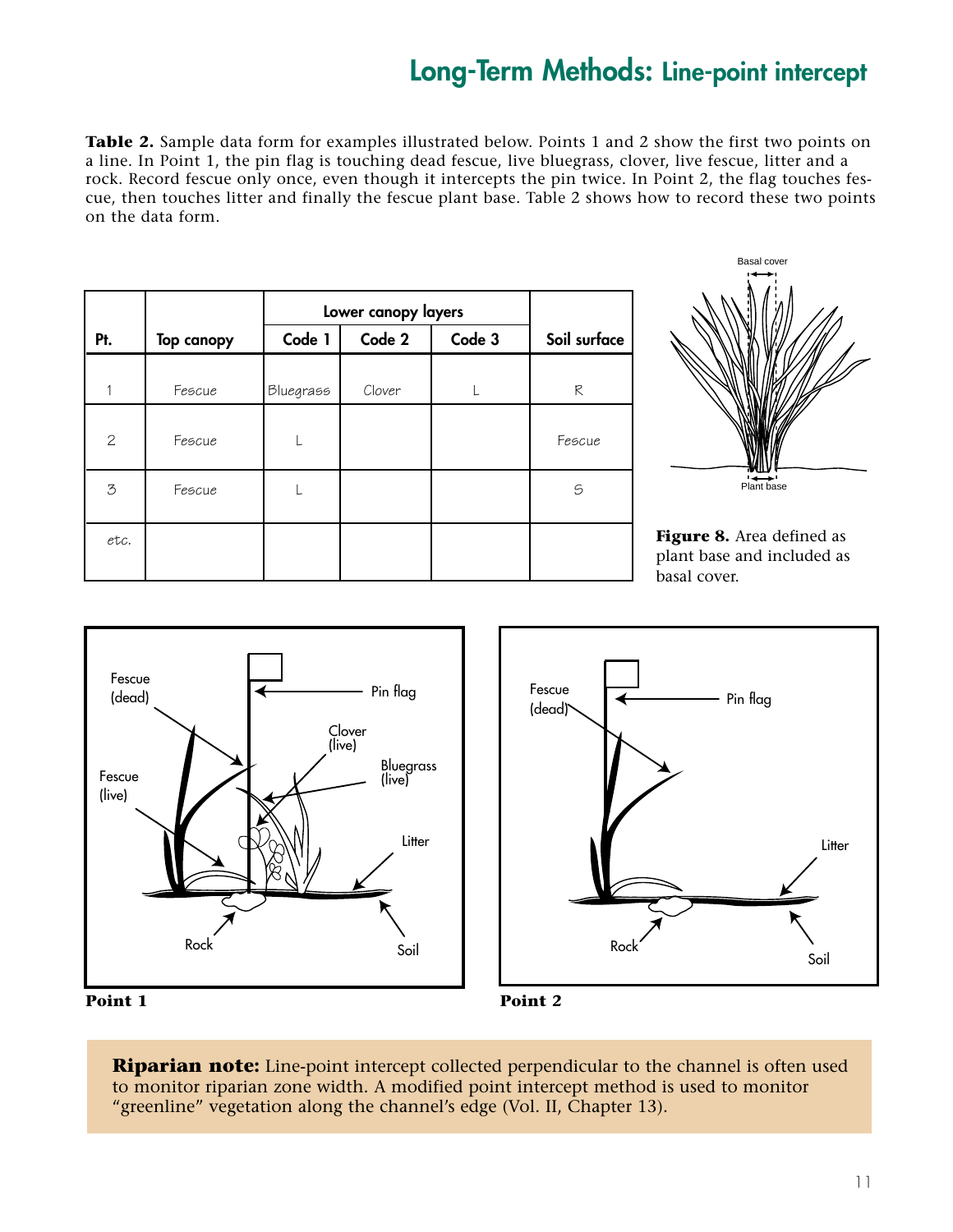## **Long-Term Methods: Line-point intercept**

**Table 2.** Sample data form for examples illustrated below. Points 1 and 2 show the first two points on a line. In Point 1, the pin flag is touching dead fescue, live bluegrass, clover, live fescue, litter and a rock. Record fescue only once, even though it intercepts the pin twice. In Point 2, the flag touches fescue, then touches litter and finally the fescue plant base. Table 2 shows how to record these two points on the data form.

|                |                   | Lower canopy layers |        |        |              |
|----------------|-------------------|---------------------|--------|--------|--------------|
| Pt.            | <b>Top canopy</b> | Code 1              | Code 2 | Code 3 | Soil surface |
| 1              | Fescue            | <b>Bluegrass</b>    | Clover |        | R            |
| $\overline{c}$ | Fescue            |                     |        |        | Fescue       |
| 3              | Fescue            |                     |        |        | S            |
| etc.           |                   |                     |        |        |              |



**Figure 8.** Area defined as plant base and included as basal cover.





**Point 1**



**Riparian note:** Line-point intercept collected perpendicular to the channel is often used to monitor riparian zone width. A modified point intercept method is used to monitor "greenline" vegetation along the channel's edge (Vol. II, Chapter 13).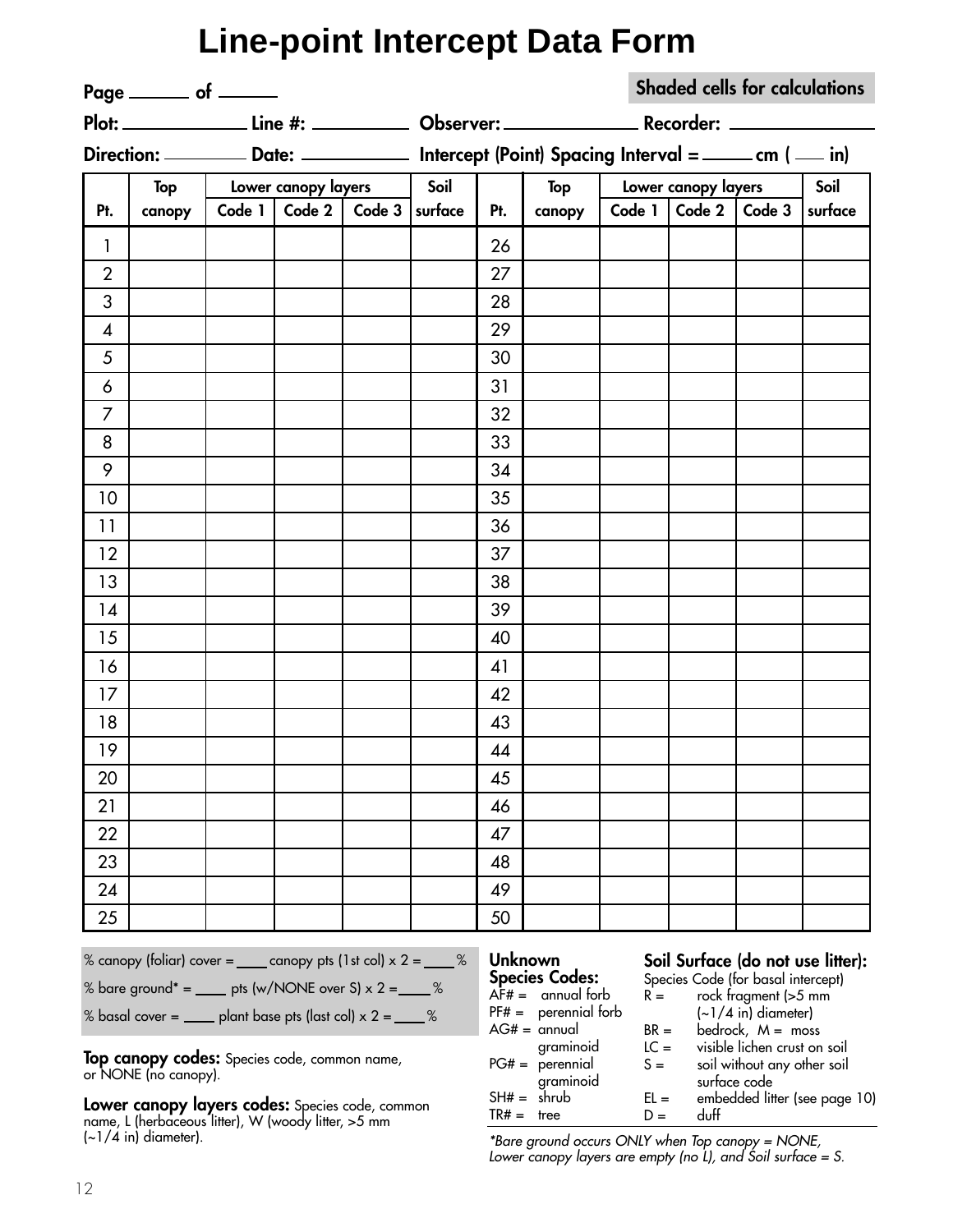|                | <b>Line-point Intercept Data Form</b>                                                                                                                                                                                                                                                                                                                                                                                                                      |        |                     |                  |      |     |                                                                                                                                                                                            |                                                       |                     |                                                                                                                                                                                                                                |                              |
|----------------|------------------------------------------------------------------------------------------------------------------------------------------------------------------------------------------------------------------------------------------------------------------------------------------------------------------------------------------------------------------------------------------------------------------------------------------------------------|--------|---------------------|------------------|------|-----|--------------------------------------------------------------------------------------------------------------------------------------------------------------------------------------------|-------------------------------------------------------|---------------------|--------------------------------------------------------------------------------------------------------------------------------------------------------------------------------------------------------------------------------|------------------------------|
|                | Page ________ of ______                                                                                                                                                                                                                                                                                                                                                                                                                                    |        |                     |                  |      |     |                                                                                                                                                                                            |                                                       |                     | <b>Shaded cells for calculations</b>                                                                                                                                                                                           |                              |
|                |                                                                                                                                                                                                                                                                                                                                                                                                                                                            |        |                     |                  |      |     |                                                                                                                                                                                            |                                                       |                     |                                                                                                                                                                                                                                |                              |
|                |                                                                                                                                                                                                                                                                                                                                                                                                                                                            |        |                     |                  |      |     |                                                                                                                                                                                            |                                                       |                     |                                                                                                                                                                                                                                |                              |
|                | Top                                                                                                                                                                                                                                                                                                                                                                                                                                                        |        | Lower canopy layers |                  | Soil |     | Top                                                                                                                                                                                        |                                                       | Lower canopy layers |                                                                                                                                                                                                                                | Soil                         |
| Pt.            | canopy                                                                                                                                                                                                                                                                                                                                                                                                                                                     | Code 1 | Code $2$            | Code $3$ surface |      | Pt. | canopy                                                                                                                                                                                     |                                                       |                     | Code $1  $ Code $2  $ Code $3  $                                                                                                                                                                                               | surface                      |
| $\mathbf{1}$   |                                                                                                                                                                                                                                                                                                                                                                                                                                                            |        |                     |                  |      | 26  |                                                                                                                                                                                            |                                                       |                     |                                                                                                                                                                                                                                |                              |
| $\overline{2}$ |                                                                                                                                                                                                                                                                                                                                                                                                                                                            |        |                     |                  |      | 27  |                                                                                                                                                                                            |                                                       |                     |                                                                                                                                                                                                                                |                              |
| 3              |                                                                                                                                                                                                                                                                                                                                                                                                                                                            |        |                     |                  |      | 28  |                                                                                                                                                                                            |                                                       |                     |                                                                                                                                                                                                                                |                              |
| 4              |                                                                                                                                                                                                                                                                                                                                                                                                                                                            |        |                     |                  |      | 29  |                                                                                                                                                                                            |                                                       |                     |                                                                                                                                                                                                                                |                              |
| 5              |                                                                                                                                                                                                                                                                                                                                                                                                                                                            |        |                     |                  |      | 30  |                                                                                                                                                                                            |                                                       |                     |                                                                                                                                                                                                                                |                              |
| 6              |                                                                                                                                                                                                                                                                                                                                                                                                                                                            |        |                     |                  |      | 31  |                                                                                                                                                                                            |                                                       |                     |                                                                                                                                                                                                                                |                              |
| 7              |                                                                                                                                                                                                                                                                                                                                                                                                                                                            |        |                     |                  |      | 32  |                                                                                                                                                                                            |                                                       |                     |                                                                                                                                                                                                                                |                              |
| 8              |                                                                                                                                                                                                                                                                                                                                                                                                                                                            |        |                     |                  |      | 33  |                                                                                                                                                                                            |                                                       |                     |                                                                                                                                                                                                                                |                              |
| 9              |                                                                                                                                                                                                                                                                                                                                                                                                                                                            |        |                     |                  |      | 34  |                                                                                                                                                                                            |                                                       |                     |                                                                                                                                                                                                                                |                              |
| 10             |                                                                                                                                                                                                                                                                                                                                                                                                                                                            |        |                     |                  |      | 35  |                                                                                                                                                                                            |                                                       |                     |                                                                                                                                                                                                                                |                              |
| 11             |                                                                                                                                                                                                                                                                                                                                                                                                                                                            |        |                     |                  |      | 36  |                                                                                                                                                                                            |                                                       |                     |                                                                                                                                                                                                                                |                              |
| 12             |                                                                                                                                                                                                                                                                                                                                                                                                                                                            |        |                     |                  |      | 37  |                                                                                                                                                                                            |                                                       |                     |                                                                                                                                                                                                                                |                              |
| 13             |                                                                                                                                                                                                                                                                                                                                                                                                                                                            |        |                     |                  |      | 38  |                                                                                                                                                                                            |                                                       |                     |                                                                                                                                                                                                                                |                              |
| 14             |                                                                                                                                                                                                                                                                                                                                                                                                                                                            |        |                     |                  |      | 39  |                                                                                                                                                                                            |                                                       |                     |                                                                                                                                                                                                                                |                              |
| 15             |                                                                                                                                                                                                                                                                                                                                                                                                                                                            |        |                     |                  |      | 40  |                                                                                                                                                                                            |                                                       |                     |                                                                                                                                                                                                                                |                              |
| 16             |                                                                                                                                                                                                                                                                                                                                                                                                                                                            |        |                     |                  |      | 41  |                                                                                                                                                                                            |                                                       |                     |                                                                                                                                                                                                                                |                              |
| 17             |                                                                                                                                                                                                                                                                                                                                                                                                                                                            |        |                     |                  |      | 42  |                                                                                                                                                                                            |                                                       |                     |                                                                                                                                                                                                                                |                              |
| 18             |                                                                                                                                                                                                                                                                                                                                                                                                                                                            |        |                     |                  |      | 43  |                                                                                                                                                                                            |                                                       |                     |                                                                                                                                                                                                                                |                              |
| 19             |                                                                                                                                                                                                                                                                                                                                                                                                                                                            |        |                     |                  |      | 44  |                                                                                                                                                                                            |                                                       |                     |                                                                                                                                                                                                                                |                              |
| 20             |                                                                                                                                                                                                                                                                                                                                                                                                                                                            |        |                     |                  |      | 45  |                                                                                                                                                                                            |                                                       |                     |                                                                                                                                                                                                                                |                              |
| 21             |                                                                                                                                                                                                                                                                                                                                                                                                                                                            |        |                     |                  |      | 46  |                                                                                                                                                                                            |                                                       |                     |                                                                                                                                                                                                                                |                              |
| 22             |                                                                                                                                                                                                                                                                                                                                                                                                                                                            |        |                     |                  |      | 47  |                                                                                                                                                                                            |                                                       |                     |                                                                                                                                                                                                                                |                              |
| 23             |                                                                                                                                                                                                                                                                                                                                                                                                                                                            |        |                     |                  |      | 48  |                                                                                                                                                                                            |                                                       |                     |                                                                                                                                                                                                                                |                              |
| 24             |                                                                                                                                                                                                                                                                                                                                                                                                                                                            |        |                     |                  |      | 49  |                                                                                                                                                                                            |                                                       |                     |                                                                                                                                                                                                                                |                              |
| 25             |                                                                                                                                                                                                                                                                                                                                                                                                                                                            |        |                     |                  |      | 50  |                                                                                                                                                                                            |                                                       |                     |                                                                                                                                                                                                                                |                              |
|                | % canopy (foliar) cover = $\_\_\_\_$ canopy pts (1st col) $\times$ 2 = $\_\_\_\_$ %<br>% bare ground* = $\rule{1em}{0.15mm}$ pts (w/NONE over S) x 2 = $\rule{1em}{0.15mm}$ = $\degree$<br>% basal cover = $\frac{1}{2}$ plant base pts (last col) x 2 = $\frac{1}{2}$ %<br>Top canopy codes: Species code, common name,<br>or NONE (no canopy).<br>Lower canopy layers codes: Species code, common<br>name, L (herbaceous litter), W (woody litter, >5 mm |        |                     |                  |      |     | <b>Unknown</b><br><b>Species Codes:</b><br>$AF# =$ annual forb<br>$PF# =$ perennial forb<br>$AG# =$ annual<br>graminoid<br>$PG# = perennial$<br>graminoid<br>$SH# =$ shrub<br>$TR# =$ tree | $R =$<br>$BR =$<br>$LC =$<br>$S =$<br>$EL =$<br>$D =$ | duff                | Soil Surface (do not use litter):<br>Species Code (for basal intercept)<br>rock fragment (>5 mm<br>$(-1/4$ in) diameter)<br>bedrock, $M =$ moss<br>visible lichen crust on soil<br>soil without any other soil<br>surface code | embedded litter (see page 10 |
| 12             | $\left(\sim\frac{1}{4}$ in) diameter).                                                                                                                                                                                                                                                                                                                                                                                                                     |        |                     |                  |      |     | *Bare ground occurs ONLY when Top canopy = NONE,<br>Lower canopy layers are empty (no L), and Soil surface = S.                                                                            |                                                       |                     |                                                                                                                                                                                                                                |                              |

#### **Soil Surface (do not use litter):**

| Species Codes:         | Species Code (for basal intercept) |                                                       |  |  |  |  |
|------------------------|------------------------------------|-------------------------------------------------------|--|--|--|--|
| $AF# =$ annual forb    |                                    | rock fragment (>5 mm                                  |  |  |  |  |
| $PF# =$ perennial forb |                                    | $\left(\sim\right)/4$ in) diameter)                   |  |  |  |  |
| AG# = annual           |                                    | bedrock, $M =$ moss                                   |  |  |  |  |
| graminoid              |                                    | visible lichen crust on soil                          |  |  |  |  |
| $PG# = perennial$      |                                    | soil without any other soil                           |  |  |  |  |
| graminoid              |                                    | surface code                                          |  |  |  |  |
| SH# = shrub            |                                    | embedded litter (see page 10)                         |  |  |  |  |
| tree                   |                                    | duff                                                  |  |  |  |  |
|                        |                                    | $R =$<br>$BR =$<br>$LC =$<br>$S =$<br>$EL =$<br>$D =$ |  |  |  |  |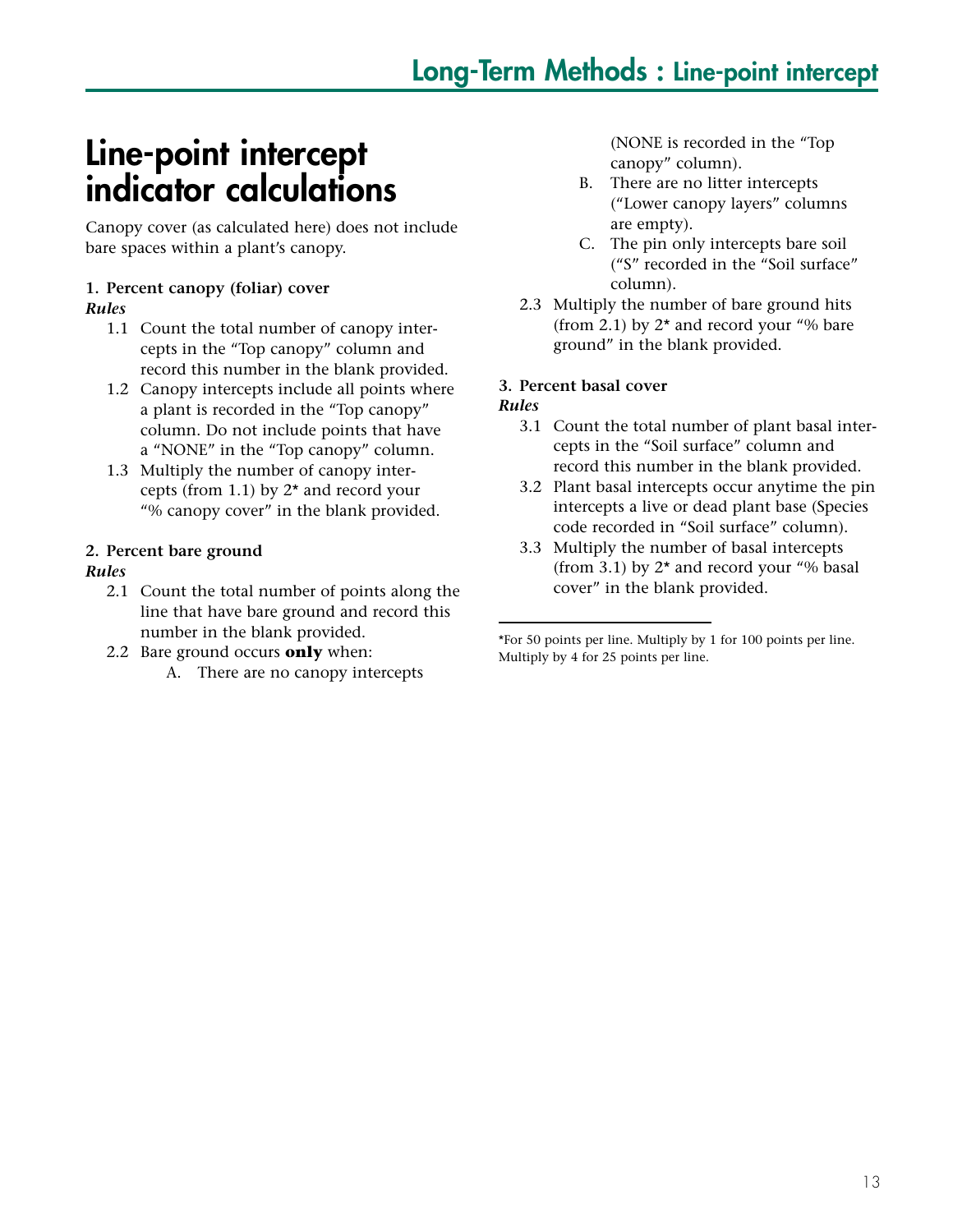## **Line-point intercept indicator calculations**

Canopy cover (as calculated here) does not include bare spaces within a plant's canopy.

#### **1. Percent canopy (foliar) cover**

#### *Rules*

- 1.1 Count the total number of canopy intercepts in the "Top canopy" column and record this number in the blank provided.
- 1.2 Canopy intercepts include all points where a plant is recorded in the "Top canopy" column. Do not include points that have a "NONE" in the "Top canopy" column.
- 1.3 Multiply the number of canopy intercepts (from 1.1) by 2\* and record your "% canopy cover" in the blank provided.

#### **2. Percent bare ground**

#### *Rules*

- 2.1 Count the total number of points along the line that have bare ground and record this number in the blank provided.
- 2.2 Bare ground occurs **only** when: A. There are no canopy intercepts

(NONE is recorded in the "Top canopy" column).

- B. There are no litter intercepts ("Lower canopy layers" columns are empty).
- C. The pin only intercepts bare soil ("S" recorded in the "Soil surface" column).
- 2.3 Multiply the number of bare ground hits (from 2.1) by  $2^*$  and record your "% bare ground" in the blank provided.

#### **3. Percent basal cover**

#### *Rules*

- 3.1 Count the total number of plant basal intercepts in the "Soil surface" column and record this number in the blank provided.
- 3.2 Plant basal intercepts occur anytime the pin intercepts a live or dead plant base (Species code recorded in "Soil surface" column).
- 3.3 Multiply the number of basal intercepts (from 3.1) by  $2^*$  and record your "% basal cover" in the blank provided.

<sup>\*</sup>For 50 points per line. Multiply by 1 for 100 points per line. Multiply by 4 for 25 points per line.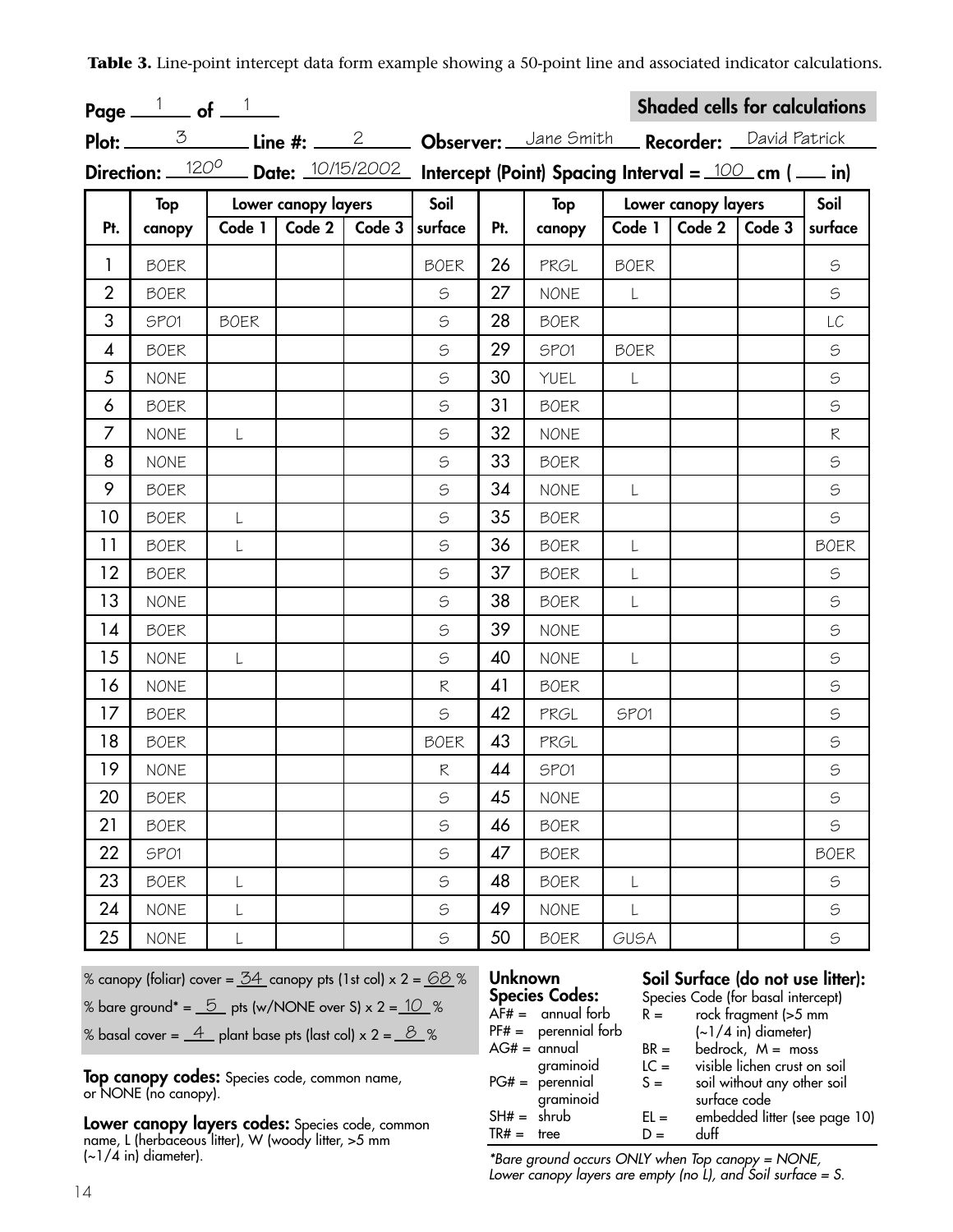**Table 3.** Line-point intercept data form example showing a 50-point line and associated indicator calculations.

|                | Page $1$ of $1$ |             |                     |        |                                                                                                                                            |     |                                                                |             |                     | <b>Shaded cells for calculations</b> |               |
|----------------|-----------------|-------------|---------------------|--------|--------------------------------------------------------------------------------------------------------------------------------------------|-----|----------------------------------------------------------------|-------------|---------------------|--------------------------------------|---------------|
|                |                 |             |                     |        |                                                                                                                                            |     | Plot: 3 Line #: 2 Dbserver: Jane Smith Recorder: David Patrick |             |                     |                                      |               |
|                |                 |             |                     |        | Direction: $\frac{120^{\circ}}{\circ}$ Date: $\frac{10/15/2002}{\circ}$ Intercept (Point) Spacing Interval = $\frac{100}{\circ}$ cm (  in) |     |                                                                |             |                     |                                      |               |
|                | Top             |             | Lower canopy layers |        | Soil                                                                                                                                       |     | Top                                                            |             | Lower canopy layers |                                      | Soil          |
| Pt.            | canopy          | Code 1      | Code 2              | Code 3 | surface                                                                                                                                    | Pt. | canopy                                                         | Code 1      | Code 2              | Code 3                               | surface       |
| $\mathbf{1}$   | <b>BOER</b>     |             |                     |        | <b>BOER</b>                                                                                                                                | 26  | PRGL                                                           | <b>BOER</b> |                     |                                      | $\mathfrak S$ |
| $\overline{2}$ | <b>BOER</b>     |             |                     |        | $\mathfrak S$                                                                                                                              | 27  | <b>NONE</b>                                                    | $\lfloor$   |                     |                                      | $\mathfrak S$ |
| 3              | SPO1            | <b>BOER</b> |                     |        | $\mathfrak S$                                                                                                                              | 28  | <b>BOER</b>                                                    |             |                     |                                      | LC            |
| 4              | <b>BOER</b>     |             |                     |        | $\mathfrak S$                                                                                                                              | 29  | SPO1                                                           | <b>BOER</b> |                     |                                      | $\mathfrak S$ |
| 5              | <b>NONE</b>     |             |                     |        | $\mathfrak S$                                                                                                                              | 30  | YUEL                                                           | L           |                     |                                      | $\mathfrak S$ |
| 6              | <b>BOER</b>     |             |                     |        | $\mathfrak S$                                                                                                                              | 31  | <b>BOER</b>                                                    |             |                     |                                      | $\mathfrak S$ |
| $\overline{7}$ | <b>NONE</b>     | L           |                     |        | $\mathfrak S$                                                                                                                              | 32  | <b>NONE</b>                                                    |             |                     |                                      | R             |
| 8              | <b>NONE</b>     |             |                     |        | $\mathfrak S$                                                                                                                              | 33  | <b>BOER</b>                                                    |             |                     |                                      | $\mathfrak S$ |
| 9              | <b>BOER</b>     |             |                     |        | $\mathfrak S$                                                                                                                              | 34  | <b>NONE</b>                                                    | L           |                     |                                      | $\mathfrak S$ |
| 10             | <b>BOER</b>     | L           |                     |        | $\mathfrak S$                                                                                                                              | 35  | <b>BOER</b>                                                    |             |                     |                                      | $\mathfrak S$ |
| 11             | <b>BOER</b>     | L           |                     |        | $\mathfrak S$                                                                                                                              | 36  | <b>BOER</b>                                                    | L           |                     |                                      | <b>BOER</b>   |
| 12             | <b>BOER</b>     |             |                     |        | $\mathfrak S$                                                                                                                              | 37  | <b>BOER</b>                                                    | L           |                     |                                      | $\mathfrak S$ |
| 13             | <b>NONE</b>     |             |                     |        | $\mathfrak S$                                                                                                                              | 38  | <b>BOER</b>                                                    | L           |                     |                                      | $\mathfrak S$ |
| 14             | <b>BOER</b>     |             |                     |        | $\mathfrak S$                                                                                                                              | 39  | <b>NONE</b>                                                    |             |                     |                                      | $\mathfrak S$ |
| 15             | <b>NONE</b>     | L           |                     |        | $\mathfrak S$                                                                                                                              | 40  | <b>NONE</b>                                                    | L           |                     |                                      | $\mathfrak S$ |
| 16             | <b>NONE</b>     |             |                     |        | R                                                                                                                                          | 41  | <b>BOER</b>                                                    |             |                     |                                      | $\mathfrak S$ |
| 17             | <b>BOER</b>     |             |                     |        | $\mathfrak S$                                                                                                                              | 42  | PRGL                                                           | SPO1        |                     |                                      | $\mathfrak S$ |
| 18             | <b>BOER</b>     |             |                     |        | <b>BOER</b>                                                                                                                                | 43  | PRGL                                                           |             |                     |                                      | $\mathbb S$   |
| 19             | <b>NONE</b>     |             |                     |        | R                                                                                                                                          | 44  | SPO1                                                           |             |                     |                                      | $\mathbb S$   |
| 20             | <b>BOER</b>     |             |                     |        | S                                                                                                                                          | 45  | <b>NONE</b>                                                    |             |                     |                                      | $\mathfrak S$ |
| 21             | <b>BOER</b>     |             |                     |        | $\mathfrak S$                                                                                                                              | 46  | <b>BOER</b>                                                    |             |                     |                                      | $\mathfrak S$ |
| 22             | SPO1            |             |                     |        | $\mathfrak S$                                                                                                                              | 47  | <b>BOER</b>                                                    |             |                     |                                      | <b>BOER</b>   |
| 23             | <b>BOER</b>     |             |                     |        | $\mathfrak S$                                                                                                                              | 48  | <b>BOER</b>                                                    | L           |                     |                                      | $\mathfrak S$ |
| 24             | <b>NONE</b>     | L           |                     |        | $\mathfrak S$                                                                                                                              | 49  | <b>NONE</b>                                                    | L           |                     |                                      | $\mathfrak S$ |
| 25             | <b>NONE</b>     |             |                     |        | $\mathbb S$                                                                                                                                | 50  | <b>BOER</b>                                                    | GUSA        |                     |                                      | $\mathfrak S$ |

% canopy (foliar) cover = <u>34</u> canopy pts (1st col) x 2 = <u>68</u> %

% bare ground\* =  $\underline{\hspace{0.1cm}5\hspace{0.1cm}}$  pts (w/NONE over S) x 2 =  $\underline{\hspace{0.1cm}1O\hspace{0.1cm}}$  %

% basal cover =  $\underline{\hspace{0.3cm}4\hspace{0.3cm}}$  plant base pts (last col) x 2 =  $\underline{\hspace{0.3cm}\mathcal{B}\hspace{0.3cm}}$  %

**Top canopy codes:** Species code, common name, or NONE (no canopy).

**Lower canopy layers codes:** Species code, common name, L (herbaceous litter), W (woody litter, >5 mm  $(-1/4$  in) diameter).

## **Unknown**

#### **Soil Surface (do not use litter):**

|        | Species Code (for basal intercept)  |
|--------|-------------------------------------|
| $R =$  | rock fragment (>5 mm                |
|        | $\left(\sim\right)/4$ in) diameter) |
| $BR =$ | bedrock, $M =$ moss                 |
| $LC =$ | visible lichen crust on soil        |
| $S =$  | soil without any other soil         |
|        | surface code                        |
| $EL =$ | embedded litter (see page 10)       |
| $D =$  | duff                                |
|        |                                     |

*\*Bare ground occurs ONLY when Top canopy = NONE, Lower canopy layers are empty (no L), and Soil surface = S.*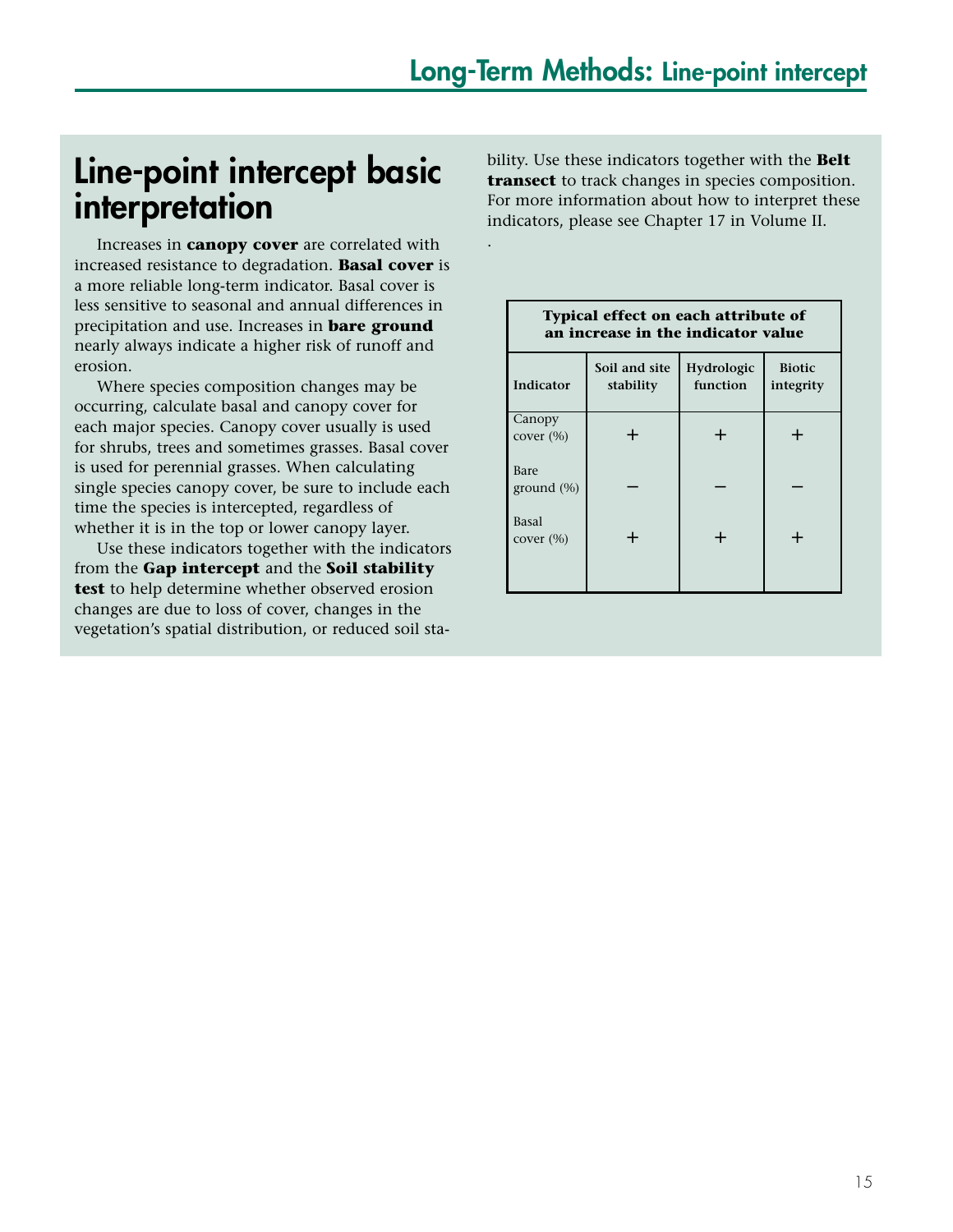.

## **Line-point intercept basic interpretation**

Increases in **canopy cover** are correlated with increased resistance to degradation. **Basal cover** is a more reliable long-term indicator. Basal cover is less sensitive to seasonal and annual differences in precipitation and use. Increases in **bare ground** nearly always indicate a higher risk of runoff and erosion.

Where species composition changes may be occurring, calculate basal and canopy cover for each major species. Canopy cover usually is used for shrubs, trees and sometimes grasses. Basal cover is used for perennial grasses. When calculating single species canopy cover, be sure to include each time the species is intercepted, regardless of whether it is in the top or lower canopy layer.

Use these indicators together with the indicators from the **Gap intercept** and the **Soil stability test** to help determine whether observed erosion changes are due to loss of cover, changes in the vegetation's spatial distribution, or reduced soil stability. Use these indicators together with the **Belt transect** to track changes in species composition. For more information about how to interpret these indicators, please see Chapter 17 in Volume II.

| Typical effect on each attribute of<br>an increase in the indicator value |                                                                                    |       |       |  |  |  |  |  |
|---------------------------------------------------------------------------|------------------------------------------------------------------------------------|-------|-------|--|--|--|--|--|
| Indicator                                                                 | Soil and site<br>Hydrologic<br><b>Biotic</b><br>function<br>stability<br>integrity |       |       |  |  |  |  |  |
| Canopy<br>cover $(\% )$                                                   | ┵                                                                                  | ┿     | ┿     |  |  |  |  |  |
| Bare<br>ground $(\%)$                                                     |                                                                                    |       |       |  |  |  |  |  |
| Basal<br>cover $(\% )$                                                    | $\pm$                                                                              | $\pm$ | $\pm$ |  |  |  |  |  |
|                                                                           |                                                                                    |       |       |  |  |  |  |  |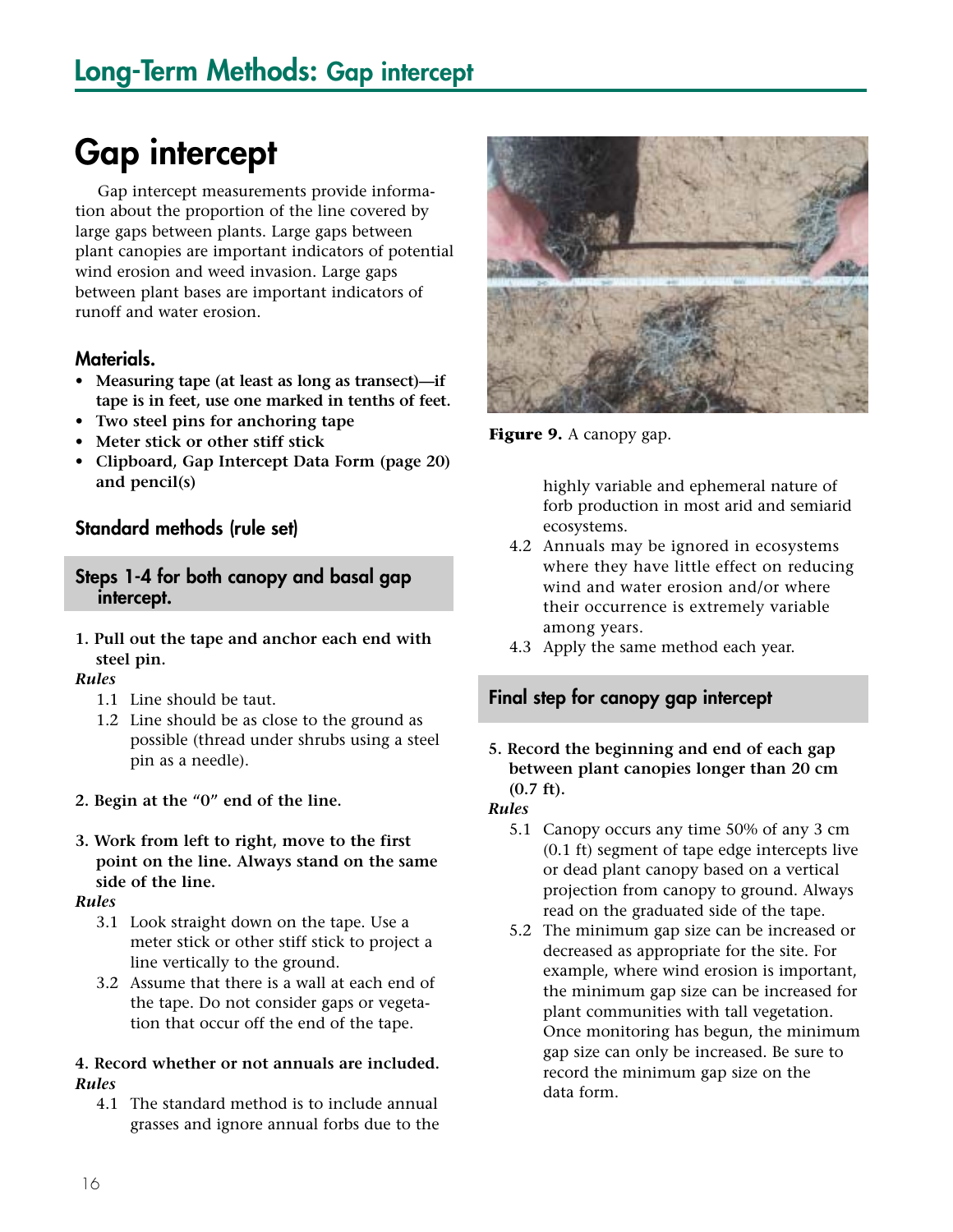## **Gap intercept**

Gap intercept measurements provide information about the proportion of the line covered by large gaps between plants. Large gaps between plant canopies are important indicators of potential wind erosion and weed invasion. Large gaps between plant bases are important indicators of runoff and water erosion.

#### **Materials.**

- **Measuring tape (at least as long as transect)—if tape is in feet, use one marked in tenths of feet.**
- **Two steel pins for anchoring tape**
- **Meter stick or other stiff stick**
- **Clipboard, Gap Intercept Data Form (page 20) and pencil(s)**

#### **Standard methods (rule set)**

#### **Steps 1-4 for both canopy and basal gap intercept.**

**1. Pull out the tape and anchor each end with steel pin.**

#### *Rules*

- 1.1 Line should be taut.
- 1.2 Line should be as close to the ground as possible (thread under shrubs using a steel pin as a needle).
- **2. Begin at the "0" end of the line.**
- **3. Work from left to right, move to the first point on the line. Always stand on the same side of the line.**

#### *Rules*

- 3.1 Look straight down on the tape. Use a meter stick or other stiff stick to project a line vertically to the ground.
- 3.2 Assume that there is a wall at each end of the tape. Do not consider gaps or vegetation that occur off the end of the tape.

#### **4. Record whether or not annuals are included.**  *Rules*

4.1 The standard method is to include annual grasses and ignore annual forbs due to the



**Figure 9.** A canopy gap.

highly variable and ephemeral nature of forb production in most arid and semiarid ecosystems.

- 4.2 Annuals may be ignored in ecosystems where they have little effect on reducing wind and water erosion and/or where their occurrence is extremely variable among years.
- 4.3 Apply the same method each year.

#### **Final step for canopy gap intercept**

#### **5. Record the beginning and end of each gap between plant canopies longer than 20 cm (0.7 ft).**

#### *Rules*

- 5.1 Canopy occurs any time 50% of any 3 cm (0.1 ft) segment of tape edge intercepts live or dead plant canopy based on a vertical projection from canopy to ground. Always read on the graduated side of the tape.
- 5.2 The minimum gap size can be increased or decreased as appropriate for the site. For example, where wind erosion is important, the minimum gap size can be increased for plant communities with tall vegetation. Once monitoring has begun, the minimum gap size can only be increased. Be sure to record the minimum gap size on the data form.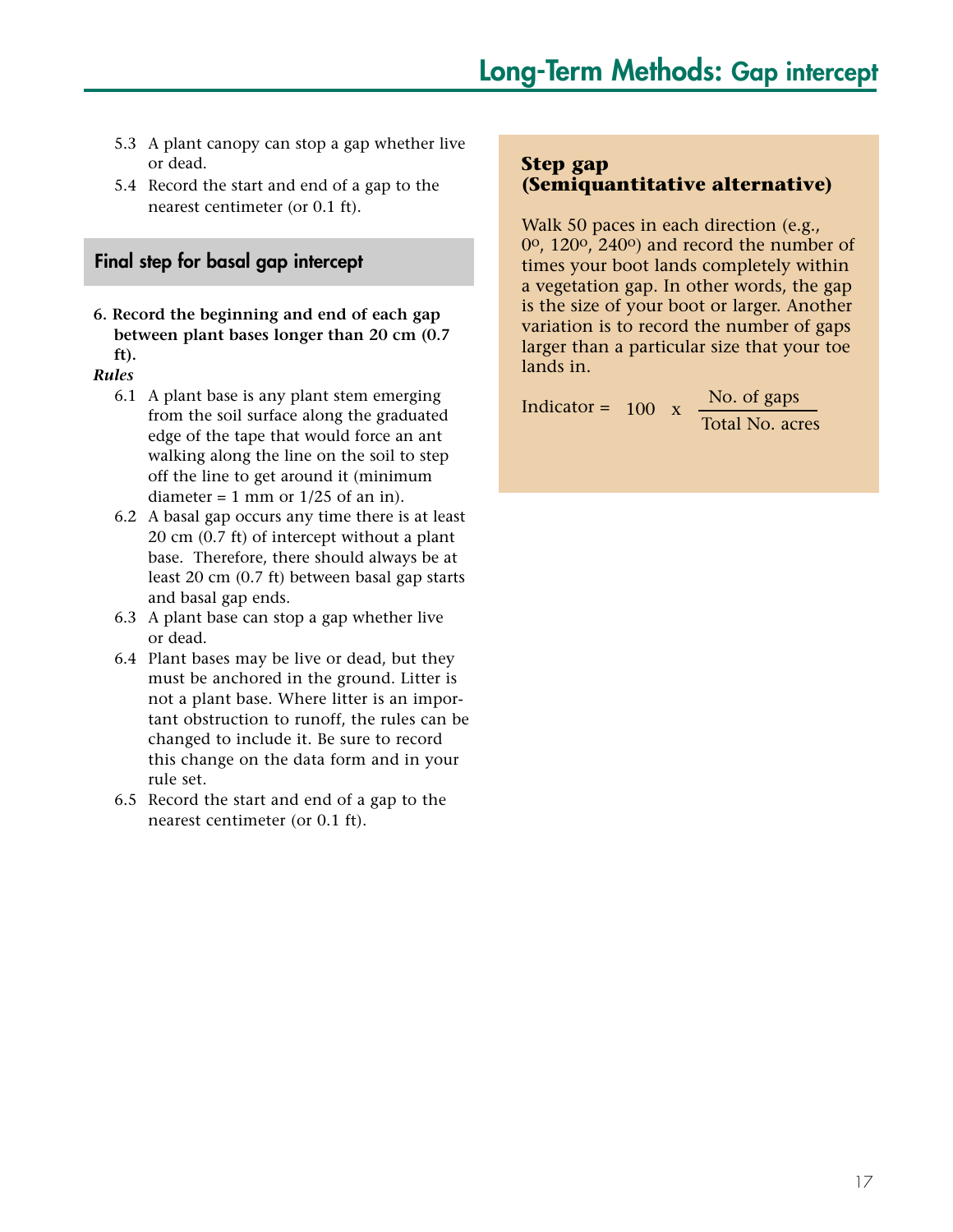- 5.3 A plant canopy can stop a gap whether live or dead.
- 5.4 Record the start and end of a gap to the nearest centimeter (or 0.1 ft).

#### **Final step for basal gap intercept**

**6. Record the beginning and end of each gap between plant bases longer than 20 cm (0.7 ft).**

#### *Rules*

- 6.1 A plant base is any plant stem emerging from the soil surface along the graduated edge of the tape that would force an ant walking along the line on the soil to step off the line to get around it (minimum diameter = 1 mm or  $1/25$  of an in).
- 6.2 A basal gap occurs any time there is at least 20 cm (0.7 ft) of intercept without a plant base. Therefore, there should always be at least 20 cm (0.7 ft) between basal gap starts and basal gap ends.
- 6.3 A plant base can stop a gap whether live or dead.
- 6.4 Plant bases may be live or dead, but they must be anchored in the ground. Litter is not a plant base. Where litter is an important obstruction to runoff, the rules can be changed to include it. Be sure to record this change on the data form and in your rule set.
- 6.5 Record the start and end of a gap to the nearest centimeter (or 0.1 ft).

#### **Step gap (Semiquantitative alternative)**

Walk 50 paces in each direction (e.g., 0o, 120o, 240o) and record the number of times your boot lands completely within a vegetation gap. In other words, the gap is the size of your boot or larger. Another variation is to record the number of gaps larger than a particular size that your toe lands in.

Indicator =

```
Total No. acres 
100 x \frac{\text{No. of gaps}}{\text{The day}}
```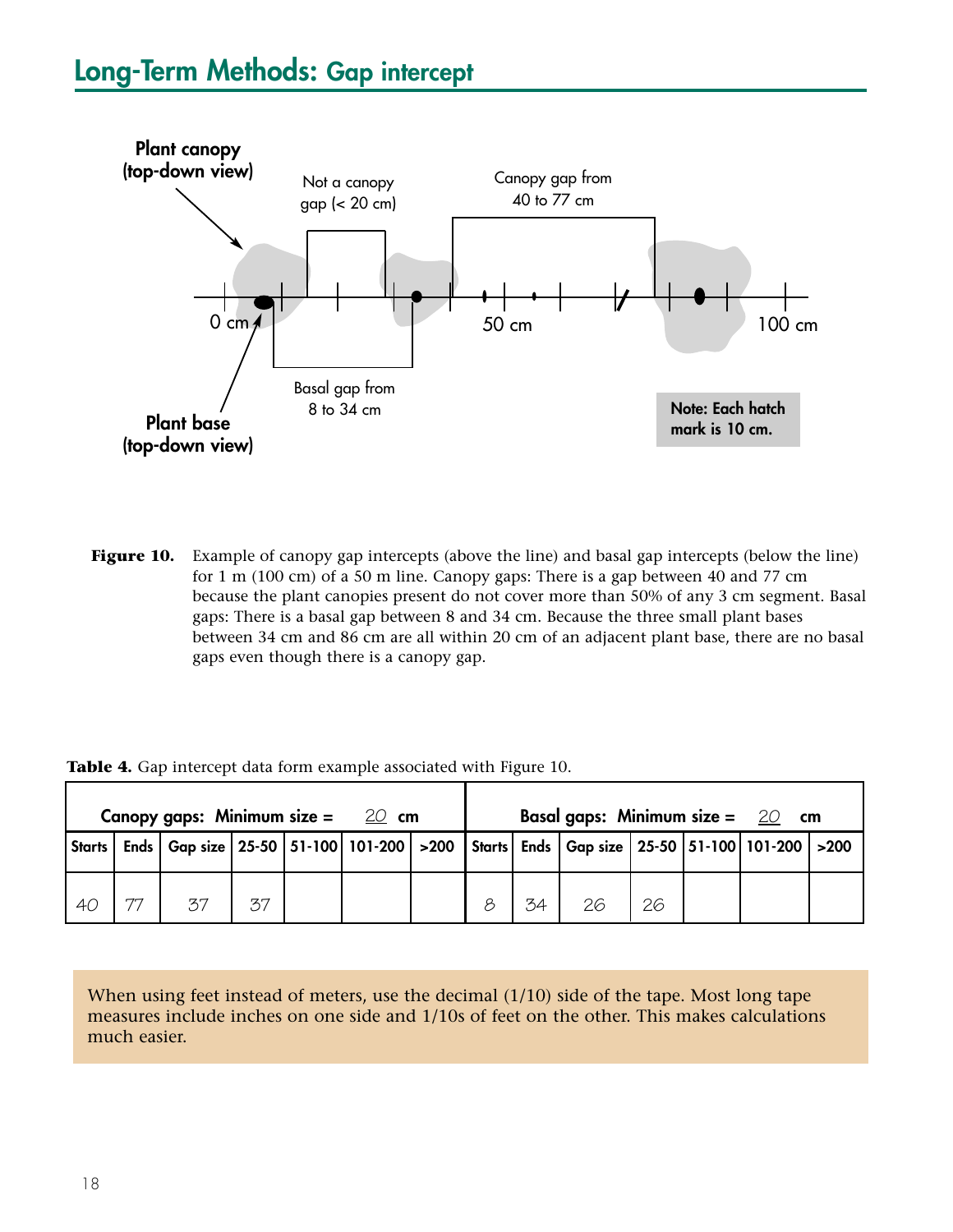## **Long-Term Methods: Gap intercept**



Figure 10. Example of canopy gap intercepts (above the line) and basal gap intercepts (below the line) for 1 m (100 cm) of a 50 m line. Canopy gaps: There is a gap between 40 and 77 cm because the plant canopies present do not cover more than 50% of any 3 cm segment. Basal gaps: There is a basal gap between 8 and 34 cm. Because the three small plant bases between 34 cm and 86 cm are all within 20 cm of an adjacent plant base, there are no basal gaps even though there is a canopy gap.

|        |    | Canopy gaps: Minimum size = $20$ cm |    |  |  |    | Basal gaps: Minimum size = $20$ cm                                                                             |    |  |  |
|--------|----|-------------------------------------|----|--|--|----|----------------------------------------------------------------------------------------------------------------|----|--|--|
| Starts |    |                                     |    |  |  |    | Ends   Gap size   25-50   51-100   101-200   >200   Starts   Ends   Gap size   25-50   51-100   101-200   >200 |    |  |  |
| 40     | 77 | 37                                  | 37 |  |  | 34 | 26                                                                                                             | 26 |  |  |

Table 4. Gap intercept data form example associated with Figure 10.

When using feet instead of meters, use the decimal (1/10) side of the tape. Most long tape measures include inches on one side and 1/10s of feet on the other. This makes calculations much easier.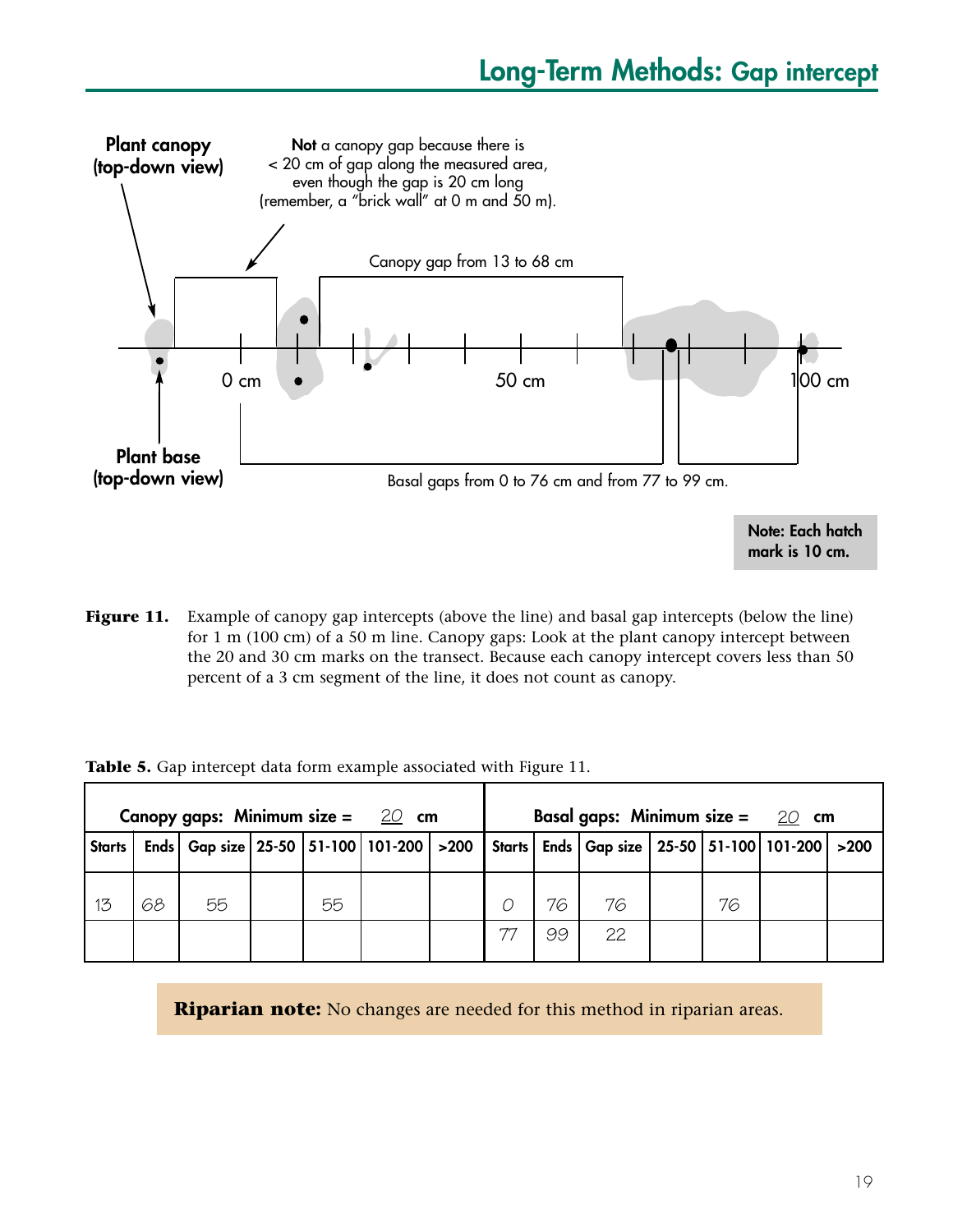

**mark is 10 cm.**

**Figure 11.** Example of canopy gap intercepts (above the line) and basal gap intercepts (below the line) for 1 m (100 cm) of a 50 m line. Canopy gaps: Look at the plant canopy intercept between the 20 and 30 cm marks on the transect. Because each canopy intercept covers less than 50 percent of a 3 cm segment of the line, it does not count as canopy.

|  |  |  | Table 5. Gap intercept data form example associated with Figure 11. |  |  |
|--|--|--|---------------------------------------------------------------------|--|--|
|  |  |  |                                                                     |  |  |

|               |    | Canopy gaps: Minimum size = $20$ cm                        |    |  | Basal gaps: Minimum size = $20$ cm |    |                                                   |  |    |  |  |
|---------------|----|------------------------------------------------------------|----|--|------------------------------------|----|---------------------------------------------------|--|----|--|--|
| <b>Starts</b> |    | Ends   Gap size   25-50   51-100   101-200   >200   Starts |    |  |                                    |    | Ends   Gap size   25-50   51-100   101-200   >200 |  |    |  |  |
| 13            | 68 | 55                                                         | 55 |  |                                    | 76 | 76                                                |  | 76 |  |  |
|               |    |                                                            |    |  |                                    | 99 | 22                                                |  |    |  |  |

**Riparian note:** No changes are needed for this method in riparian areas.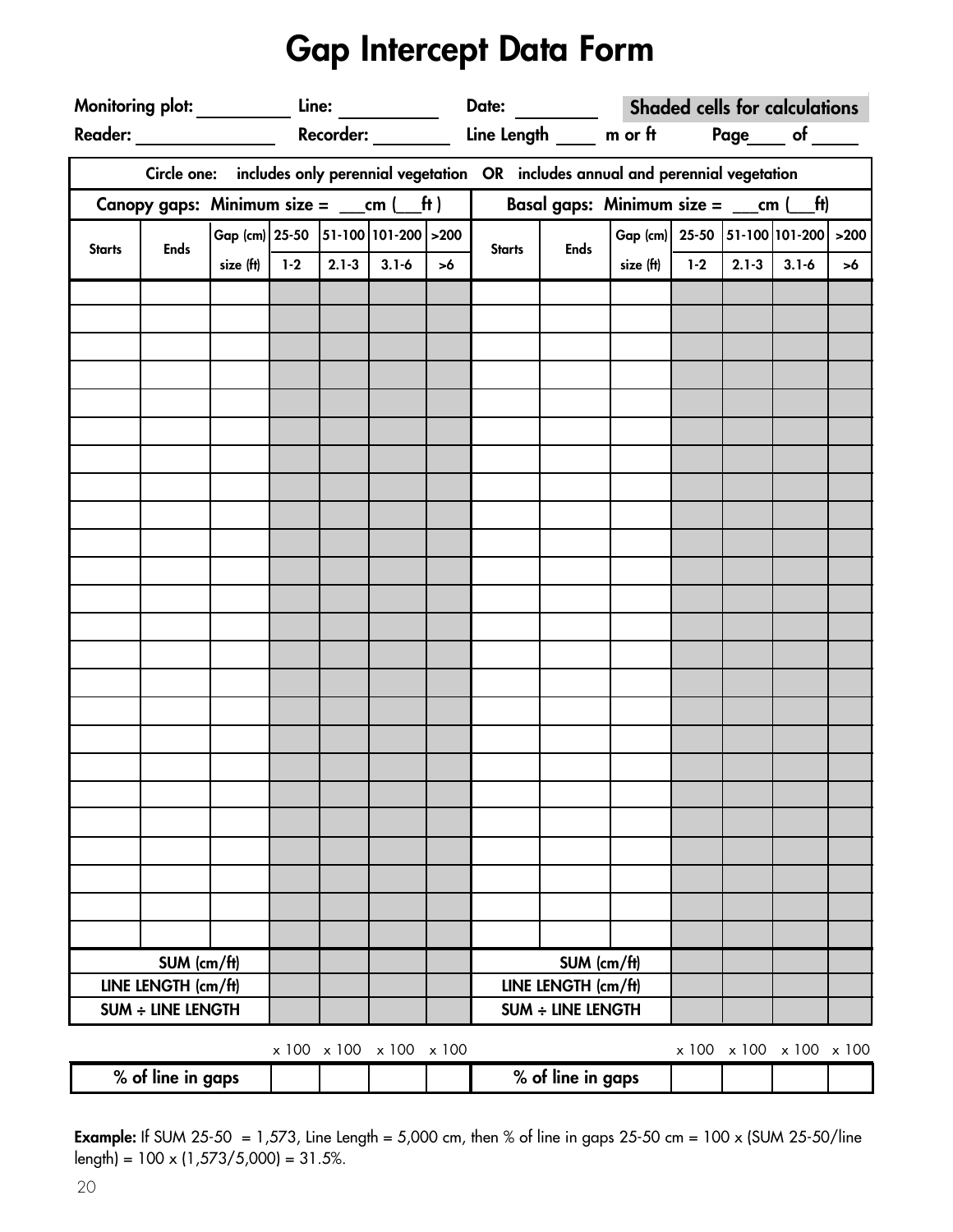## **Gap Intercept Data Form**

|               |                                                                                                                                                                                                                                                                                                                                |                                     | Monitoring plot: Line: Line: |  |                         |          |                                                                                            |                                                  |                                     | Date: _____________ Shaded cells for calculations |                 |                         |    |
|---------------|--------------------------------------------------------------------------------------------------------------------------------------------------------------------------------------------------------------------------------------------------------------------------------------------------------------------------------|-------------------------------------|------------------------------|--|-------------------------|----------|--------------------------------------------------------------------------------------------|--------------------------------------------------|-------------------------------------|---------------------------------------------------|-----------------|-------------------------|----|
|               |                                                                                                                                                                                                                                                                                                                                |                                     |                              |  |                         |          |                                                                                            |                                                  |                                     |                                                   |                 |                         |    |
|               |                                                                                                                                                                                                                                                                                                                                |                                     |                              |  |                         |          | Circle one: includes only perennial vegetation OR includes annual and perennial vegetation |                                                  |                                     |                                                   |                 |                         |    |
|               | Canopy gaps: Minimum size = $\rule{1em}{0.15mm}$ $\qquad$ $\qquad$ $\qquad$ $\qquad$ $\qquad$ $\qquad$ $\qquad$ $\qquad$ $\qquad$ $\qquad$ $\qquad$ $\qquad$ $\qquad$ $\qquad$ $\qquad$ $\qquad$ $\qquad$ $\qquad$ $\qquad$ $\qquad$ $\qquad$ $\qquad$ $\qquad$ $\qquad$ $\qquad$ $\qquad$ $\qquad$ $\qquad$ $\qquad$ $\qquad$ |                                     |                              |  |                         |          |                                                                                            | Basal gaps: Minimum size = $\_\_$ cm $(\_\_$ ft) |                                     |                                                   |                 |                         |    |
| <b>Starts</b> | <b>Ends</b>                                                                                                                                                                                                                                                                                                                    | Gap (cm) 25-50 51-100 101-200 > 200 |                              |  |                         |          | <b>Starts</b>                                                                              | <b>Ends</b>                                      | Gap (cm) 25-50 51-100 101-200 > 200 |                                                   |                 |                         |    |
|               |                                                                                                                                                                                                                                                                                                                                | size $(ft)$                         | $1-2$                        |  | $2.1 - 3$ 3.1-6         | $\geq 6$ |                                                                                            |                                                  | size $(ft)$ 1-2                     |                                                   | $2.1 - 3$ 3.1-6 |                         | >6 |
|               |                                                                                                                                                                                                                                                                                                                                |                                     |                              |  |                         |          |                                                                                            |                                                  |                                     |                                                   |                 |                         |    |
|               |                                                                                                                                                                                                                                                                                                                                |                                     |                              |  |                         |          |                                                                                            |                                                  |                                     |                                                   |                 |                         |    |
|               |                                                                                                                                                                                                                                                                                                                                |                                     |                              |  |                         |          |                                                                                            |                                                  |                                     |                                                   |                 |                         |    |
|               |                                                                                                                                                                                                                                                                                                                                |                                     |                              |  |                         |          |                                                                                            |                                                  |                                     |                                                   |                 |                         |    |
|               |                                                                                                                                                                                                                                                                                                                                |                                     |                              |  |                         |          |                                                                                            |                                                  |                                     |                                                   |                 |                         |    |
|               |                                                                                                                                                                                                                                                                                                                                |                                     |                              |  |                         |          |                                                                                            |                                                  |                                     |                                                   |                 |                         |    |
|               |                                                                                                                                                                                                                                                                                                                                |                                     |                              |  |                         |          |                                                                                            |                                                  |                                     |                                                   |                 |                         |    |
|               |                                                                                                                                                                                                                                                                                                                                |                                     |                              |  |                         |          |                                                                                            |                                                  |                                     |                                                   |                 |                         |    |
|               |                                                                                                                                                                                                                                                                                                                                |                                     |                              |  |                         |          |                                                                                            |                                                  |                                     |                                                   |                 |                         |    |
|               |                                                                                                                                                                                                                                                                                                                                |                                     |                              |  |                         |          |                                                                                            |                                                  |                                     |                                                   |                 |                         |    |
|               |                                                                                                                                                                                                                                                                                                                                |                                     |                              |  |                         |          |                                                                                            |                                                  |                                     |                                                   |                 |                         |    |
|               |                                                                                                                                                                                                                                                                                                                                |                                     |                              |  |                         |          |                                                                                            |                                                  |                                     |                                                   |                 |                         |    |
|               |                                                                                                                                                                                                                                                                                                                                |                                     |                              |  |                         |          |                                                                                            |                                                  |                                     |                                                   |                 |                         |    |
|               |                                                                                                                                                                                                                                                                                                                                |                                     |                              |  |                         |          |                                                                                            |                                                  |                                     |                                                   |                 |                         |    |
|               |                                                                                                                                                                                                                                                                                                                                |                                     |                              |  |                         |          |                                                                                            |                                                  |                                     |                                                   |                 |                         |    |
|               |                                                                                                                                                                                                                                                                                                                                |                                     |                              |  |                         |          |                                                                                            |                                                  |                                     |                                                   |                 |                         |    |
|               |                                                                                                                                                                                                                                                                                                                                |                                     |                              |  |                         |          |                                                                                            |                                                  |                                     |                                                   |                 |                         |    |
|               |                                                                                                                                                                                                                                                                                                                                |                                     |                              |  |                         |          |                                                                                            |                                                  |                                     |                                                   |                 |                         |    |
|               |                                                                                                                                                                                                                                                                                                                                |                                     |                              |  |                         |          |                                                                                            |                                                  |                                     |                                                   |                 |                         |    |
|               |                                                                                                                                                                                                                                                                                                                                |                                     |                              |  |                         |          |                                                                                            |                                                  |                                     |                                                   |                 |                         |    |
|               |                                                                                                                                                                                                                                                                                                                                |                                     |                              |  |                         |          |                                                                                            |                                                  |                                     |                                                   |                 |                         |    |
|               |                                                                                                                                                                                                                                                                                                                                |                                     |                              |  |                         |          |                                                                                            |                                                  |                                     |                                                   |                 |                         |    |
|               |                                                                                                                                                                                                                                                                                                                                |                                     |                              |  |                         |          |                                                                                            |                                                  |                                     |                                                   |                 |                         |    |
|               |                                                                                                                                                                                                                                                                                                                                |                                     |                              |  |                         |          |                                                                                            |                                                  |                                     |                                                   |                 |                         |    |
|               | SUM (cm/ft)                                                                                                                                                                                                                                                                                                                    |                                     |                              |  |                         |          |                                                                                            | SUM (cm/ft)                                      |                                     |                                                   |                 |                         |    |
|               | LINE LENGTH (cm/ft)                                                                                                                                                                                                                                                                                                            |                                     |                              |  |                         |          |                                                                                            | LINE LENGTH (cm/ft)                              |                                     |                                                   |                 |                         |    |
|               | <b>SUM ÷ LINE LENGTH</b>                                                                                                                                                                                                                                                                                                       |                                     |                              |  |                         |          |                                                                                            | <b>SUM ÷ LINE LENGTH</b>                         |                                     |                                                   |                 |                         |    |
|               |                                                                                                                                                                                                                                                                                                                                |                                     |                              |  | x 100 x 100 x 100 x 100 |          |                                                                                            |                                                  |                                     |                                                   |                 | x 100 x 100 x 100 x 100 |    |
|               | % of line in gaps                                                                                                                                                                                                                                                                                                              |                                     |                              |  |                         |          |                                                                                            | % of line in gaps                                |                                     |                                                   |                 |                         |    |

**Example:** If SUM 25-50 = 1,573, Line Length = 5,000 cm, then % of line in gaps 25-50 cm = 100 x (SUM 25-50/line length) = 100 x (1,573/5,000) = 31.5%.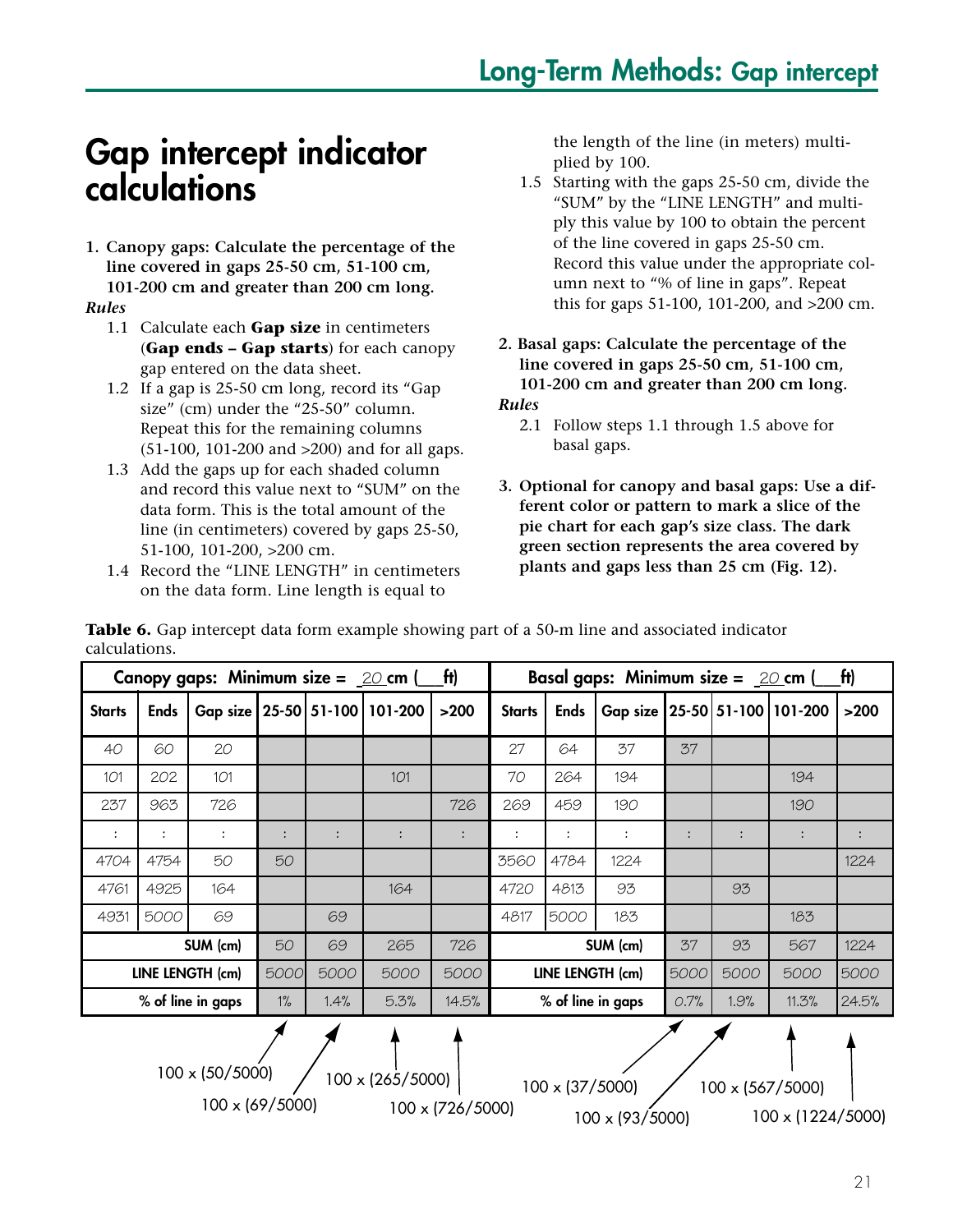## **Gap intercept indicator calculations**

**1. Canopy gaps: Calculate the percentage of the line covered in gaps 25-50 cm, 51-100 cm, 101-200 cm and greater than 200 cm long.**

#### *Rules*

- 1.1 Calculate each **Gap size** in centimeters (**Gap ends – Gap starts**) for each canopy gap entered on the data sheet.
- 1.2 If a gap is 25-50 cm long, record its "Gap size" (cm) under the "25-50" column. Repeat this for the remaining columns (51-100, 101-200 and >200) and for all gaps.
- 1.3 Add the gaps up for each shaded column and record this value next to "SUM" on the data form. This is the total amount of the line (in centimeters) covered by gaps 25-50, 51-100, 101-200, >200 cm.
- 1.4 Record the "LINE LENGTH" in centimeters on the data form. Line length is equal to

the length of the line (in meters) multiplied by 100.

- 1.5 Starting with the gaps 25-50 cm, divide the "SUM" by the "LINE LENGTH" and multiply this value by 100 to obtain the percent of the line covered in gaps 25-50 cm. Record this value under the appropriate column next to "% of line in gaps". Repeat this for gaps 51-100, 101-200, and >200 cm.
- **2. Basal gaps: Calculate the percentage of the line covered in gaps 25-50 cm, 51-100 cm, 101-200 cm and greater than 200 cm long.** *Rules*
	- 2.1 Follow steps 1.1 through 1.5 above for basal gaps.
- **3. Optional for canopy and basal gaps: Use a different color or pattern to mark a slice of the pie chart for each gap's size class. The dark green section represents the area covered by plants and gaps less than 25 cm (Fig. 12).**

|                                                                                                                                               |             | Canopy gaps: Minimum size = $20$ cm ( |       |      |         | ft)    |                     |             | Basal gaps: Minimum size = $20$ cm  |      |      |       | [tt]  |
|-----------------------------------------------------------------------------------------------------------------------------------------------|-------------|---------------------------------------|-------|------|---------|--------|---------------------|-------------|-------------------------------------|------|------|-------|-------|
| <b>Starts</b>                                                                                                                                 | <b>Ends</b> | Gap size   25-50   51-100             |       |      | 101-200 | $>200$ | <b>Starts</b>       | <b>Ends</b> | Gap size   25-50   51-100   101-200 |      |      |       | >200  |
| 40                                                                                                                                            | 60          | 20                                    |       |      |         |        | 27                  | 64          | 37                                  | 37   |      |       |       |
| 101                                                                                                                                           | 202         | 101                                   |       |      | 101     |        | 70                  | 264         | 194                                 |      |      | 194   |       |
| 237                                                                                                                                           | 963         | 726                                   |       |      |         | 726    | 269                 | 459         | 190                                 |      |      | 190   |       |
|                                                                                                                                               |             |                                       |       |      |         |        |                     |             | :                                   |      |      |       |       |
| 4704                                                                                                                                          | 4754        | 50                                    | 50    |      |         |        | 3560                | 4784        | 1224                                |      |      |       | 1224  |
| 4761                                                                                                                                          | 4925        | 164                                   |       |      | 164     |        | 4720<br>93<br>4813  |             |                                     |      | 93   |       |       |
| 4931                                                                                                                                          | 5000        | 69                                    |       | 69   |         |        | 5000<br>4817<br>183 |             |                                     |      |      | 183   |       |
|                                                                                                                                               |             | SUM (cm)                              | 50    | 69   | 265     | 726    |                     |             | SUM (cm)                            | 37   | 93   | 567   | 1224  |
|                                                                                                                                               |             | LINE LENGTH (cm)                      | 5000  | 5000 | 5000    | 5000   |                     |             | LINE LENGTH (cm)                    | 5000 | 5000 | 5000  | 5000  |
|                                                                                                                                               |             | % of line in gaps                     | $1\%$ | 1.4% | 5.3%    | 14.5%  |                     |             | % of line in gaps                   | 0.7% | 1.9% | 11.3% | 24.5% |
| $100 \times (50/5000)$<br>$100 \times (265/5000)$<br>$100 \times (37/5000)$<br>100 x (567/5000)<br>100 x (69/5000)<br>$100 \times (726/5000)$ |             |                                       |       |      |         |        |                     |             |                                     |      |      |       |       |

100 x (726/5000)

**Table 6.** Gap intercept data form example showing part of a 50-m line and associated indicator calculations.

100 x (93/5000) 100 x (1224/5000)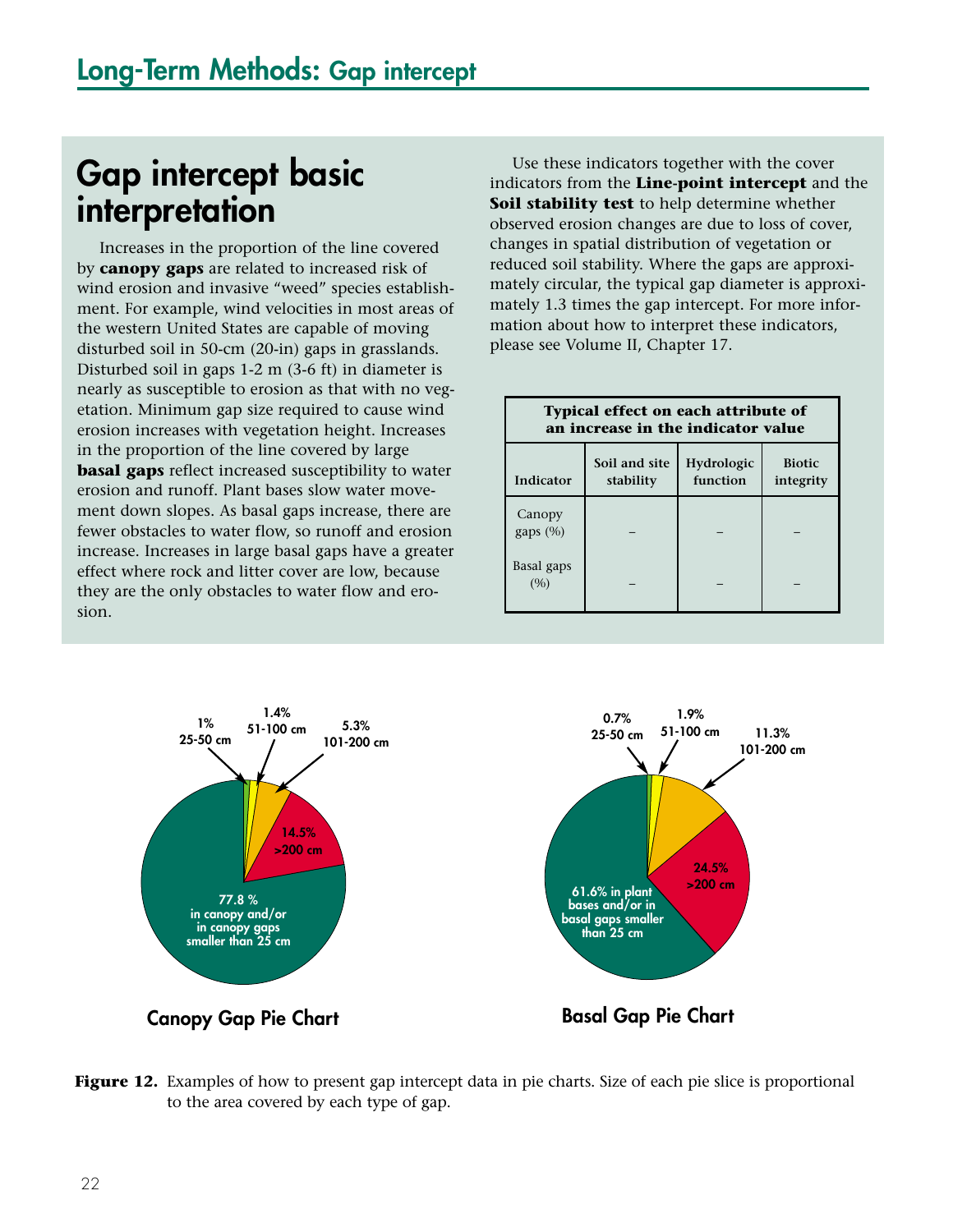## **Gap intercept basic interpretation**

Increases in the proportion of the line covered by **canopy gaps** are related to increased risk of wind erosion and invasive "weed" species establishment. For example, wind velocities in most areas of the western United States are capable of moving disturbed soil in 50-cm (20-in) gaps in grasslands. Disturbed soil in gaps 1-2 m (3-6 ft) in diameter is nearly as susceptible to erosion as that with no vegetation. Minimum gap size required to cause wind erosion increases with vegetation height. Increases in the proportion of the line covered by large **basal gaps** reflect increased susceptibility to water erosion and runoff. Plant bases slow water movement down slopes. As basal gaps increase, there are fewer obstacles to water flow, so runoff and erosion increase. Increases in large basal gaps have a greater effect where rock and litter cover are low, because they are the only obstacles to water flow and erosion.

Use these indicators together with the cover indicators from the **Line-point intercept** and the **Soil stability test** to help determine whether observed erosion changes are due to loss of cover, changes in spatial distribution of vegetation or reduced soil stability. Where the gaps are approximately circular, the typical gap diameter is approximately 1.3 times the gap intercept. For more information about how to interpret these indicators, please see Volume II, Chapter 17.

|                    | <b>Typical effect on each attribute of</b><br>an increase in the indicator value |                        |                            |
|--------------------|----------------------------------------------------------------------------------|------------------------|----------------------------|
| Indicator          | Soil and site<br>stability                                                       | Hydrologic<br>function | <b>Biotic</b><br>integrity |
| Canopy<br>gaps (%) |                                                                                  |                        |                            |
| Basal gaps<br>(9)  |                                                                                  |                        |                            |



**Figure 12.** Examples of how to present gap intercept data in pie charts. Size of each pie slice is proportional to the area covered by each type of gap.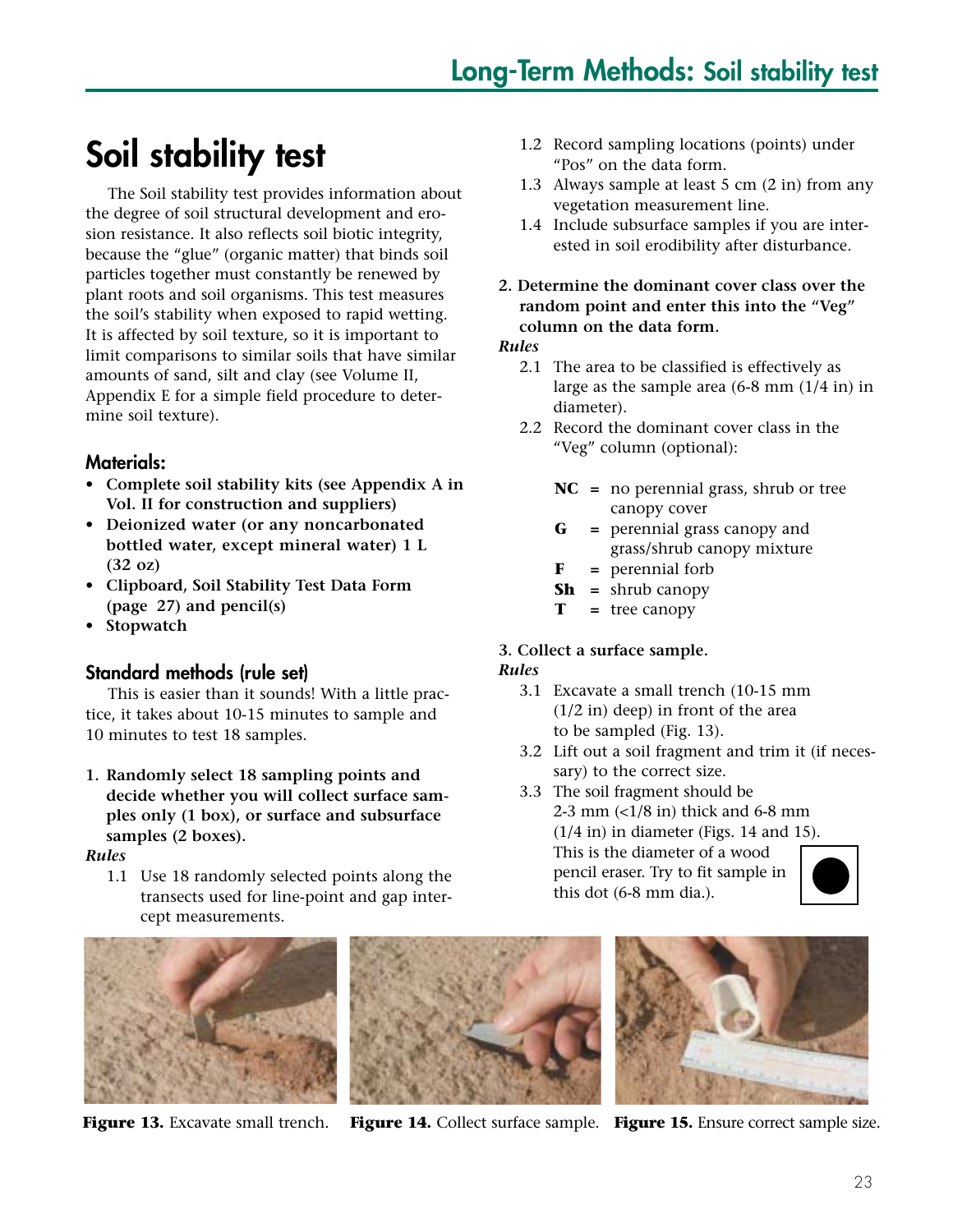## **Soil stability test**

The Soil stability test provides information about the degree of soil structural development and erosion resistance. It also reflects soil biotic integrity, because the "glue" (organic matter) that binds soil particles together must constantly be renewed by plant roots and soil organisms. This test measures the soil's stability when exposed to rapid wetting. It is affected by soil texture, so it is important to limit comparisons to similar soils that have similar amounts of sand, silt and clay (see Volume II, Appendix E for a simple field procedure to determine soil texture).

#### **Materials:**

- **Complete soil stability kits (see Appendix A in Vol. II for construction and suppliers)**
- **Deionized water (or any noncarbonated bottled water, except mineral water) 1 L (32 oz)**
- **Clipboard, Soil Stability Test Data Form (page 27) and pencil(s)**
- **Stopwatch**

#### **Standard methods (rule set)**

This is easier than it sounds! With a little practice, it takes about 10-15 minutes to sample and 10 minutes to test 18 samples.

**1. Randomly select 18 sampling points and decide whether you will collect surface samples only (1 box), or surface and subsurface samples (2 boxes).**

*Rules*

1.1 Use 18 randomly selected points along the transects used for line-point and gap intercept measurements.





- 1.2 Record sampling locations (points) under "Pos" on the data form.
- 1.3 Always sample at least 5 cm (2 in) from any vegetation measurement line.
- 1.4 Include subsurface samples if you are interested in soil erodibility after disturbance.
- **2. Determine the dominant cover class over the random point and enter this into the "Veg" column on the data form.**

#### *Rules*

- 2.1 The area to be classified is effectively as large as the sample area (6-8 mm (1/4 in) in diameter).
- 2.2 Record the dominant cover class in the "Veg" column (optional):
	- **NC =** no perennial grass, shrub or tree canopy cover
	- **G =** perennial grass canopy and grass/shrub canopy mixture
	- **F =** perennial forb
	- **Sh =** shrub canopy
	- **T =** tree canopy

#### **3. Collect a surface sample.** *Rules*

- 3.1 Excavate a small trench (10-15 mm (1/2 in) deep) in front of the area to be sampled (Fig. 13).
- 3.2 Lift out a soil fragment and trim it (if necessary) to the correct size.
- 3.3 The soil fragment should be 2-3 mm  $\left($  <1/8 in) thick and 6-8 mm (1/4 in) in diameter (Figs. 14 and 15). This is the diameter of a wood pencil eraser. Try to fit sample in this dot (6-8 mm dia.).





**Figure 13.** Excavate small trench. **Figure 14.** Collect surface sample. **Figure 15.** Ensure correct sample size.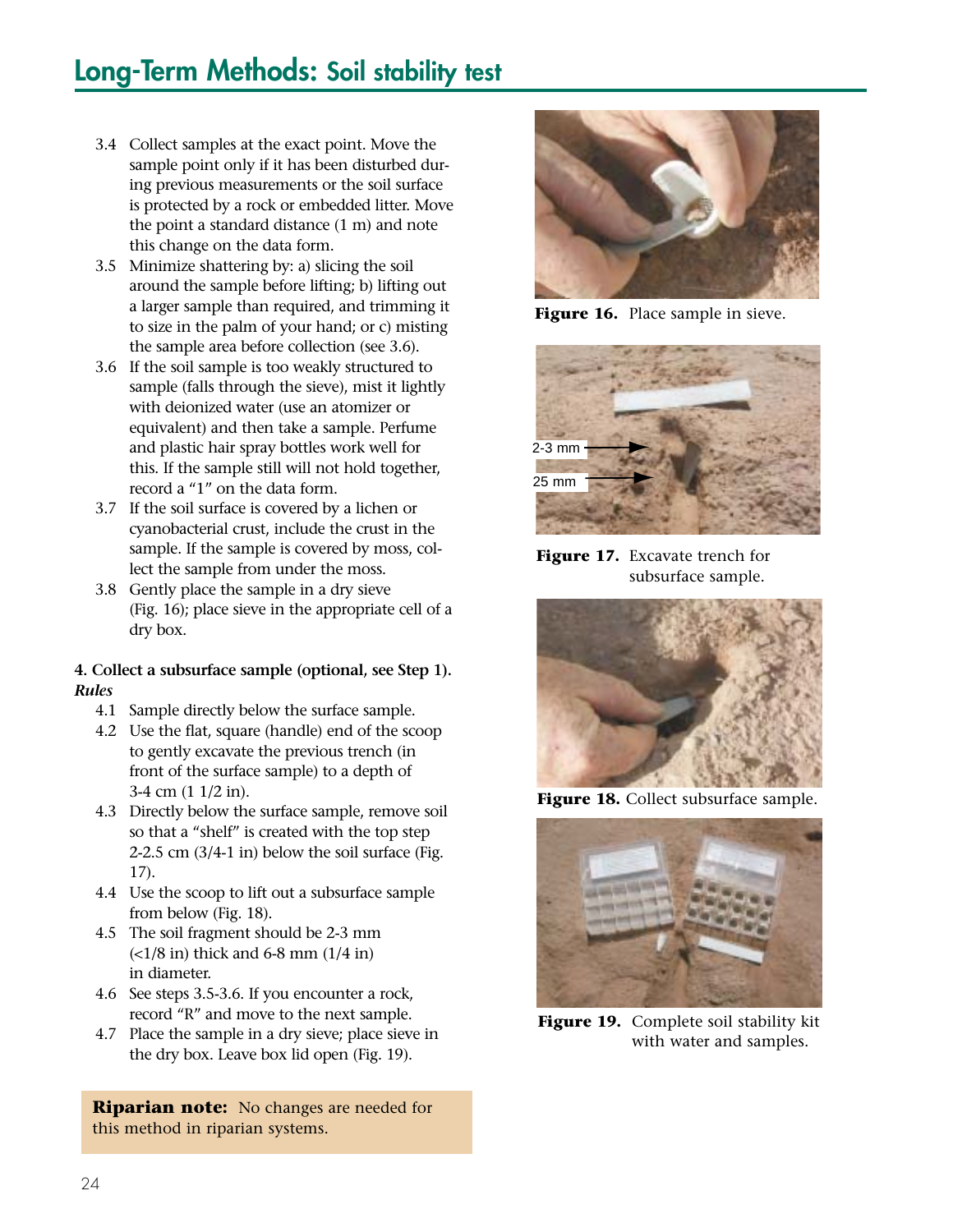## **Long-Term Methods: Soil stability test**

- 3.4 Collect samples at the exact point. Move the sample point only if it has been disturbed during previous measurements or the soil surface is protected by a rock or embedded litter. Move the point a standard distance (1 m) and note this change on the data form.
- 3.5 Minimize shattering by: a) slicing the soil around the sample before lifting; b) lifting out a larger sample than required, and trimming it to size in the palm of your hand; or c) misting the sample area before collection (see 3.6).
- 3.6 If the soil sample is too weakly structured to sample (falls through the sieve), mist it lightly with deionized water (use an atomizer or equivalent) and then take a sample. Perfume and plastic hair spray bottles work well for this. If the sample still will not hold together, record a "1" on the data form.
- 3.7 If the soil surface is covered by a lichen or cyanobacterial crust, include the crust in the sample. If the sample is covered by moss, collect the sample from under the moss.
- 3.8 Gently place the sample in a dry sieve (Fig. 16); place sieve in the appropriate cell of a dry box.

#### **4. Collect a subsurface sample (optional, see Step 1).** *Rules*

- 4.1 Sample directly below the surface sample.
- 4.2 Use the flat, square (handle) end of the scoop to gently excavate the previous trench (in front of the surface sample) to a depth of 3-4 cm (1 1/2 in).
- 4.3 Directly below the surface sample, remove soil so that a "shelf" is created with the top step 2-2.5 cm (3/4-1 in) below the soil surface (Fig. 17).
- 4.4 Use the scoop to lift out a subsurface sample from below (Fig. 18).
- 4.5 The soil fragment should be 2-3 mm  $(<1/8$  in) thick and 6-8 mm  $(1/4$  in) in diameter.
- 4.6 See steps 3.5-3.6. If you encounter a rock, record "R" and move to the next sample.
- 4.7 Place the sample in a dry sieve; place sieve in the dry box. Leave box lid open (Fig. 19).

**Riparian note:** No changes are needed for this method in riparian systems.



**Figure 16.** Place sample in sieve.



**Figure 17.** Excavate trench for subsurface sample.



Figure 18. Collect subsurface sample.



**Figure 19.** Complete soil stability kit with water and samples.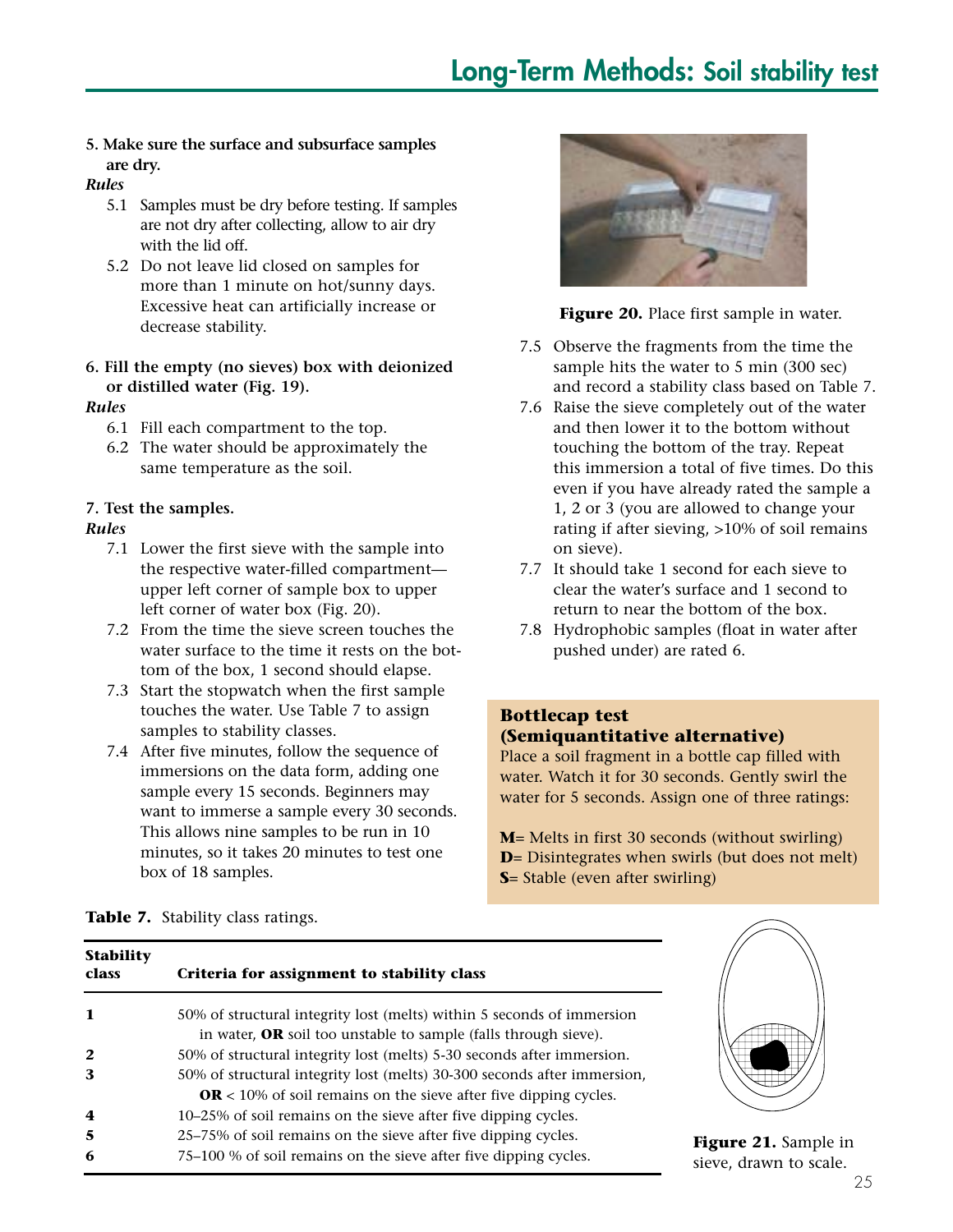#### **5. Make sure the surface and subsurface samples are dry.**

#### *Rules*

- 5.1 Samples must be dry before testing. If samples are not dry after collecting, allow to air dry with the lid off.
- 5.2 Do not leave lid closed on samples for more than 1 minute on hot/sunny days. Excessive heat can artificially increase or decrease stability.

#### **6. Fill the empty (no sieves) box with deionized or distilled water (Fig. 19).**

#### *Rules*

- 6.1 Fill each compartment to the top.
- 6.2 The water should be approximately the same temperature as the soil.

#### **7. Test the samples.**

#### *Rules*

- 7.1 Lower the first sieve with the sample into the respective water-filled compartment upper left corner of sample box to upper left corner of water box (Fig. 20).
- 7.2 From the time the sieve screen touches the water surface to the time it rests on the bottom of the box, 1 second should elapse.
- 7.3 Start the stopwatch when the first sample touches the water. Use Table 7 to assign samples to stability classes.
- 7.4 After five minutes, follow the sequence of immersions on the data form, adding one sample every 15 seconds. Beginners may want to immerse a sample every 30 seconds. This allows nine samples to be run in 10 minutes, so it takes 20 minutes to test one box of 18 samples.



**Figure 20.** Place first sample in water.

- 7.5 Observe the fragments from the time the sample hits the water to 5 min (300 sec) and record a stability class based on Table 7.
- 7.6 Raise the sieve completely out of the water and then lower it to the bottom without touching the bottom of the tray. Repeat this immersion a total of five times. Do this even if you have already rated the sample a 1, 2 or 3 (you are allowed to change your rating if after sieving, >10% of soil remains on sieve).
- 7.7 It should take 1 second for each sieve to clear the water's surface and 1 second to return to near the bottom of the box.
- 7.8 Hydrophobic samples (float in water after pushed under) are rated 6.

#### **Bottlecap test (Semiquantitative alternative)**

Place a soil fragment in a bottle cap filled with water. Watch it for 30 seconds. Gently swirl the water for 5 seconds. Assign one of three ratings:

**M**= Melts in first 30 seconds (without swirling) **D**= Disintegrates when swirls (but does not melt) **S**= Stable (even after swirling)

#### **Table 7.** Stability class ratings.

| <b>Stability</b><br>class | Criteria for assignment to stability class                                                                                                          |                          |
|---------------------------|-----------------------------------------------------------------------------------------------------------------------------------------------------|--------------------------|
| 1                         | 50% of structural integrity lost (melts) within 5 seconds of immersion<br>in water, OR soil too unstable to sample (falls through sieve).           |                          |
| $\overline{2}$            | 50% of structural integrity lost (melts) 5-30 seconds after immersion.                                                                              |                          |
| 3                         | 50% of structural integrity lost (melts) 30-300 seconds after immersion,<br><b>OR</b> < 10% of soil remains on the sieve after five dipping cycles. |                          |
| 4                         | 10-25% of soil remains on the sieve after five dipping cycles.                                                                                      |                          |
| 5<br>6                    | 25–75% of soil remains on the sieve after five dipping cycles.<br>75–100 % of soil remains on the sieve after five dipping cycles.                  | Figure 21<br>sieve, dray |



**1.** Sample in wn to scale.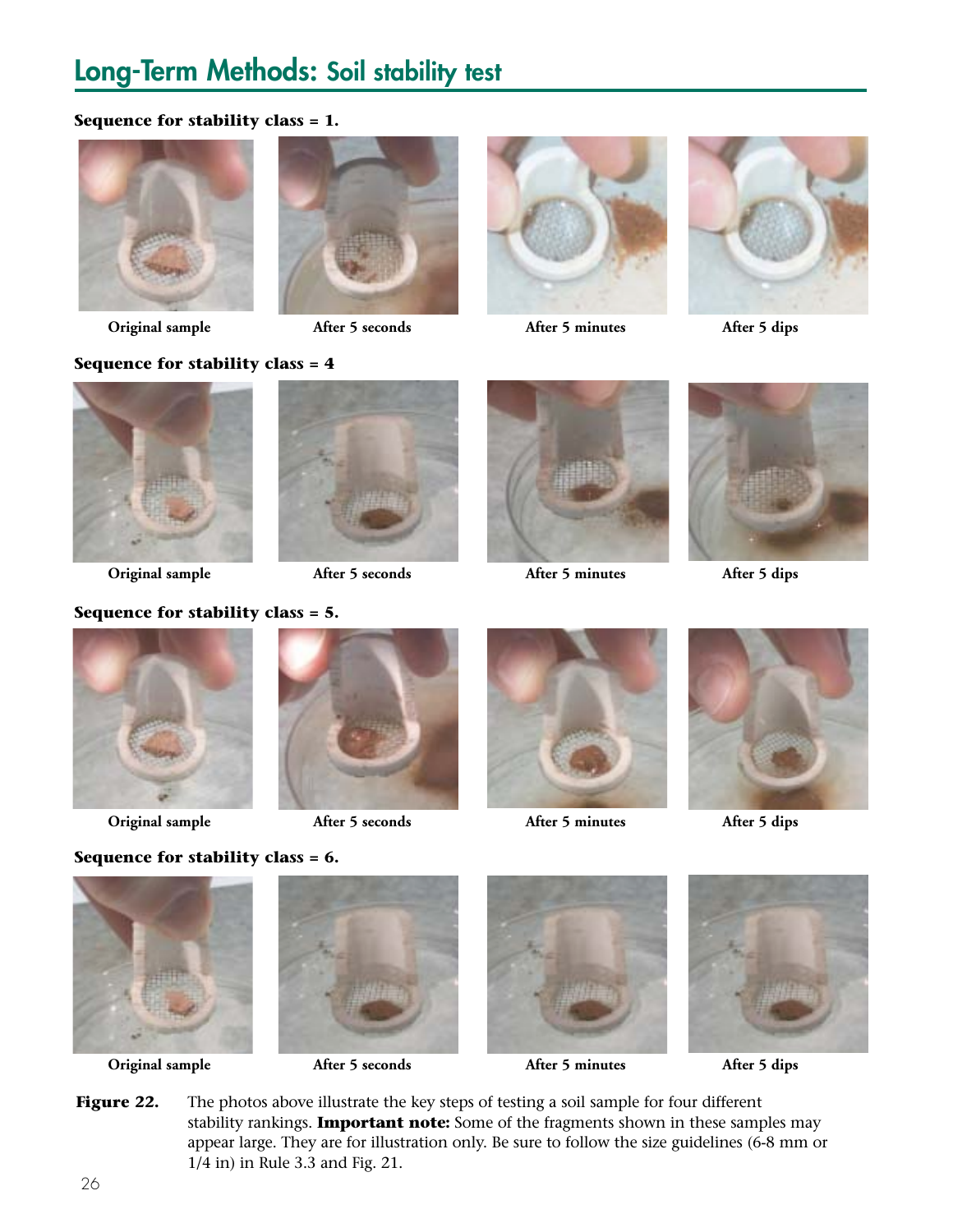## **Long-Term Methods: Soil stability test**

#### **Sequence for stability class = 1.**











**Original sample After 5 seconds After 5 minutes After 5 dips**

#### **Sequence for stability class = 4**







**Original sample After 5 seconds After 5 minutes After 5 dips**







**Original sample After 5 seconds After 5 minutes After 5 dips**





**Sequence for stability class = 6.**



**Original sample After 5 seconds After 5 minutes After 5 dips**



1/4 in) in Rule 3.3 and Fig. 21.





Figure 22. The photos above illustrate the key steps of testing a soil sample for four different stability rankings. **Important note:** Some of the fragments shown in these samples may appear large. They are for illustration only. Be sure to follow the size guidelines (6-8 mm or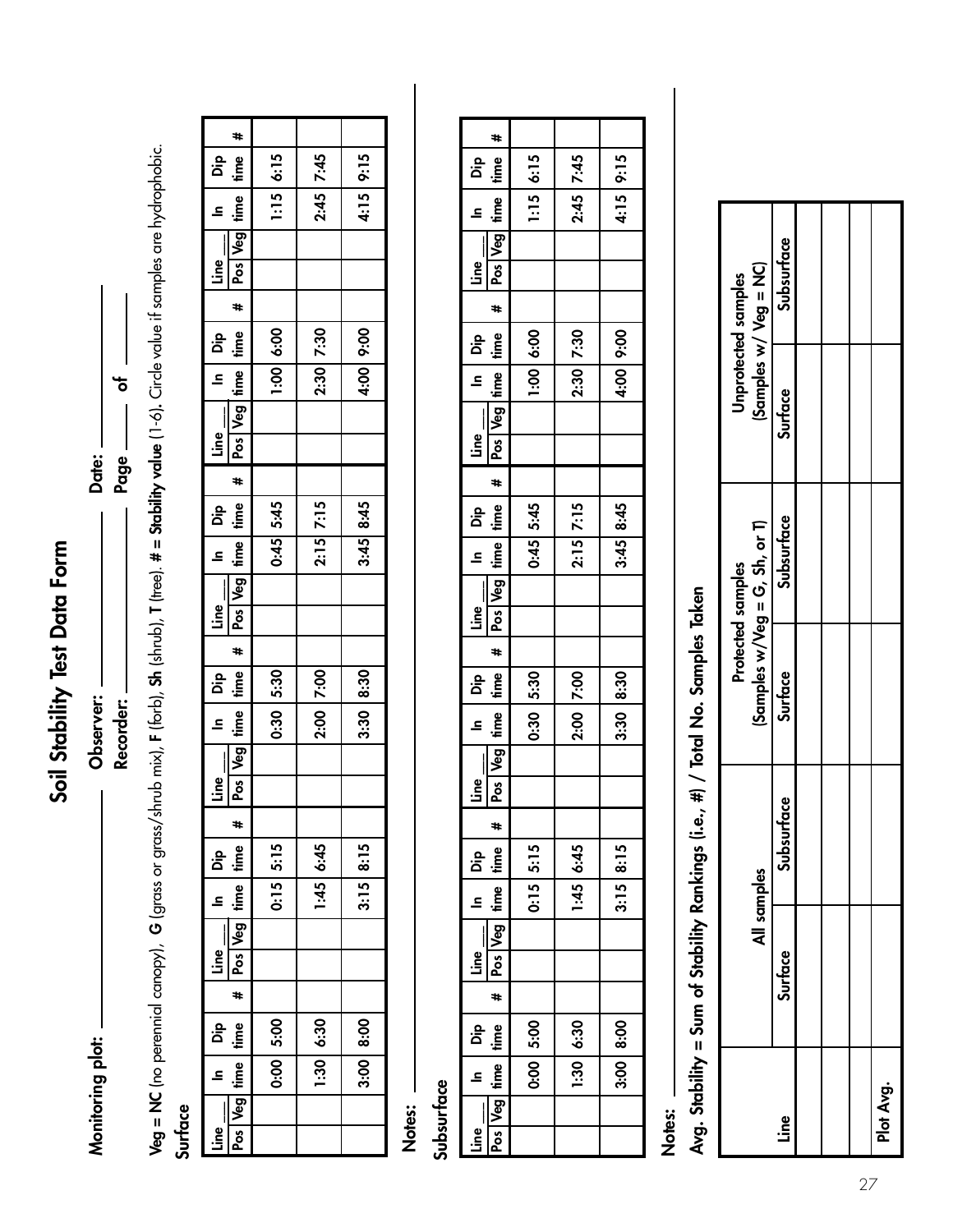Soil Stability Test Data Form **Soil Stability Test Data Form**

Monitoring plot:

**Recorder: Page of**  Page — Date: **Monitoring plot: Observer: Date:** Observer: Recorder: \_

 $\frac{1}{\sigma}$ 

**Veg = NC** (no perennial canopy), G (grass or grass/shrub mix), F (forb), Sh (shrub), T (tree). # = Stability value (1-6). Circle value if samples are hydrophobic. **T** (tree). **# = Stability value** (1-6)**.** Circle value if samples are hydrophobic. **Veg = NC** (no perennial canopy), **G** (grass or grass/shrub mix), **F** (forb), **Sh** (shrub),

## **Surface**

|                                           | ₩.                |             |             |             |
|-------------------------------------------|-------------------|-------------|-------------|-------------|
| Dip<br>time                               |                   | 1:156615    | $2:45$ 7:45 | 4:15 9:15   |
| Line In<br>Pos Veg time ti<br>$\tilde{=}$ |                   |             |             |             |
|                                           |                   |             |             |             |
|                                           |                   |             |             |             |
|                                           |                   |             |             |             |
| du Dip                                    |                   | 1:00 6:00   | 2:30 7:30   | 4:00 9:00   |
|                                           | Pos Veg time time |             |             |             |
| $\frac{1}{2}$                             |                   |             |             |             |
|                                           |                   |             |             |             |
|                                           | #                 |             |             |             |
| ۵ip                                       |                   | $0:45$ 5:45 | $2:15$ 7:15 | 3:45 8:45   |
| £                                         | Pos Veg inne inne |             |             |             |
|                                           |                   |             |             |             |
| $\frac{1}{\sqrt{2}}$                      |                   |             |             |             |
|                                           | #                 |             |             |             |
| å                                         | time              | $0:30$ 5:30 | 2:00 7:00   | $3:30$ 8:30 |
| 르                                         | Pos   Veg   time  |             |             |             |
|                                           |                   |             |             |             |
| Line                                      |                   |             |             |             |
|                                           | *                 |             |             |             |
|                                           |                   | $0:15$ 5:15 | 1:45 6:45   | $3:15$ 8:15 |
| Line In Dip<br>Pos Veg time time          |                   |             |             |             |
|                                           |                   |             |             |             |
|                                           |                   |             |             |             |
|                                           | #                 |             |             |             |
|                                           |                   | 0:00 5:00   | $1:30$ 6:30 | 3:00 8:00   |
| Line In Dip<br>Pos Veg time time          |                   |             |             |             |
|                                           |                   |             |             |             |
|                                           |                   |             |             |             |

## **Notes:**

## Subsurface **Subsurface**

| #<br>Pos Veg irme time<br>1:15615<br>4:15 9:15<br>2:45 7:45<br>du   pib<br>$\mathsf{line}\_$<br>Pos Veg ltime ltime<br>1:00 6:00<br>4:00 9:00<br>dig   ul<br>2:30 7:30<br>$\mathsf{Line}\_\_$<br>$\overline{\phantom{a}}$<br>Pos Veg time time<br>3:45 8:45<br>$0:45$ 5:45<br>$2:15$ 7:15<br>Line $\boxed{\phantom{1}}$ In $\boxed{\phantom{1}}$ Dip<br>Pos   Veg   time   time   #  <br>l aig   ni<br>$0.30$ 5:30<br>3:30 8:30<br>2:00 7:00<br><u>Line</u><br>#<br>$3:15$ 8:15<br>Line In Dip<br>Pos Veg time time<br>$0:15$ $5:15$<br>1:45 6:45<br>$\frac{ \text{line}}{\text{line}}$<br>$\frac{1}{4}$<br>Line In Dip<br>Pos Veg time time<br>3:00   8:00<br>$0.00$ 5:00<br>$1:30$ 6:30 |  |  |  |
|-------------------------------------------------------------------------------------------------------------------------------------------------------------------------------------------------------------------------------------------------------------------------------------------------------------------------------------------------------------------------------------------------------------------------------------------------------------------------------------------------------------------------------------------------------------------------------------------------------------------------------------------------------------------------------------------|--|--|--|
|                                                                                                                                                                                                                                                                                                                                                                                                                                                                                                                                                                                                                                                                                           |  |  |  |
|                                                                                                                                                                                                                                                                                                                                                                                                                                                                                                                                                                                                                                                                                           |  |  |  |
|                                                                                                                                                                                                                                                                                                                                                                                                                                                                                                                                                                                                                                                                                           |  |  |  |
|                                                                                                                                                                                                                                                                                                                                                                                                                                                                                                                                                                                                                                                                                           |  |  |  |
|                                                                                                                                                                                                                                                                                                                                                                                                                                                                                                                                                                                                                                                                                           |  |  |  |
|                                                                                                                                                                                                                                                                                                                                                                                                                                                                                                                                                                                                                                                                                           |  |  |  |
|                                                                                                                                                                                                                                                                                                                                                                                                                                                                                                                                                                                                                                                                                           |  |  |  |
|                                                                                                                                                                                                                                                                                                                                                                                                                                                                                                                                                                                                                                                                                           |  |  |  |
|                                                                                                                                                                                                                                                                                                                                                                                                                                                                                                                                                                                                                                                                                           |  |  |  |
|                                                                                                                                                                                                                                                                                                                                                                                                                                                                                                                                                                                                                                                                                           |  |  |  |
|                                                                                                                                                                                                                                                                                                                                                                                                                                                                                                                                                                                                                                                                                           |  |  |  |
|                                                                                                                                                                                                                                                                                                                                                                                                                                                                                                                                                                                                                                                                                           |  |  |  |
|                                                                                                                                                                                                                                                                                                                                                                                                                                                                                                                                                                                                                                                                                           |  |  |  |
|                                                                                                                                                                                                                                                                                                                                                                                                                                                                                                                                                                                                                                                                                           |  |  |  |
|                                                                                                                                                                                                                                                                                                                                                                                                                                                                                                                                                                                                                                                                                           |  |  |  |
|                                                                                                                                                                                                                                                                                                                                                                                                                                                                                                                                                                                                                                                                                           |  |  |  |
|                                                                                                                                                                                                                                                                                                                                                                                                                                                                                                                                                                                                                                                                                           |  |  |  |
|                                                                                                                                                                                                                                                                                                                                                                                                                                                                                                                                                                                                                                                                                           |  |  |  |
|                                                                                                                                                                                                                                                                                                                                                                                                                                                                                                                                                                                                                                                                                           |  |  |  |
|                                                                                                                                                                                                                                                                                                                                                                                                                                                                                                                                                                                                                                                                                           |  |  |  |
|                                                                                                                                                                                                                                                                                                                                                                                                                                                                                                                                                                                                                                                                                           |  |  |  |
|                                                                                                                                                                                                                                                                                                                                                                                                                                                                                                                                                                                                                                                                                           |  |  |  |
|                                                                                                                                                                                                                                                                                                                                                                                                                                                                                                                                                                                                                                                                                           |  |  |  |
|                                                                                                                                                                                                                                                                                                                                                                                                                                                                                                                                                                                                                                                                                           |  |  |  |
|                                                                                                                                                                                                                                                                                                                                                                                                                                                                                                                                                                                                                                                                                           |  |  |  |
|                                                                                                                                                                                                                                                                                                                                                                                                                                                                                                                                                                                                                                                                                           |  |  |  |
|                                                                                                                                                                                                                                                                                                                                                                                                                                                                                                                                                                                                                                                                                           |  |  |  |
|                                                                                                                                                                                                                                                                                                                                                                                                                                                                                                                                                                                                                                                                                           |  |  |  |
|                                                                                                                                                                                                                                                                                                                                                                                                                                                                                                                                                                                                                                                                                           |  |  |  |
|                                                                                                                                                                                                                                                                                                                                                                                                                                                                                                                                                                                                                                                                                           |  |  |  |

## **Notes:**

Avg. Stability = Sum of Stability Rankings (i.e., #) / Total No. Samples Taken **Avg. Stability = Sum of Stability Rankings (i.e., #) / Total No. Samples Taken** 

|             | All samples    |            |                | $(Samples w/Veg = G, Sh, or T)$<br>Protected samples |         | (Samples w/ Veg = NC)<br>Unprotected samples |
|-------------|----------------|------------|----------------|------------------------------------------------------|---------|----------------------------------------------|
| <u>Line</u> | <b>Surface</b> | Subsurface | <b>Surface</b> | Subsurface                                           | Surface | Subsurface                                   |
|             |                |            |                |                                                      |         |                                              |
|             |                |            |                |                                                      |         |                                              |
|             |                |            |                |                                                      |         |                                              |
| Plot Avg.   |                |            |                |                                                      |         |                                              |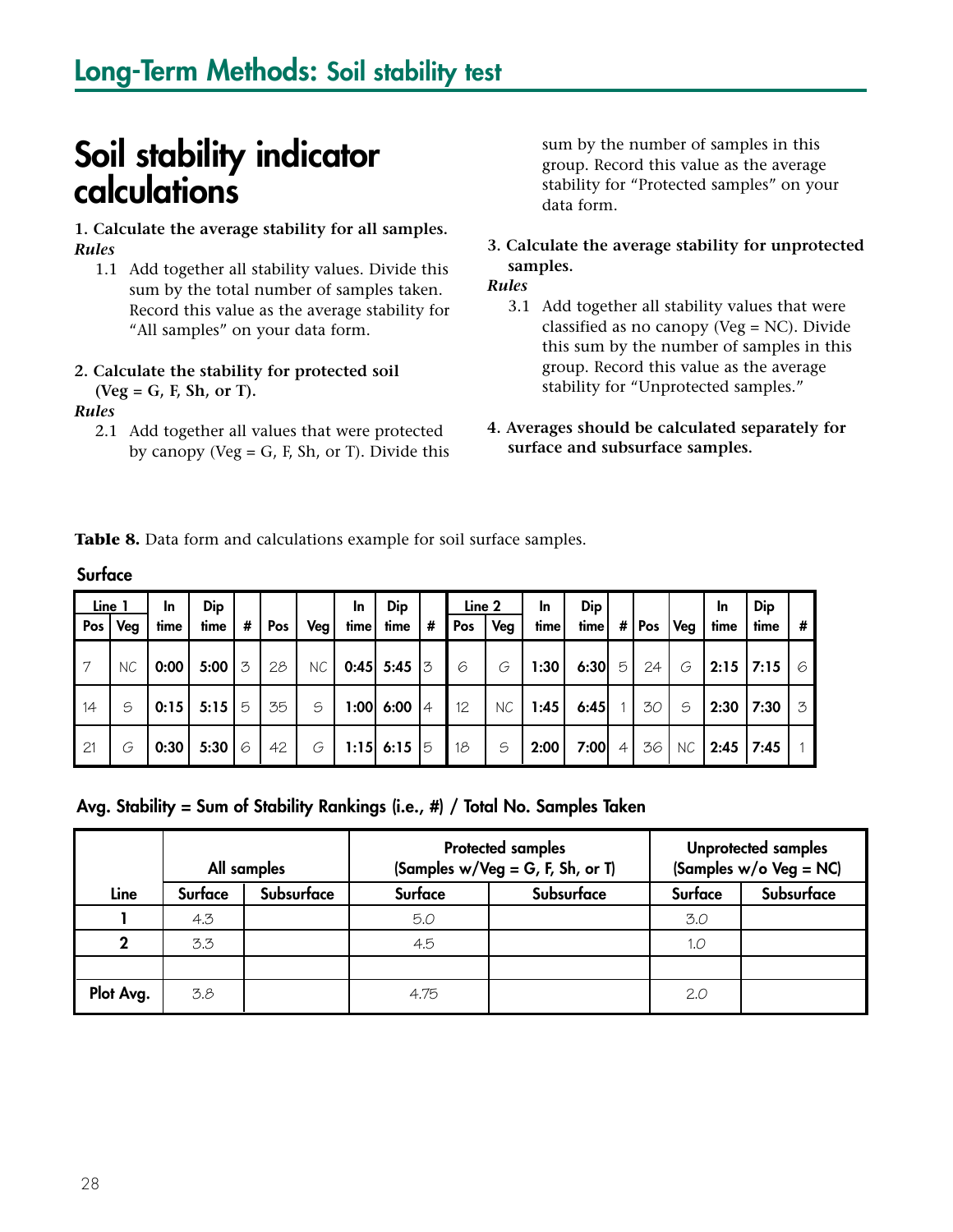## **Soil stability indicator calculations**

**1. Calculate the average stability for all samples.** *Rules*

1.1 Add together all stability values. Divide this sum by the total number of samples taken. Record this value as the average stability for "All samples" on your data form.

#### **2. Calculate the stability for protected soil (Veg = G, F, Sh, or T).**

*Rules*

2.1 Add together all values that were protected by canopy (Veg  $=$  G, F, Sh, or T). Divide this sum by the number of samples in this group. Record this value as the average stability for "Protected samples" on your data form.

**3. Calculate the average stability for unprotected samples.**

#### *Rules*

- 3.1 Add together all stability values that were classified as no canopy (Veg = NC). Divide this sum by the number of samples in this group. Record this value as the average stability for "Unprotected samples."
- **4. Averages should be calculated separately for surface and subsurface samples.**

**Table 8.** Data form and calculations example for soil surface samples.

| Surface |               |                   |                    |   |     |     |                   |               |   |               |     |            |             |                |           |           |            |             |          |
|---------|---------------|-------------------|--------------------|---|-----|-----|-------------------|---------------|---|---------------|-----|------------|-------------|----------------|-----------|-----------|------------|-------------|----------|
| Pos     | Line 1<br>Veg | <b>In</b><br>time | <b>Dip</b><br>time | # | Pos | Veg | <b>In</b><br>time | Dip<br>time   | # | Line 2<br>Pos | Veg | In<br>time | Dip<br>time |                | #   $Pos$ | Veg       | In<br>time | Dip<br>time | #        |
| 7       | NC.           | 0:00              | 5:00               | 3 | 28  | NC. |                   | $0:45$ 5:45 3 |   | 6             | G   | 1:30       | 6:30        | 5              | 24        | G         |            | $2:15$ 7:15 | $\sigma$ |
| 14      | S             | 0:15              | 5:15               | 5 | 35  | S   |                   | 1:00 6:00 4   |   | 12            | NC  | 1:45       | 6:45        |                | 30        | S         | 2:30       | 7:30        | 3        |
| 21      | G             | 0:30              | 5:30               | 6 | 42  | G   |                   | 1:15 6:15 5   |   | 18            | S   | 2:00       | 7:00        | $\overline{4}$ | 36        | <b>NC</b> | 2:45       | 7:45        |          |

**Avg. Stability = Sum of Stability Rankings (i.e., #) / Total No. Samples Taken** 

|             |         | All samples |         | <b>Protected samples</b><br>(Samples w/Veg = G, F, Sh, or T) |         | <b>Unprotected samples</b><br>(Samples w/o Veg = NC) |
|-------------|---------|-------------|---------|--------------------------------------------------------------|---------|------------------------------------------------------|
| Line        | Surface | Subsurface  | Surface | Subsurface                                                   | Surface | Subsurface                                           |
|             | 4.3     |             | 5.0     |                                                              | 3.0     |                                                      |
| $\mathbf 2$ | 3.3     |             | 4.5     |                                                              | 1.0     |                                                      |
|             |         |             |         |                                                              |         |                                                      |
| Plot Avg.   | 3.8     |             | 4.75    |                                                              | 2.0     |                                                      |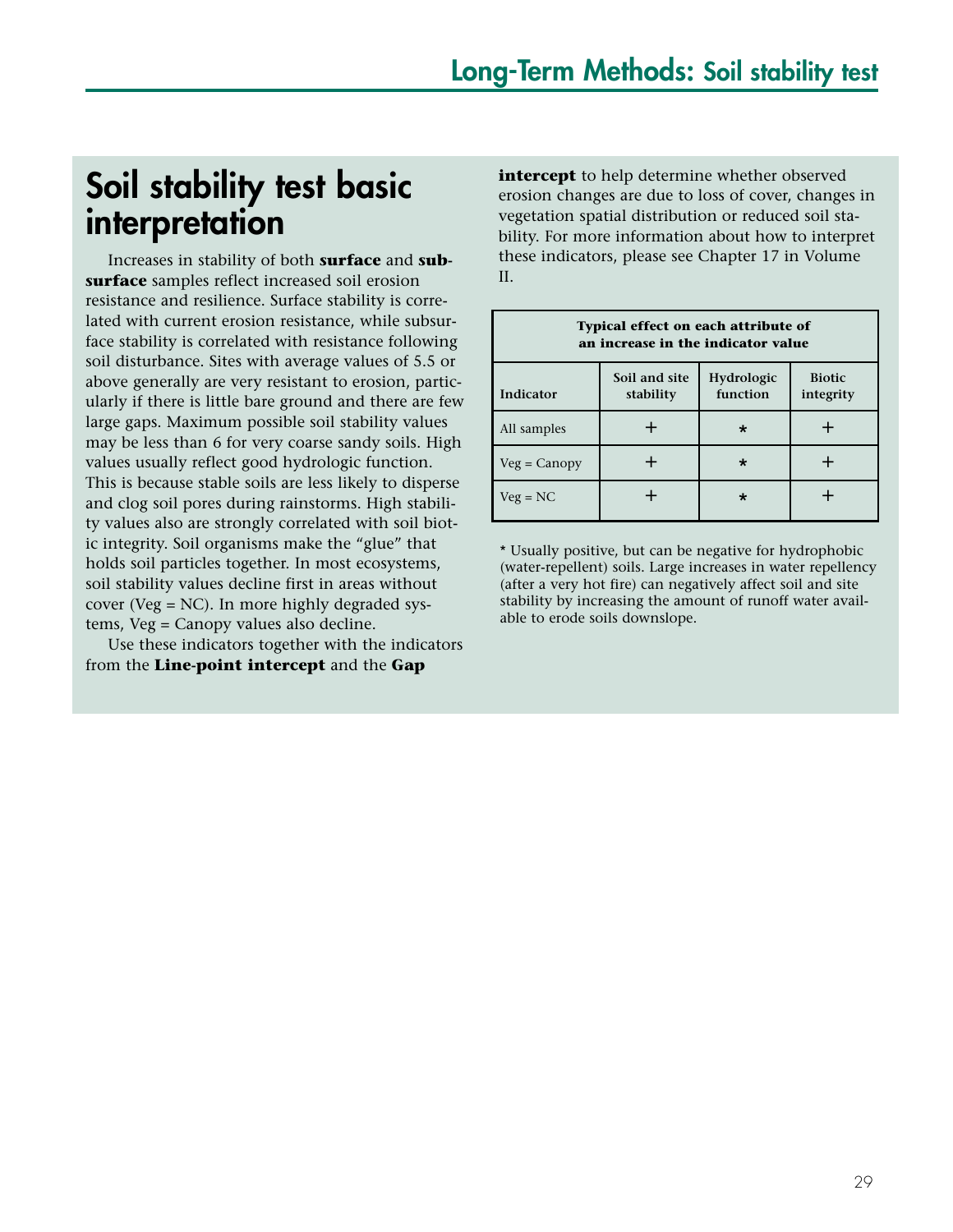## **Soil stability test basic interpretation**

Increases in stability of both **surface** and **subsurface** samples reflect increased soil erosion resistance and resilience. Surface stability is correlated with current erosion resistance, while subsurface stability is correlated with resistance following soil disturbance. Sites with average values of 5.5 or above generally are very resistant to erosion, particularly if there is little bare ground and there are few large gaps. Maximum possible soil stability values may be less than 6 for very coarse sandy soils. High values usually reflect good hydrologic function. This is because stable soils are less likely to disperse and clog soil pores during rainstorms. High stability values also are strongly correlated with soil biotic integrity. Soil organisms make the "glue" that holds soil particles together. In most ecosystems, soil stability values decline first in areas without cover (Veg = NC). In more highly degraded systems, Veg = Canopy values also decline.

Use these indicators together with the indicators from the **Line-point intercept** and the **Gap**

**intercept** to help determine whether observed erosion changes are due to loss of cover, changes in vegetation spatial distribution or reduced soil stability. For more information about how to interpret these indicators, please see Chapter 17 in Volume II.

| <b>Typical effect on each attribute of</b><br>an increase in the indicator value |                                                                                    |  |  |  |  |  |  |  |  |
|----------------------------------------------------------------------------------|------------------------------------------------------------------------------------|--|--|--|--|--|--|--|--|
| Indicator                                                                        | Soil and site<br>Hydrologic<br><b>Biotic</b><br>function<br>stability<br>integrity |  |  |  |  |  |  |  |  |
| All samples                                                                      |                                                                                    |  |  |  |  |  |  |  |  |
| $Veg = Canopy$                                                                   |                                                                                    |  |  |  |  |  |  |  |  |
| $Veg = NC$                                                                       |                                                                                    |  |  |  |  |  |  |  |  |

\* Usually positive, but can be negative for hydrophobic (water-repellent) soils. Large increases in water repellency (after a very hot fire) can negatively affect soil and site stability by increasing the amount of runoff water available to erode soils downslope.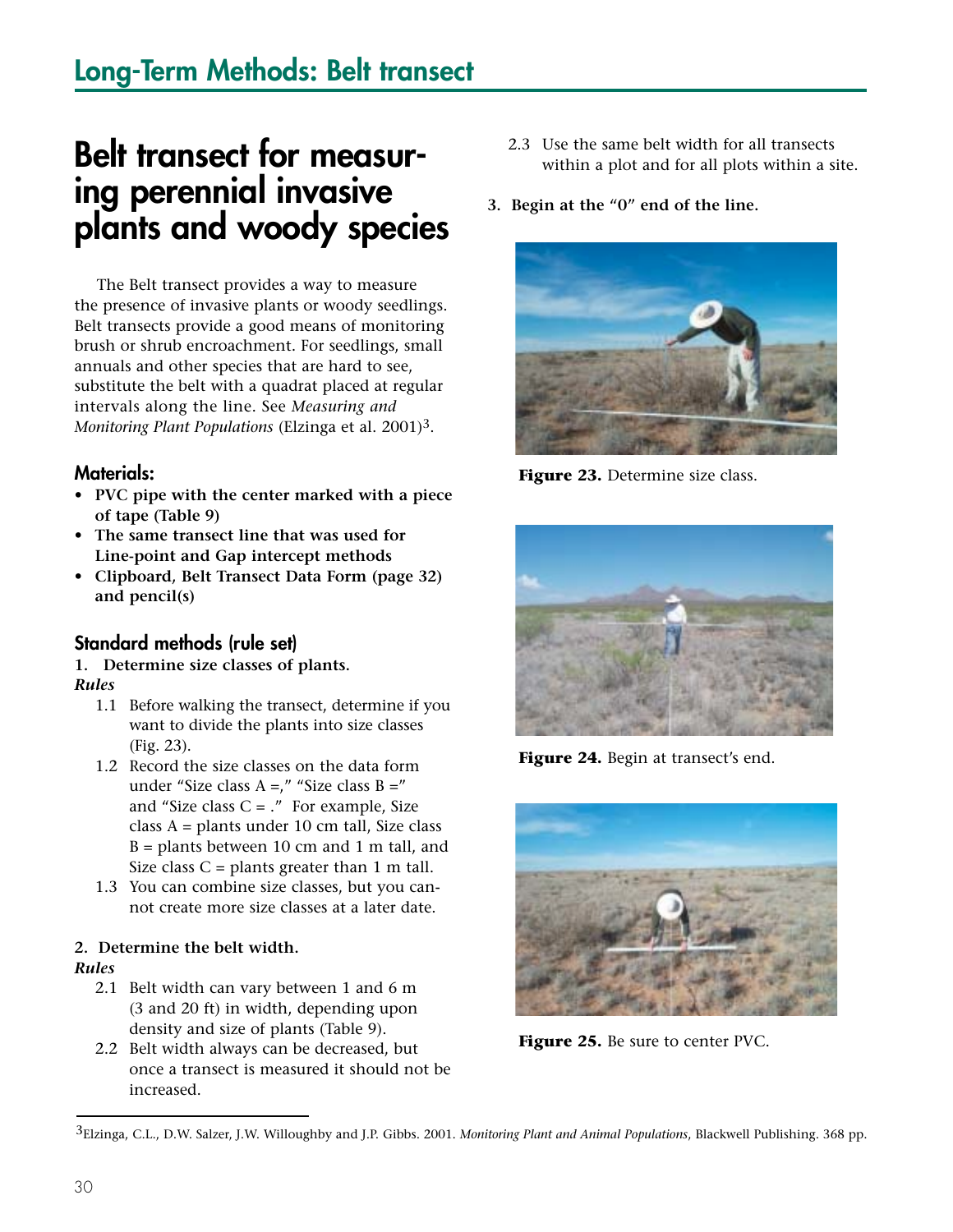## **Long-Term Methods: Belt transect**

## **Belt transect for measuring perennial invasive plants and woody species**

The Belt transect provides a way to measure the presence of invasive plants or woody seedlings. Belt transects provide a good means of monitoring brush or shrub encroachment. For seedlings, small annuals and other species that are hard to see, substitute the belt with a quadrat placed at regular intervals along the line. See *Measuring and Monitoring Plant Populations* (Elzinga et al. 2001)3.

#### **Materials:**

- **PVC pipe with the center marked with a piece of tape (Table 9)**
- **The same transect line that was used for Line-point and Gap intercept methods**
- **Clipboard, Belt Transect Data Form (page 32) and pencil(s)**

#### **Standard methods (rule set)**

#### **1. Determine size classes of plants.**

#### *Rules*

- 1.1 Before walking the transect, determine if you want to divide the plants into size classes (Fig. 23).
- 1.2 Record the size classes on the data form under "Size class A =," "Size class B =" and "Size class  $C =$ ." For example, Size class A = plants under 10 cm tall, Size class  $B =$  plants between 10 cm and 1 m tall, and Size class  $C =$  plants greater than 1 m tall.
- 1.3 You can combine size classes, but you cannot create more size classes at a later date.

### **2. Determine the belt width.**

#### *Rules*

- 2.1 Belt width can vary between 1 and 6 m (3 and 20 ft) in width, depending upon density and size of plants (Table 9).
- 2.2 Belt width always can be decreased, but once a transect is measured it should not be increased.
- 2.3 Use the same belt width for all transects within a plot and for all plots within a site.
- **3. Begin at the "0" end of the line.**



Figure 23. Determine size class.



Figure 24. Begin at transect's end.



**Figure 25.** Be sure to center PVC.

<sup>3</sup>Elzinga, C.L., D.W. Salzer, J.W. Willoughby and J.P. Gibbs. 2001. *Monitoring Plant and Animal Populations*, Blackwell Publishing. 368 pp.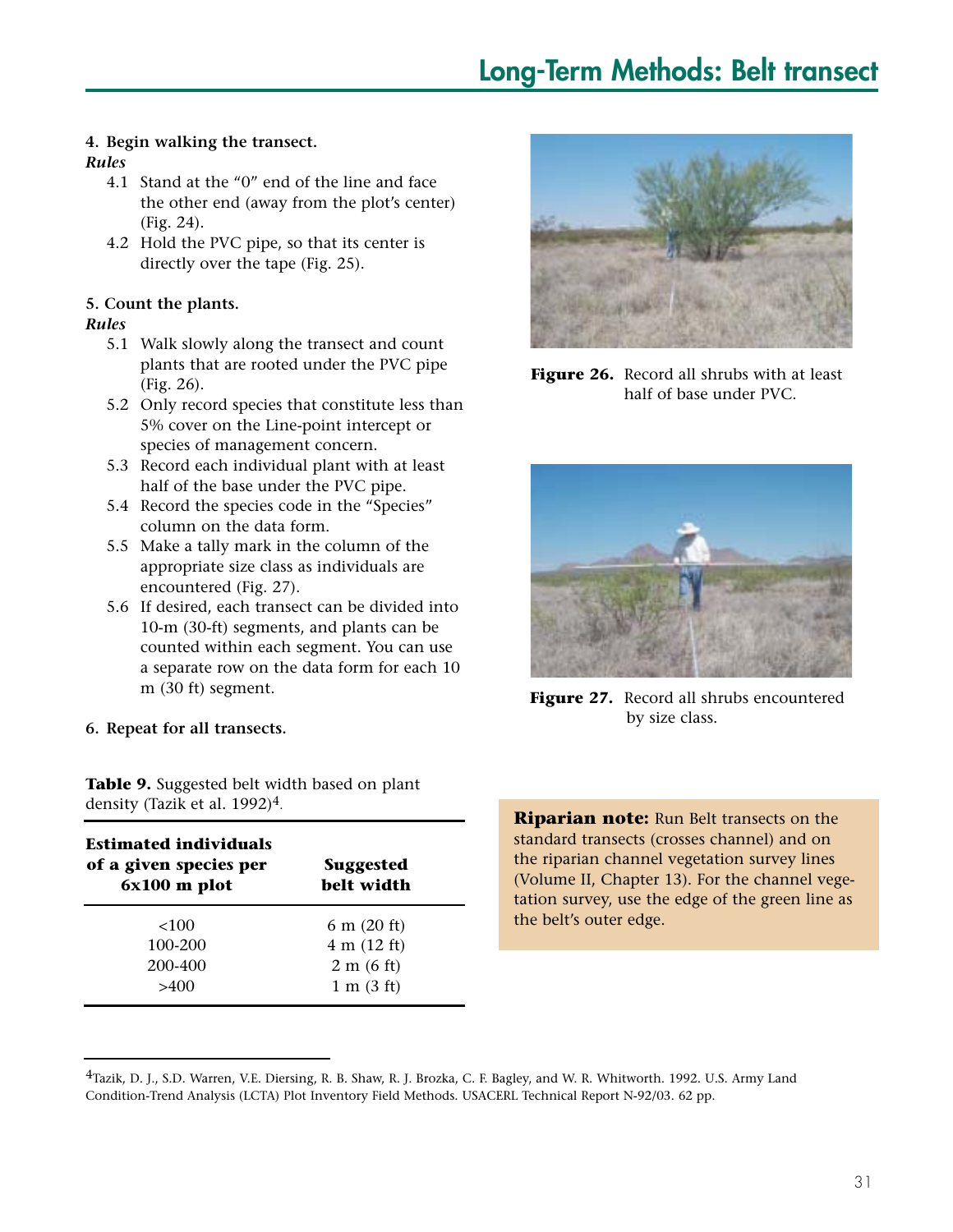## **Long-Term Methods: Belt transect**

#### **4. Begin walking the transect.**

#### *Rules*

- 4.1 Stand at the "0" end of the line and face the other end (away from the plot's center) (Fig. 24).
- 4.2 Hold the PVC pipe, so that its center is directly over the tape (Fig. 25).

#### **5. Count the plants.**

#### *Rules*

- 5.1 Walk slowly along the transect and count plants that are rooted under the PVC pipe (Fig. 26).
- 5.2 Only record species that constitute less than 5% cover on the Line-point intercept or species of management concern.
- 5.3 Record each individual plant with at least half of the base under the PVC pipe.
- 5.4 Record the species code in the "Species" column on the data form.
- 5.5 Make a tally mark in the column of the appropriate size class as individuals are encountered (Fig. 27).
- 5.6 If desired, each transect can be divided into 10-m (30-ft) segments, and plants can be counted within each segment. You can use a separate row on the data form for each 10 m (30 ft) segment.
- **6. Repeat for all transects.**

**Table 9.** Suggested belt width based on plant density (Tazik et al. 1992)<sup>4</sup>.

| <b>Estimated individuals</b><br>of a given species per<br>$6x100$ m plot | <b>Suggested</b><br>belt width |
|--------------------------------------------------------------------------|--------------------------------|
| <100                                                                     | $6 \text{ m}$ (20 ft)          |
| 100-200                                                                  | $4 \text{ m} (12 \text{ ft})$  |
| 200-400                                                                  | $2 \text{ m}$ (6 ft)           |
| >400                                                                     | $1 \text{ m}$ $(3 \text{ ft})$ |



**Figure 26.** Record all shrubs with at least half of base under PVC.



**Figure 27.** Record all shrubs encountered by size class.

**Riparian note:** Run Belt transects on the standard transects (crosses channel) and on the riparian channel vegetation survey lines (Volume II, Chapter 13). For the channel vegetation survey, use the edge of the green line as the belt's outer edge.

<sup>4</sup>Tazik, D. J., S.D. Warren, V.E. Diersing, R. B. Shaw, R. J. Brozka, C. F. Bagley, and W. R. Whitworth. 1992. U.S. Army Land Condition-Trend Analysis (LCTA) Plot Inventory Field Methods. USACERL Technical Report N-92/03. 62 pp.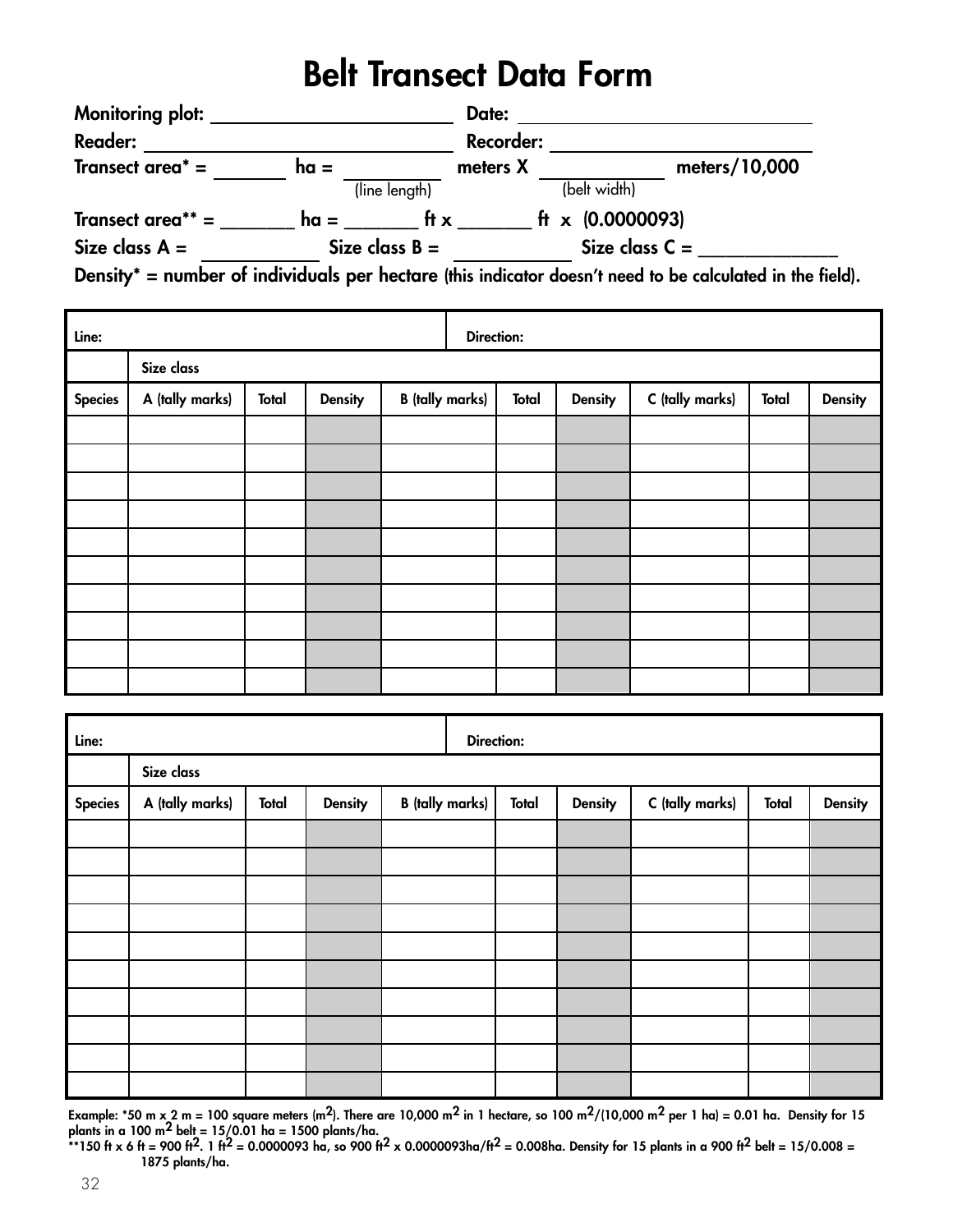## **Belt Transect Data Form**

| <b>Monitoring plot:</b> |        | Date:            |                                                                                                      |               |
|-------------------------|--------|------------------|------------------------------------------------------------------------------------------------------|---------------|
| <b>Reader:</b>          |        |                  | <b>Recorder:</b>                                                                                     |               |
| Transect area $* =$     | $ha =$ | meters X         |                                                                                                      | meters/10,000 |
|                         |        | (line length)    | (belt width)                                                                                         |               |
| Transect area** $=$     | $ha =$ | ft $x$           | ft x $(0.0000093)$                                                                                   |               |
| Size class $A =$        |        | Size class $B =$ | Size class $C =$                                                                                     |               |
|                         |        |                  | Doncity* = number of individuals nor bostors (this indicates decen't need to be selected in the fig. |               |

**Density\* = number of individuals per hectare (this indicator doesn't need to be calculated in the field).**

| Line:          |                 |       |                |                        | <b>Direction:</b> |              |                |                 |       |                |
|----------------|-----------------|-------|----------------|------------------------|-------------------|--------------|----------------|-----------------|-------|----------------|
|                | Size class      |       |                |                        |                   |              |                |                 |       |                |
| <b>Species</b> | A (tally marks) | Total | <b>Density</b> | <b>B</b> (tally marks) |                   | <b>Total</b> | <b>Density</b> | C (tally marks) | Total | <b>Density</b> |
|                |                 |       |                |                        |                   |              |                |                 |       |                |
|                |                 |       |                |                        |                   |              |                |                 |       |                |
|                |                 |       |                |                        |                   |              |                |                 |       |                |
|                |                 |       |                |                        |                   |              |                |                 |       |                |
|                |                 |       |                |                        |                   |              |                |                 |       |                |
|                |                 |       |                |                        |                   |              |                |                 |       |                |
|                |                 |       |                |                        |                   |              |                |                 |       |                |
|                |                 |       |                |                        |                   |              |                |                 |       |                |
|                |                 |       |                |                        |                   |              |                |                 |       |                |
|                |                 |       |                |                        |                   |              |                |                 |       |                |

| Line:          |                 |       |                |                        | <b>Direction:</b> |       |         |                 |              |                |
|----------------|-----------------|-------|----------------|------------------------|-------------------|-------|---------|-----------------|--------------|----------------|
|                | Size class      |       |                |                        |                   |       |         |                 |              |                |
| <b>Species</b> | A (tally marks) | Total | <b>Density</b> | <b>B</b> (tally marks) |                   | Total | Density | C (tally marks) | <b>Total</b> | <b>Density</b> |
|                |                 |       |                |                        |                   |       |         |                 |              |                |
|                |                 |       |                |                        |                   |       |         |                 |              |                |
|                |                 |       |                |                        |                   |       |         |                 |              |                |
|                |                 |       |                |                        |                   |       |         |                 |              |                |
|                |                 |       |                |                        |                   |       |         |                 |              |                |
|                |                 |       |                |                        |                   |       |         |                 |              |                |
|                |                 |       |                |                        |                   |       |         |                 |              |                |
|                |                 |       |                |                        |                   |       |         |                 |              |                |
|                |                 |       |                |                        |                   |       |         |                 |              |                |
|                |                 |       |                |                        |                   |       |         |                 |              |                |

**Example: \*50 m x 2 m = 100 square meters (m2). There are 10,000 m2 in 1 hectare, so 100 m2/(10,000 m2 per 1 ha) = 0.01 ha. Density for 15 plants in a 100 m2 belt = 15/0.01 ha = 1500 plants/ha.**

**\*\*150 ft x 6 ft = 900 ft2. 1 ft2 = 0.0000093 ha, so 900 ft2 x 0.0000093ha/ft2 = 0.008ha. Density for 15 plants in a 900 ft2 belt = 15/0.008 = 1875 plants/ha.**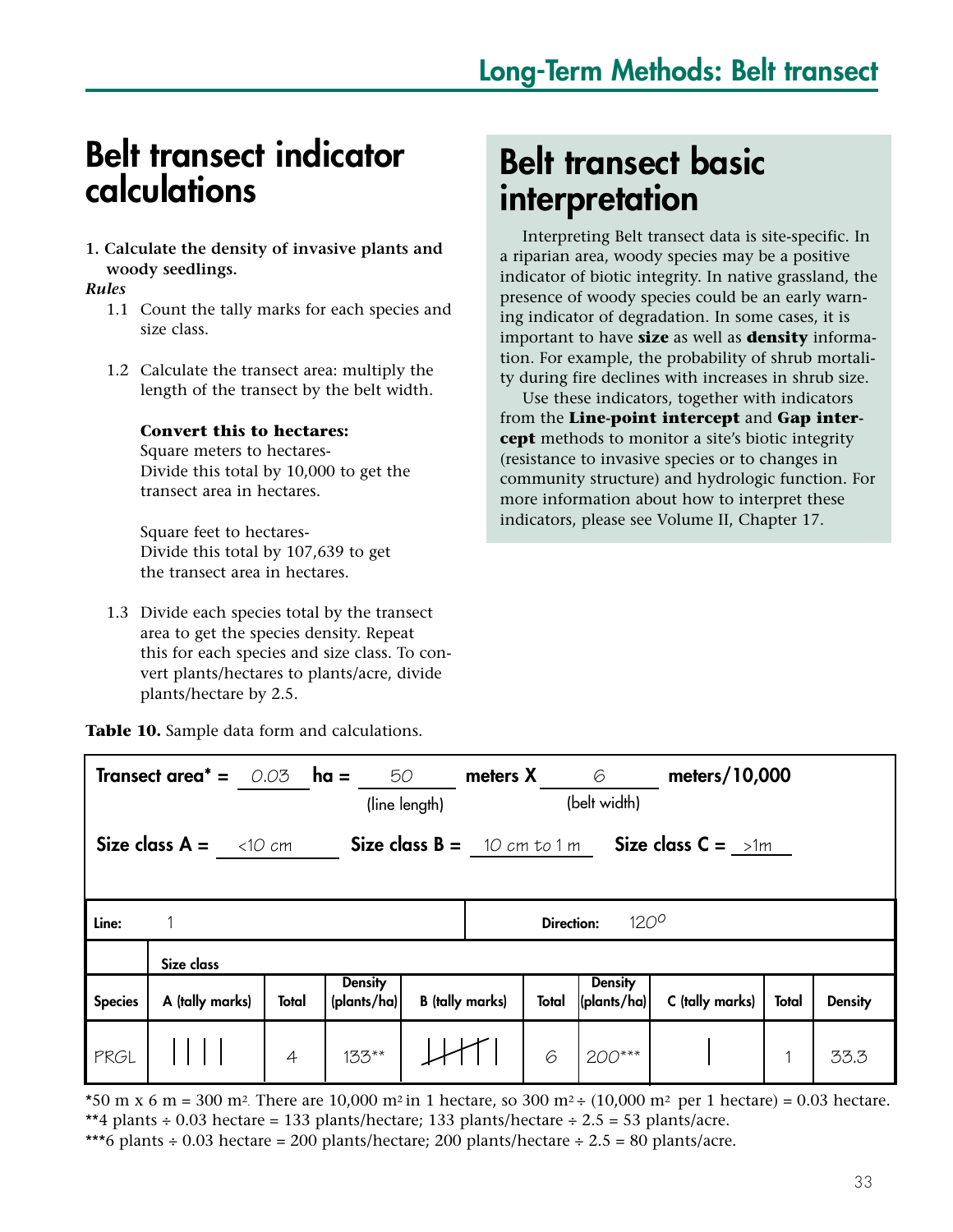## **Belt transect indicator calculations**

#### **1. Calculate the density of invasive plants and woody seedlings.**

#### *Rules*

- 1.1 Count the tally marks for each species and size class.
- 1.2 Calculate the transect area: multiply the length of the transect by the belt width.

#### **Convert this to hectares:**

Square meters to hectares-Divide this total by 10,000 to get the transect area in hectares.

Square feet to hectares-Divide this total by 107,639 to get the transect area in hectares.

1.3 Divide each species total by the transect area to get the species density. Repeat this for each species and size class. To convert plants/hectares to plants/acre, divide plants/hectare by 2.5.

## **Belt transect basic interpretation**

Interpreting Belt transect data is site-specific. In a riparian area, woody species may be a positive indicator of biotic integrity. In native grassland, the presence of woody species could be an early warning indicator of degradation. In some cases, it is important to have **size** as well as **density** information. For example, the probability of shrub mortality during fire declines with increases in shrub size.

Use these indicators, together with indicators from the **Line-point intercept** and **Gap intercept** methods to monitor a site's biotic integrity (resistance to invasive species or to changes in community structure) and hydrologic function. For more information about how to interpret these indicators, please see Volume II, Chapter 17.

**Table 10.** Sample data form and calculations.

| <b>Transect area<sup>*</sup> =</b> $0.03$ <b>ha =</b><br>50<br>(line length)                         |                 |                |                                        |                        | <b>meters X</b> 6 | (belt width)                          | meters/10,000   |       |                |
|------------------------------------------------------------------------------------------------------|-----------------|----------------|----------------------------------------|------------------------|-------------------|---------------------------------------|-----------------|-------|----------------|
| Size class $A = \langle 10 \text{ cm} \rangle$<br>Size class $B = 10 cm to 1 m$ Size class $C = 1 m$ |                 |                |                                        |                        |                   |                                       |                 |       |                |
| Line:                                                                                                |                 |                |                                        |                        | <b>Direction:</b> | $120^{\circ}$                         |                 |       |                |
|                                                                                                      | Size class      |                |                                        |                        |                   |                                       |                 |       |                |
| <b>Species</b>                                                                                       | A (tally marks) | <b>Total</b>   | <b>Density</b><br>$\langle$ plants/ha) | <b>B</b> (tally marks) | Total             | <b>Density</b><br>$ $ (plants/ha) $ $ | C (tally marks) | Total | <b>Density</b> |
| PRGL                                                                                                 |                 | $\overline{4}$ | $133**$                                |                        | 6                 | $200***$                              |                 |       | 33.3           |

\*50 m x 6 m = 300 m<sup>2</sup>. There are 10,000 m<sup>2</sup> in 1 hectare, so 300 m<sup>2</sup> ÷ (10,000 m<sup>2</sup> per 1 hectare) = 0.03 hectare. \*\*4 plants  $\div$  0.03 hectare = 133 plants/hectare; 133 plants/hectare  $\div$  2.5 = 53 plants/acre. \*\*\*6 plants ÷ 0.03 hectare = 200 plants/hectare; 200 plants/hectare ÷ 2.5 = 80 plants/acre.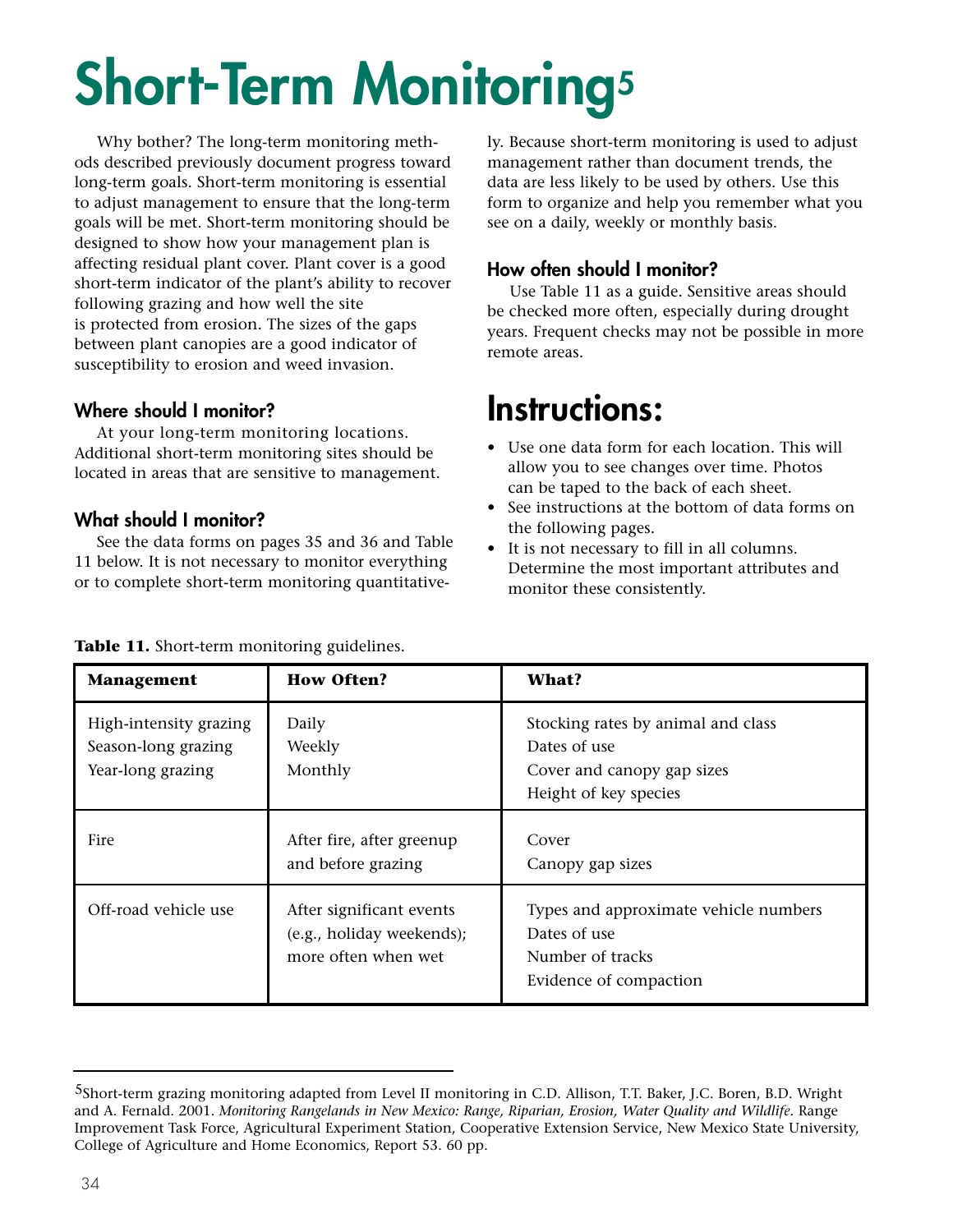# **Short-Term Monitoring<sup>5</sup>**

Why bother? The long-term monitoring methods described previously document progress toward long-term goals. Short-term monitoring is essential to adjust management to ensure that the long-term goals will be met. Short-term monitoring should be designed to show how your management plan is affecting residual plant cover. Plant cover is a good short-term indicator of the plant's ability to recover following grazing and how well the site is protected from erosion. The sizes of the gaps between plant canopies are a good indicator of susceptibility to erosion and weed invasion.

#### **Where should I monitor?**

At your long-term monitoring locations. Additional short-term monitoring sites should be located in areas that are sensitive to management.

#### **What should I monitor?**

See the data forms on pages 35 and 36 and Table 11 below. It is not necessary to monitor everything or to complete short-term monitoring quantitatively. Because short-term monitoring is used to adjust management rather than document trends, the data are less likely to be used by others. Use this form to organize and help you remember what you see on a daily, weekly or monthly basis.

#### **How often should I monitor?**

Use Table 11 as a guide. Sensitive areas should be checked more often, especially during drought years. Frequent checks may not be possible in more remote areas.

## **Instructions:**

- **•** Use one data form for each location. This will allow you to see changes over time. Photos can be taped to the back of each sheet.
- See instructions at the bottom of data forms on the following pages.
- It is not necessary to fill in all columns. Determine the most important attributes and monitor these consistently.

| <b>Management</b>                                                  | <b>How Often?</b>                                                            | What?                                                                                                     |
|--------------------------------------------------------------------|------------------------------------------------------------------------------|-----------------------------------------------------------------------------------------------------------|
| High-intensity grazing<br>Season-long grazing<br>Year-long grazing | Daily<br>Weekly<br>Monthly                                                   | Stocking rates by animal and class<br>Dates of use<br>Cover and canopy gap sizes<br>Height of key species |
| Fire                                                               | After fire, after greenup<br>and before grazing                              | Cover<br>Canopy gap sizes                                                                                 |
| Off-road vehicle use                                               | After significant events<br>(e.g., holiday weekends);<br>more often when wet | Types and approximate vehicle numbers<br>Dates of use<br>Number of tracks<br>Evidence of compaction       |

#### **Table 11.** Short-term monitoring guidelines.

<sup>5</sup>Short-term grazing monitoring adapted from Level II monitoring in C.D. Allison, T.T. Baker, J.C. Boren, B.D. Wright and A. Fernald. 2001. *Monitoring Rangelands in New Mexico: Range, Riparian, Erosion, Water Quality and Wildlife.* Range Improvement Task Force, Agricultural Experiment Station, Cooperative Extension Service, New Mexico State University, College of Agriculture and Home Economics, Report 53. 60 pp.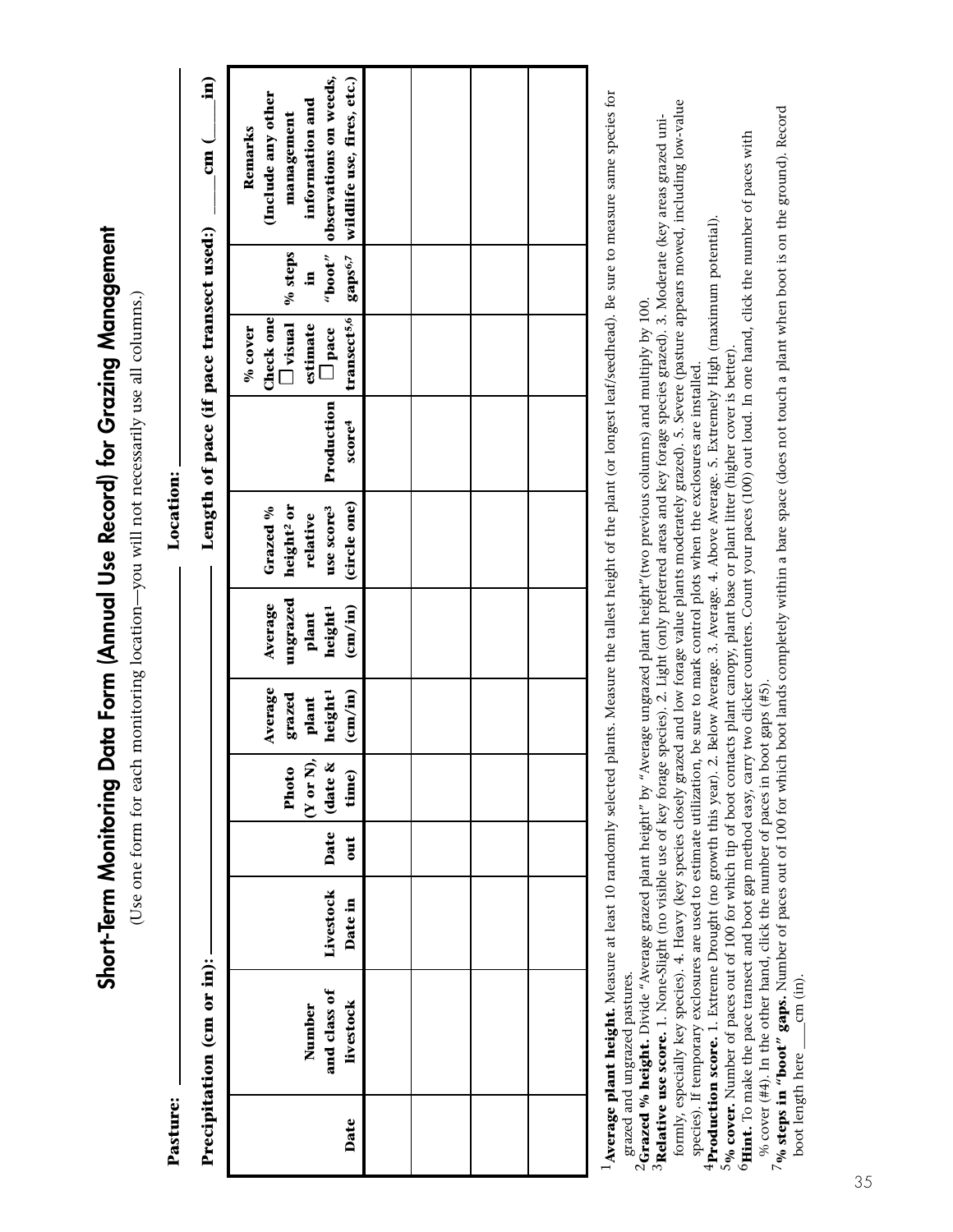Short-Term Monitoring Data Form (Annual Use Record) for Grazing Management **Short-Term Monitoring Data Form (Annual Use Record) for Grazing Management**

(Use one form for each monitoring location-you will not necessarily use all columns.) (Use one form for each monitoring location—you will not necessarily use all columns.)

Location: **Pasture: Location:** 

| $\frac{\text{cm}}{\text{cm}}$ ( $\frac{\text{m}}{\text{m}}$ ) | (Include any other<br>information and                                                            |  |  |
|---------------------------------------------------------------|--------------------------------------------------------------------------------------------------|--|--|
|                                                               | management<br>Remarks                                                                            |  |  |
|                                                               | observations on weeds,                                                                           |  |  |
|                                                               | gaps <sup>6,7</sup> vildlife use, fires, etc.)<br>"boot"<br>% steps<br>9                         |  |  |
|                                                               |                                                                                                  |  |  |
| Length of pace (if pace transect used:)                       | transect <sup>5,6</sup><br>Check one<br>$\Box$ visual<br>estimate<br>$%$ cover<br>$\square$ pace |  |  |
|                                                               | Production<br>score <sup>4</sup>                                                                 |  |  |
|                                                               |                                                                                                  |  |  |
|                                                               |                                                                                                  |  |  |
|                                                               | (circle one)<br>use score3<br>Grazed %<br>height <sup>2</sup> or<br>relative                     |  |  |
|                                                               | $\frac{\text{cm}}{\text{cm}}$<br>Average                                                         |  |  |
|                                                               | ungrazed<br>height <sup>1</sup><br>plant                                                         |  |  |
|                                                               | Average<br>$\frac{\text{(cm/in)}}{\text{}}$<br>height <sup>1</sup><br>grazed<br>plant            |  |  |
|                                                               |                                                                                                  |  |  |
|                                                               | $(Y$ or $N)$ ,<br>Photo<br>Date date &<br>time)                                                  |  |  |
|                                                               | $\frac{1}{2}$                                                                                    |  |  |
|                                                               | Livestock<br>Date in                                                                             |  |  |
|                                                               |                                                                                                  |  |  |
|                                                               |                                                                                                  |  |  |
|                                                               | and class of<br>livestock<br>Number                                                              |  |  |
|                                                               |                                                                                                  |  |  |
| Precipitation (cm or in):                                     | Date                                                                                             |  |  |
|                                                               |                                                                                                  |  |  |

<sup>1</sup>Average plant height. Measure at least 10 randomly selected plants. Measure the tallest height of the plant (or longest leaf/seedhead). Be sure to measure same species for <sup>1</sup>Average plant height. Measure at least 10 randomly selected plants. Measure the tallest height of the plant (or longest leaf/seedhead). Be sure to measure same species for grazed and ungrazed pastures. grazed and ungrazed pastures.

 $2$ Grazed % height. Divide "Average grazed plant height" by "Average ungrazed plant height"(two previous columns) and multiply by 100.

formly, especially key species). 4. Heavy (key species closely grazed and low forage value plants moderately grazed). 5. Severe (pasture appears mowed, including low-value formly, especially key species). 4. Heavy (key species closely grazed and low forage value plants moderately grazed). 5. Severe (pasture appears mowed, including low-value 3Relative use score. 1. None-Slight (no visible use of key forage species). 2. Light (only preferred areas and key forage species grazed). 3. Moderate (key areas grazed uni-2**Grazed % height.** Divide "Average grazed plant height" by "Average ungrazed plant height"(two previous columns) and multiply by 100.<br>3**Relative use score.** 1. None-Slight (no visible use of key forage species). 2. Light species). If temporary exclosures are used to estimate utilization, be sure to mark control plots when the exclosures are installed. species). If temporary exclosures are used to estimate utilization, be sure to mark control plots when the exclosures are installed.

<sup>4</sup>Production score. 1. Extreme Drought (no growth this year). 2. Below Average. 3. Average. 4. Above Average. 5. Extremely High (maximum potential).

**4Production score.** 1. Extreme Drought (no growth this year). 2. Below Average. 3. Average. 4. Above Average. 5. Extremely High (maximum potential).<br><sup>5</sup>% cover. Number of paces out of 100 for which tip of boot contacts pl **6Hint.** To make the pace transect and boot gap method easy, carry two clicker counters. Count your paces (100) out loud. In one hand, click the number of paces with 5% cover. Number of paces out of 100 for which tip of boot contacts plant canopy, plant base or plant litter (higher cover is better).

7% steps in "boot" gaps. Number of paces out of 100 for which boot lands completely within a bare space (does not touch a plant when boot is on the ground). Record 7**% steps in "boot" gaps.** Number of paces out of 100 for which boot lands completely within a bare space (does not touch a plant when boot is on the ground). Record % cover  $(#4)$ . In the other hand, click the number of paces in boot gaps  $(#5)$ . % cover (#4). In the other hand, click the number of paces in boot gaps (#5).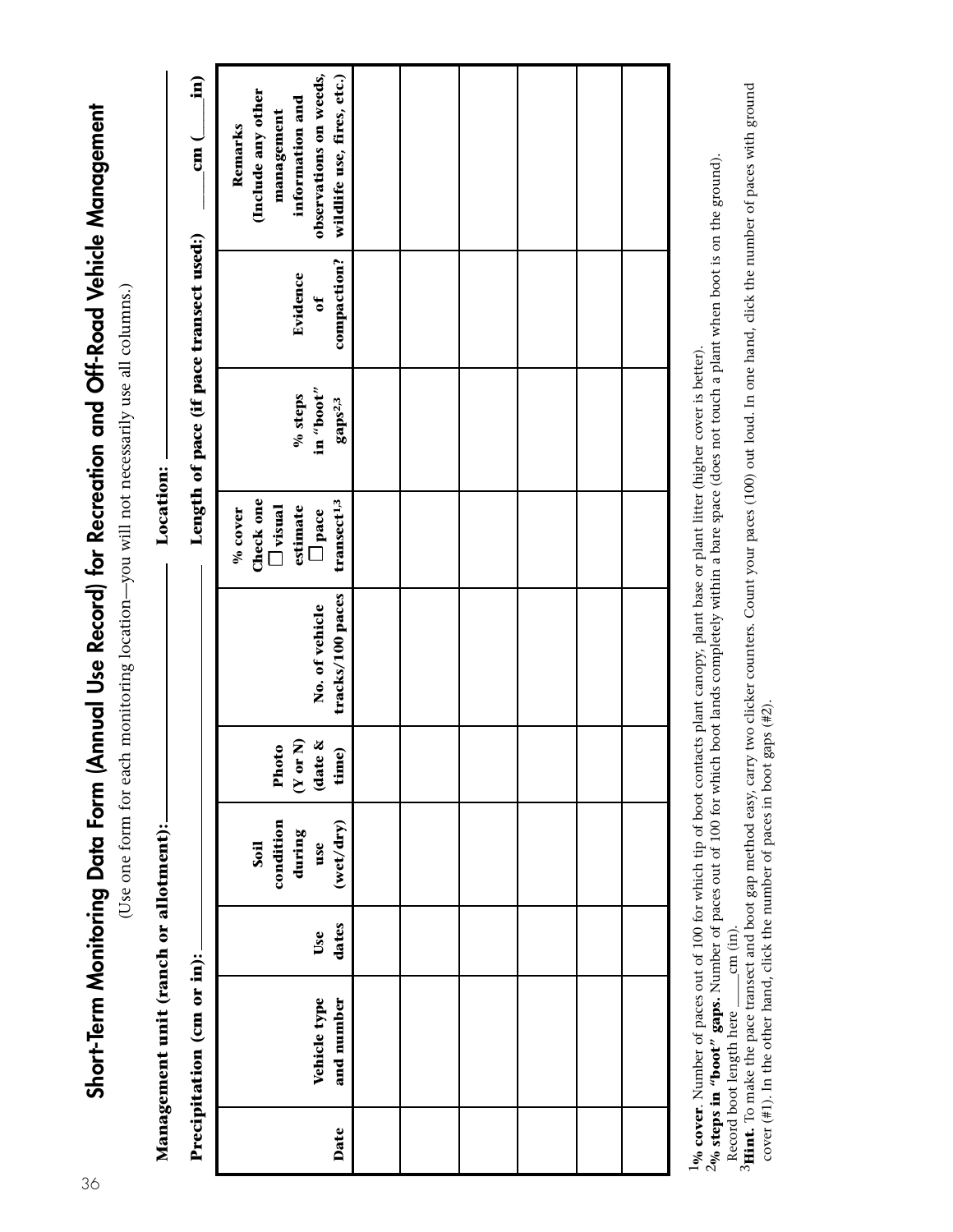Short-Term Monitoring Data Form (Annual Use Record) for Recreation and Off-Road Vehicle Management **Short-Term Monitoring Data Form (Annual Use Record) for Recreation and Off-Road Vehicle Management**

(Use one form for each monitoring location-you will not necessarily use all columns.) (Use one form for each monitoring location—you will not necessarily use all columns.)

|                                       | $\begin{pmatrix} 1 \\ -1 \end{pmatrix}$<br>$\frac{1}{2}$ | observations on weeds,<br>wildlife use, fires, etc.)<br>(Include any other<br>information and<br>management<br>Remarks |  |  |  |
|---------------------------------------|----------------------------------------------------------|------------------------------------------------------------------------------------------------------------------------|--|--|--|
|                                       |                                                          | compaction?<br>Evidence<br>đ                                                                                           |  |  |  |
|                                       | Length of pace (if pace transect used:)                  | in "boot"<br>% steps<br>gaps <sup>2,3</sup>                                                                            |  |  |  |
| Location: -                           |                                                          | Check one<br>transect <sup>1,3</sup><br>estimate<br>$\Box$ visual<br>% cover<br>$\Box$ pace                            |  |  |  |
|                                       |                                                          | tracks/100 paces<br>No. of vehicle                                                                                     |  |  |  |
|                                       |                                                          | $(Y \text{ or } N)$<br>(date &<br>Photo<br>time)                                                                       |  |  |  |
|                                       |                                                          | condition<br>(wet/dry)<br>during<br>use<br>Soil                                                                        |  |  |  |
|                                       |                                                          | dates<br>Use                                                                                                           |  |  |  |
| Management unit (ranch or allotment): | Precipitation (cm or in):                                | Vehicle type<br>and number                                                                                             |  |  |  |
|                                       |                                                          | Date                                                                                                                   |  |  |  |

Record boot length here \_\_\_\_cm (in).<br><sup>3</sup>Hint. To make the pace transect and boot gap method easy, carry two clicker counters. Count your paces (100) out loud. In one hand, click the number of paces with ground <sup>1</sup>% cover. Number of paces out of 100 for which tip of boot contacts plant canopy, plant base or plant litter (higher cover is better).<br><sup>2</sup>% steps in "boot" gaps. Number of paces out of 100 for which boot lands completely  $1\%$  cover. Number of paces out of 100 for which tip of boot contacts plant canopy, plant base or plant litter (higher cover is better).<br>2% steps in "boot" gaps. Number of paces out of 100 for which boot lands completely Record boot length here  $\_\_$ cm (in).

**3Hint.** To make the pace transect and boot gap method easy, carry two clicker counters. Count your paces (100) out loud. In one hand, click the number of paces with ground cover (#1). In the other hand, click the number of paces in boot gaps (#2). cover (#1). In the other hand, click the number of paces in boot gaps (#2).